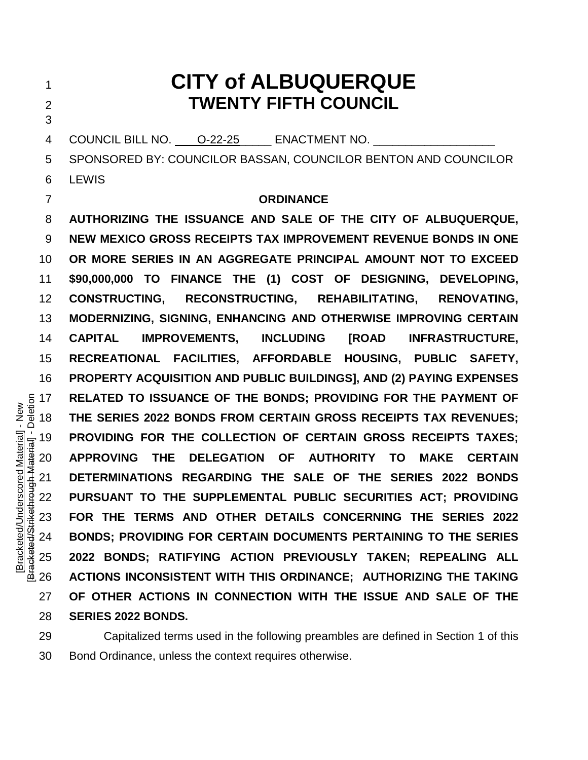# **CITY of ALBUQUERQUE TWENTY FIFTH COUNCIL** 4 COUNCIL BILL NO. O-22-25 ENACTMENT NO. SPONSORED BY: COUNCILOR BASSAN, COUNCILOR BENTON AND COUNCILOR LEWIS **ORDINANCE AUTHORIZING THE ISSUANCE AND SALE OF THE CITY OF ALBUQUERQUE, NEW MEXICO GROSS RECEIPTS TAX IMPROVEMENT REVENUE BONDS IN ONE OR MORE SERIES IN AN AGGREGATE PRINCIPAL AMOUNT NOT TO EXCEED \$90,000,000 TO FINANCE THE (1) COST OF DESIGNING, DEVELOPING, CONSTRUCTING, RECONSTRUCTING, REHABILITATING, RENOVATING, MODERNIZING, SIGNING, ENHANCING AND OTHERWISE IMPROVING CERTAIN CAPITAL IMPROVEMENTS, INCLUDING [ROAD INFRASTRUCTURE, RECREATIONAL FACILITIES, AFFORDABLE HOUSING, PUBLIC SAFETY, PROPERTY ACQUISITION AND PUBLIC BUILDINGS], AND (2) PAYING EXPENSES**  THE SERIES 2022 BONDS; PROVIDING FOR THE PAYMENT OF THE SERIES 2022 BONDS FROM CERTAIN GROSS RECEIPTS TAX REVENUES;<br>
THE SERIES 2022 BONDS FROM CERTAIN GROSS RECEIPTS TAXES;<br>
APPROVING THE DELEGATION OF AUTHORITY TO MAKE C **THE SERIES 2022 BONDS FROM CERTAIN GROSS RECEIPTS TAX REVENUES; PROVIDING FOR THE COLLECTION OF CERTAIN GROSS RECEIPTS TAXES; APPROVING THE DELEGATION OF AUTHORITY TO MAKE CERTAIN DETERMINATIONS REGARDING THE SALE OF THE SERIES 2022 BONDS PURSUANT TO THE SUPPLEMENTAL PUBLIC SECURITIES ACT; PROVIDING FOR THE TERMS AND OTHER DETAILS CONCERNING THE SERIES 2022 BONDS; PROVIDING FOR CERTAIN DOCUMENTS PERTAINING TO THE SERIES 2022 BONDS; RATIFYING ACTION PREVIOUSLY TAKEN; REPEALING ALL ACTIONS INCONSISTENT WITH THIS ORDINANCE; AUTHORIZING THE TAKING OF OTHER ACTIONS IN CONNECTION WITH THE ISSUE AND SALE OF THE SERIES 2022 BONDS.**

 Capitalized terms used in the following preambles are defined in Section 1 of this Bond Ordinance, unless the context requires otherwise.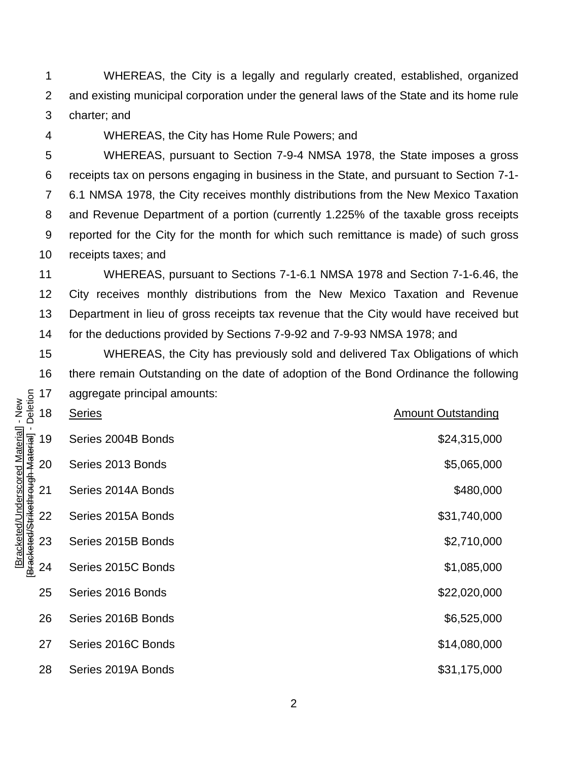WHEREAS, the City is a legally and regularly created, established, organized and existing municipal corporation under the general laws of the State and its home rule charter; and

WHEREAS, the City has Home Rule Powers; and

 WHEREAS, pursuant to Section 7-9-4 NMSA 1978, the State imposes a gross receipts tax on persons engaging in business in the State, and pursuant to Section 7-1- 6.1 NMSA 1978, the City receives monthly distributions from the New Mexico Taxation and Revenue Department of a portion (currently 1.225% of the taxable gross receipts reported for the City for the month for which such remittance is made) of such gross receipts taxes; and

 WHEREAS, pursuant to Sections 7-1-6.1 NMSA 1978 and Section 7-1-6.46, the City receives monthly distributions from the New Mexico Taxation and Revenue Department in lieu of gross receipts tax revenue that the City would have received but for the deductions provided by Sections 7-9-92 and 7-9-93 NMSA 1978; and

 WHEREAS, the City has previously sold and delivered Tax Obligations of which there remain Outstanding on the date of adoption of the Bond Ordinance the following aggregate principal amounts:

|                                                                                             | 17 | aggregate principal amounts: |                           |
|---------------------------------------------------------------------------------------------|----|------------------------------|---------------------------|
| Deletion<br>- New<br>[Bracketed/Underscored Material]<br>[Bracketed/Strikethrough Material] | 18 | <b>Series</b>                | <b>Amount Outstanding</b> |
|                                                                                             | 19 | Series 2004B Bonds           | \$24,315,000              |
|                                                                                             | 20 | Series 2013 Bonds            | \$5,065,000               |
|                                                                                             | 21 | Series 2014A Bonds           | \$480,000                 |
|                                                                                             | 22 | Series 2015A Bonds           | \$31,740,000              |
|                                                                                             | 23 | Series 2015B Bonds           | \$2,710,000               |
|                                                                                             | 24 | Series 2015C Bonds           | \$1,085,000               |
|                                                                                             | 25 | Series 2016 Bonds            | \$22,020,000              |
|                                                                                             | 26 | Series 2016B Bonds           | \$6,525,000               |
|                                                                                             | 27 | Series 2016C Bonds           | \$14,080,000              |
|                                                                                             | 28 | Series 2019A Bonds           | \$31,175,000              |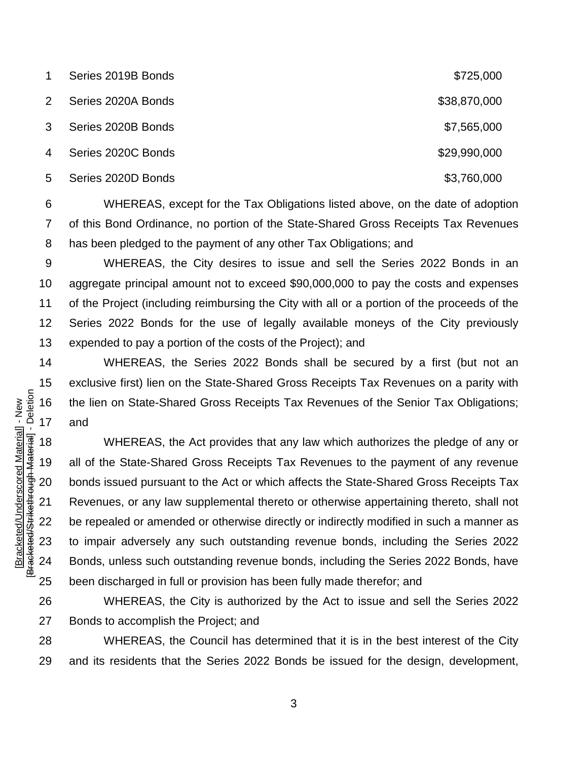| 1              | Series 2019B Bonds | \$725,000    |
|----------------|--------------------|--------------|
| $\mathbf{2}$   | Series 2020A Bonds | \$38,870,000 |
| 3              | Series 2020B Bonds | \$7,565,000  |
| $\overline{4}$ | Series 2020C Bonds | \$29,990,000 |
| 5              | Series 2020D Bonds | \$3,760,000  |

 WHEREAS, except for the Tax Obligations listed above, on the date of adoption of this Bond Ordinance, no portion of the State-Shared Gross Receipts Tax Revenues has been pledged to the payment of any other Tax Obligations; and

 WHEREAS, the City desires to issue and sell the Series 2022 Bonds in an aggregate principal amount not to exceed \$90,000,000 to pay the costs and expenses of the Project (including reimbursing the City with all or a portion of the proceeds of the Series 2022 Bonds for the use of legally available moneys of the City previously expended to pay a portion of the costs of the Project); and

 WHEREAS, the Series 2022 Bonds shall be secured by a first (but not an exclusive first) lien on the State-Shared Gross Receipts Tax Revenues on a parity with the lien on State-Shared Gross Receipts Tax Revenues of the Senior Tax Obligations; and

 WHEREAS, the Act provides that any law which authorizes the pledge of any or all of the State-Shared Gross Receipts Tax Revenues to the payment of any revenue bonds issued pursuant to the Act or which affects the State-Shared Gross Receipts Tax Revenues, or any law supplemental thereto or otherwise appertaining thereto, shall not be repealed or amended or otherwise directly or indirectly modified in such a manner as to impair adversely any such outstanding revenue bonds, including the Series 2022 Bonds, unless such outstanding revenue bonds, including the Series 2022 Bonds, have been discharged in full or provision has been fully made therefor; and

 WHEREAS, the City is authorized by the Act to issue and sell the Series 2022 Bonds to accomplish the Project; and

 WHEREAS, the Council has determined that it is in the best interest of the City and its residents that the Series 2022 Bonds be issued for the design, development,

[Bracketed/Underscored Material] - New<br>[Bracketed/Strikethrough Material] - Deletion [Bracketed/Strikethrough Material] - Deletion [Bracketed/Underscored Material] - New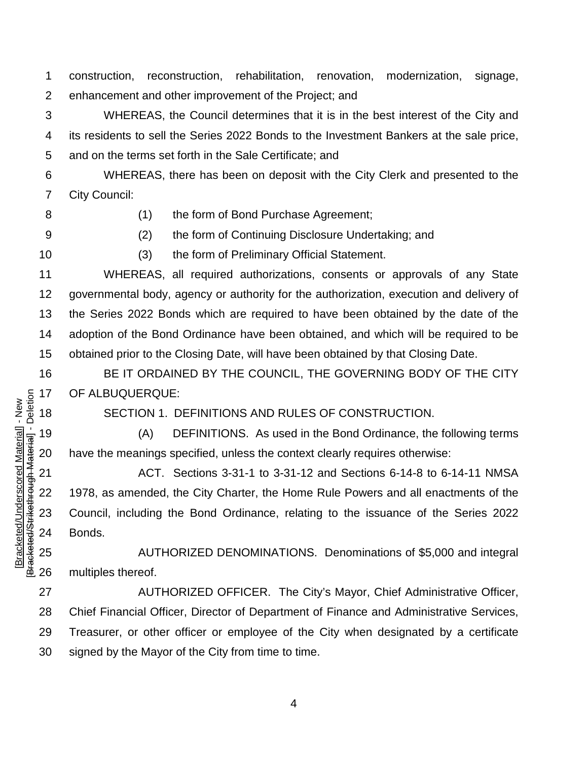construction, reconstruction, rehabilitation, renovation, modernization, signage, enhancement and other improvement of the Project; and

 WHEREAS, the Council determines that it is in the best interest of the City and its residents to sell the Series 2022 Bonds to the Investment Bankers at the sale price, and on the terms set forth in the Sale Certificate; and

 WHEREAS, there has been on deposit with the City Clerk and presented to the City Council:

(1) the form of Bond Purchase Agreement;

(2) the form of Continuing Disclosure Undertaking; and

[Bracketed/Underscored Material] - New [Bracketed/Strikethrough Material] - Deletion

Bracketed/Strikethrough Material] - Deletion Bracketed/Underscored Material] - New

(3) the form of Preliminary Official Statement.

 WHEREAS, all required authorizations, consents or approvals of any State governmental body, agency or authority for the authorization, execution and delivery of the Series 2022 Bonds which are required to have been obtained by the date of the adoption of the Bond Ordinance have been obtained, and which will be required to be obtained prior to the Closing Date, will have been obtained by that Closing Date.

 BE IT ORDAINED BY THE COUNCIL, THE GOVERNING BODY OF THE CITY OF ALBUQUERQUE:

SECTION 1. DEFINITIONS AND RULES OF CONSTRUCTION.

 (A) DEFINITIONS. As used in the Bond Ordinance, the following terms have the meanings specified, unless the context clearly requires otherwise:

 ACT. Sections 3-31-1 to 3-31-12 and Sections 6-14-8 to 6-14-11 NMSA 1978, as amended, the City Charter, the Home Rule Powers and all enactments of the Council, including the Bond Ordinance, relating to the issuance of the Series 2022 Bonds.

 AUTHORIZED DENOMINATIONS. Denominations of \$5,000 and integral multiples thereof.

 AUTHORIZED OFFICER. The City's Mayor, Chief Administrative Officer, Chief Financial Officer, Director of Department of Finance and Administrative Services, Treasurer, or other officer or employee of the City when designated by a certificate signed by the Mayor of the City from time to time.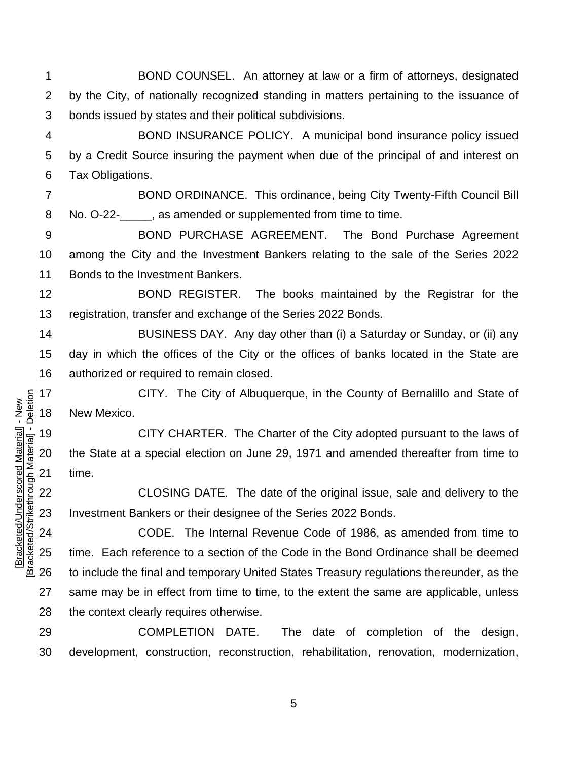BOND COUNSEL. An attorney at law or a firm of attorneys, designated by the City, of nationally recognized standing in matters pertaining to the issuance of bonds issued by states and their political subdivisions.

 BOND INSURANCE POLICY. A municipal bond insurance policy issued by a Credit Source insuring the payment when due of the principal of and interest on Tax Obligations.

 BOND ORDINANCE. This ordinance, being City Twenty-Fifth Council Bill No. O-22-\_\_\_\_\_, as amended or supplemented from time to time.

 BOND PURCHASE AGREEMENT. The Bond Purchase Agreement among the City and the Investment Bankers relating to the sale of the Series 2022 Bonds to the Investment Bankers.

 BOND REGISTER. The books maintained by the Registrar for the registration, transfer and exchange of the Series 2022 Bonds.

 BUSINESS DAY. Any day other than (i) a Saturday or Sunday, or (ii) any day in which the offices of the City or the offices of banks located in the State are authorized or required to remain closed.

 CITY. The City of Albuquerque, in the County of Bernalillo and State of New Mexico.

 CITY CHARTER. The Charter of the City adopted pursuant to the laws of the State at a special election on June 29, 1971 and amended thereafter from time to time.

 CLOSING DATE. The date of the original issue, sale and delivery to the Investment Bankers or their designee of the Series 2022 Bonds.

 CODE. The Internal Revenue Code of 1986, as amended from time to time. Each reference to a section of the Code in the Bond Ordinance shall be deemed to include the final and temporary United States Treasury regulations thereunder, as the same may be in effect from time to time, to the extent the same are applicable, unless the context clearly requires otherwise.

 COMPLETION DATE. The date of completion of the design, development, construction, reconstruction, rehabilitation, renovation, modernization,

Bracketed/Strikethrough Material] - Deletion [Bracketed/Strikethrough Material] - Deletion Bracketed/Underscored Material] - New [Bracketed/Underscored Material] - New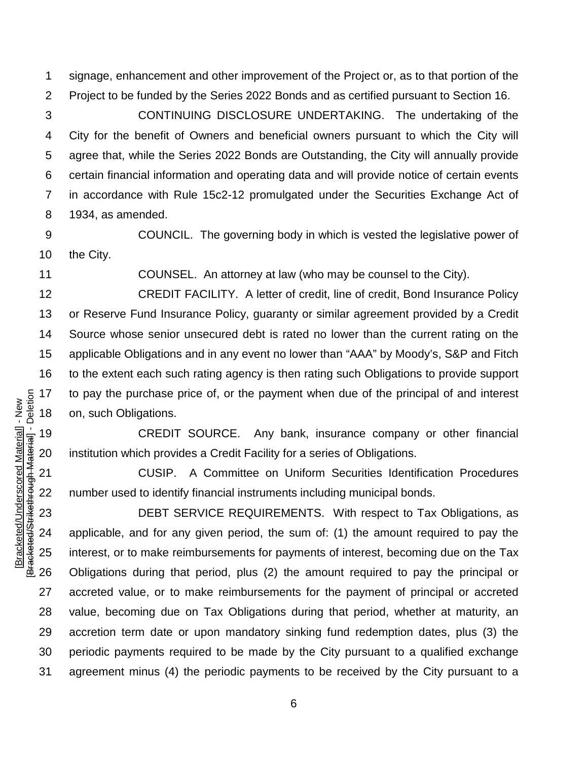signage, enhancement and other improvement of the Project or, as to that portion of the Project to be funded by the Series 2022 Bonds and as certified pursuant to Section 16.

 CONTINUING DISCLOSURE UNDERTAKING. The undertaking of the City for the benefit of Owners and beneficial owners pursuant to which the City will agree that, while the Series 2022 Bonds are Outstanding, the City will annually provide certain financial information and operating data and will provide notice of certain events in accordance with Rule 15c2-12 promulgated under the Securities Exchange Act of 1934, as amended.

 COUNCIL. The governing body in which is vested the legislative power of the City.

COUNSEL. An attorney at law (who may be counsel to the City).

 CREDIT FACILITY. A letter of credit, line of credit, Bond Insurance Policy or Reserve Fund Insurance Policy, guaranty or similar agreement provided by a Credit Source whose senior unsecured debt is rated no lower than the current rating on the applicable Obligations and in any event no lower than "AAA" by Moody's, S&P and Fitch to the extent each such rating agency is then rating such Obligations to provide support to pay the purchase price of, or the payment when due of the principal of and interest on, such Obligations.

 CREDIT SOURCE. Any bank, insurance company or other financial institution which provides a Credit Facility for a series of Obligations.

 CUSIP. A Committee on Uniform Securities Identification Procedures number used to identify financial instruments including municipal bonds.

 DEBT SERVICE REQUIREMENTS. With respect to Tax Obligations, as applicable, and for any given period, the sum of: (1) the amount required to pay the interest, or to make reimbursements for payments of interest, becoming due on the Tax Obligations during that period, plus (2) the amount required to pay the principal or accreted value, or to make reimbursements for the payment of principal or accreted value, becoming due on Tax Obligations during that period, whether at maturity, an accretion term date or upon mandatory sinking fund redemption dates, plus (3) the periodic payments required to be made by the City pursuant to a qualified exchange agreement minus (4) the periodic payments to be received by the City pursuant to a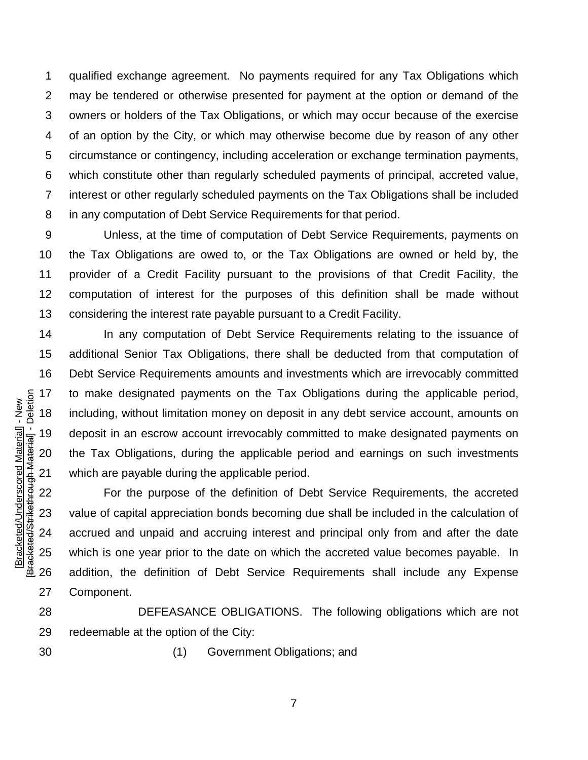qualified exchange agreement. No payments required for any Tax Obligations which may be tendered or otherwise presented for payment at the option or demand of the owners or holders of the Tax Obligations, or which may occur because of the exercise of an option by the City, or which may otherwise become due by reason of any other circumstance or contingency, including acceleration or exchange termination payments, which constitute other than regularly scheduled payments of principal, accreted value, interest or other regularly scheduled payments on the Tax Obligations shall be included in any computation of Debt Service Requirements for that period.

 Unless, at the time of computation of Debt Service Requirements, payments on the Tax Obligations are owed to, or the Tax Obligations are owned or held by, the provider of a Credit Facility pursuant to the provisions of that Credit Facility, the computation of interest for the purposes of this definition shall be made without considering the interest rate payable pursuant to a Credit Facility.

 In any computation of Debt Service Requirements relating to the issuance of additional Senior Tax Obligations, there shall be deducted from that computation of Debt Service Requirements amounts and investments which are irrevocably committed to make designated payments on the Tax Obligations during the applicable period, including, without limitation money on deposit in any debt service account, amounts on deposit in an escrow account irrevocably committed to make designated payments on the Tax Obligations, during the applicable period and earnings on such investments which are payable during the applicable period.

 For the purpose of the definition of Debt Service Requirements, the accreted value of capital appreciation bonds becoming due shall be included in the calculation of accrued and unpaid and accruing interest and principal only from and after the date which is one year prior to the date on which the accreted value becomes payable. In addition, the definition of Debt Service Requirements shall include any Expense Component.

 DEFEASANCE OBLIGATIONS. The following obligations which are not redeemable at the option of the City:

[Bracketed/Underscored Material] - New [Bracketed/Strikethrough Material] - Deletion

Bracketed/Strikethrough Material] - Deletion Bracketed/Underscored Material] - New

(1) Government Obligations; and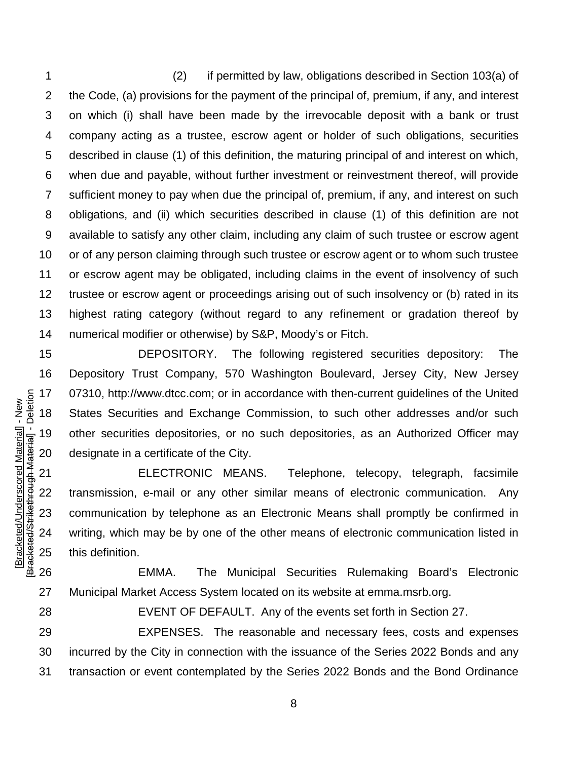(2) if permitted by law, obligations described in Section 103(a) of the Code, (a) provisions for the payment of the principal of, premium, if any, and interest on which (i) shall have been made by the irrevocable deposit with a bank or trust company acting as a trustee, escrow agent or holder of such obligations, securities described in clause (1) of this definition, the maturing principal of and interest on which, when due and payable, without further investment or reinvestment thereof, will provide sufficient money to pay when due the principal of, premium, if any, and interest on such obligations, and (ii) which securities described in clause (1) of this definition are not available to satisfy any other claim, including any claim of such trustee or escrow agent or of any person claiming through such trustee or escrow agent or to whom such trustee or escrow agent may be obligated, including claims in the event of insolvency of such trustee or escrow agent or proceedings arising out of such insolvency or (b) rated in its highest rating category (without regard to any refinement or gradation thereof by numerical modifier or otherwise) by S&P, Moody's or Fitch.

 DEPOSITORY. The following registered securities depository: The Depository Trust Company, 570 Washington Boulevard, Jersey City, New Jersey 07310, http://www.dtcc.com; or in accordance with then-current guidelines of the United States Securities and Exchange Commission, to such other addresses and/or such other securities depositories, or no such depositories, as an Authorized Officer may designate in a certificate of the City.

 ELECTRONIC MEANS. Telephone, telecopy, telegraph, facsimile transmission, e-mail or any other similar means of electronic communication. Any communication by telephone as an Electronic Means shall promptly be confirmed in writing, which may be by one of the other means of electronic communication listed in this definition.

 EMMA. The Municipal Securities Rulemaking Board's Electronic Municipal Market Access System located on its website at emma.msrb.org.

EVENT OF DEFAULT. Any of the events set forth in Section 27.

 EXPENSES. The reasonable and necessary fees, costs and expenses incurred by the City in connection with the issuance of the Series 2022 Bonds and any transaction or event contemplated by the Series 2022 Bonds and the Bond Ordinance

Bracketed/Strikethrough Material] - Deletion [Bracketed/Strikethrough Material] - Deletion Bracketed/Underscored Material] - New [Bracketed/Underscored Material] - New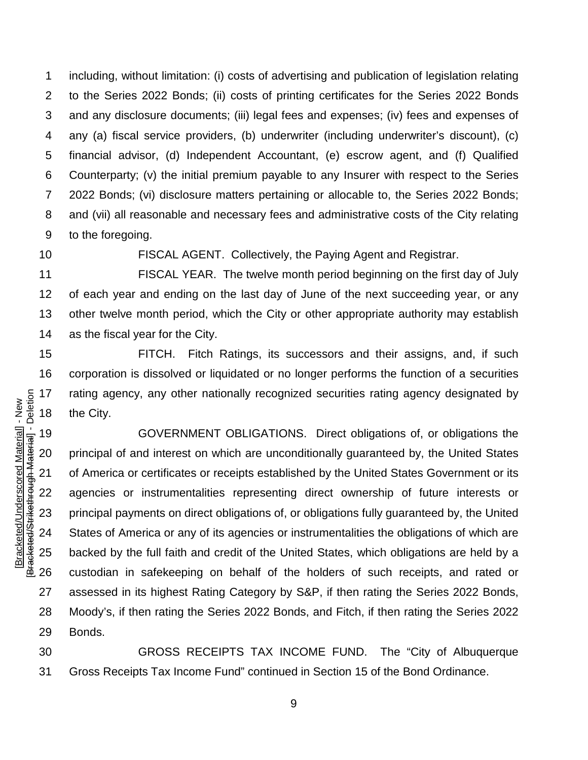including, without limitation: (i) costs of advertising and publication of legislation relating to the Series 2022 Bonds; (ii) costs of printing certificates for the Series 2022 Bonds and any disclosure documents; (iii) legal fees and expenses; (iv) fees and expenses of any (a) fiscal service providers, (b) underwriter (including underwriter's discount), (c) financial advisor, (d) Independent Accountant, (e) escrow agent, and (f) Qualified Counterparty; (v) the initial premium payable to any Insurer with respect to the Series 2022 Bonds; (vi) disclosure matters pertaining or allocable to, the Series 2022 Bonds; and (vii) all reasonable and necessary fees and administrative costs of the City relating to the foregoing.

FISCAL AGENT. Collectively, the Paying Agent and Registrar.

 FISCAL YEAR. The twelve month period beginning on the first day of July of each year and ending on the last day of June of the next succeeding year, or any other twelve month period, which the City or other appropriate authority may establish as the fiscal year for the City.

 FITCH. Fitch Ratings, its successors and their assigns, and, if such corporation is dissolved or liquidated or no longer performs the function of a securities rating agency, any other nationally recognized securities rating agency designated by the City.

 GOVERNMENT OBLIGATIONS. Direct obligations of, or obligations the principal of and interest on which are unconditionally guaranteed by, the United States 21 of America or certificates or receipts established by the United States Government or its agencies or instrumentalities representing direct ownership of future interests or principal payments on direct obligations of, or obligations fully guaranteed by, the United States of America or any of its agencies or instrumentalities the obligations of which are backed by the full faith and credit of the United States, which obligations are held by a custodian in safekeeping on behalf of the holders of such receipts, and rated or assessed in its highest Rating Category by S&P, if then rating the Series 2022 Bonds, Moody's, if then rating the Series 2022 Bonds, and Fitch, if then rating the Series 2022 Bonds.

 GROSS RECEIPTS TAX INCOME FUND. The "City of Albuquerque Gross Receipts Tax Income Fund" continued in Section 15 of the Bond Ordinance.

Bracketed/Strikethrough Material] - Deletion [Bracketed/Strikethrough Material] - Deletion Bracketed/Underscored Material] - New [Bracketed/Underscored Material] - New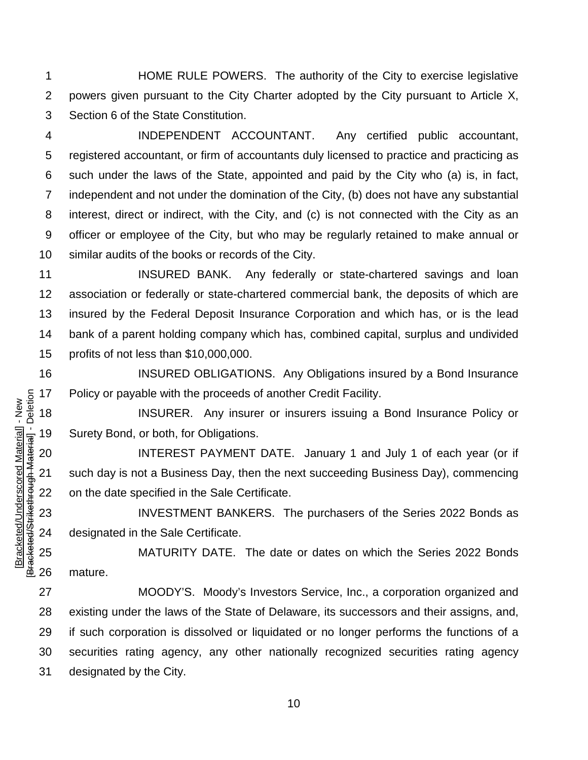HOME RULE POWERS. The authority of the City to exercise legislative powers given pursuant to the City Charter adopted by the City pursuant to Article X, Section 6 of the State Constitution.

 INDEPENDENT ACCOUNTANT. Any certified public accountant, registered accountant, or firm of accountants duly licensed to practice and practicing as such under the laws of the State, appointed and paid by the City who (a) is, in fact, independent and not under the domination of the City, (b) does not have any substantial interest, direct or indirect, with the City, and (c) is not connected with the City as an officer or employee of the City, but who may be regularly retained to make annual or similar audits of the books or records of the City.

**INSURED BANK.** Any federally or state-chartered savings and loan association or federally or state-chartered commercial bank, the deposits of which are insured by the Federal Deposit Insurance Corporation and which has, or is the lead bank of a parent holding company which has, combined capital, surplus and undivided profits of not less than \$10,000,000.

 INSURED OBLIGATIONS. Any Obligations insured by a Bond Insurance Policy or payable with the proceeds of another Credit Facility.

 INSURER. Any insurer or insurers issuing a Bond Insurance Policy or Surety Bond, or both, for Obligations.

 INTEREST PAYMENT DATE. January 1 and July 1 of each year (or if such day is not a Business Day, then the next succeeding Business Day), commencing on the date specified in the Sale Certificate.

 INVESTMENT BANKERS. The purchasers of the Series 2022 Bonds as designated in the Sale Certificate.

 MATURITY DATE. The date or dates on which the Series 2022 Bonds mature.

 MOODY'S. Moody's Investors Service, Inc., a corporation organized and existing under the laws of the State of Delaware, its successors and their assigns, and, if such corporation is dissolved or liquidated or no longer performs the functions of a securities rating agency, any other nationally recognized securities rating agency designated by the City.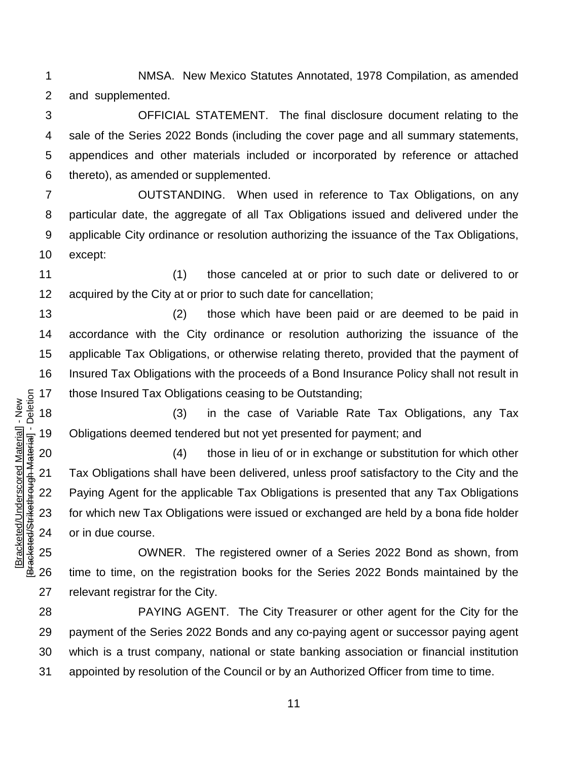NMSA. New Mexico Statutes Annotated, 1978 Compilation, as amended and supplemented.

 OFFICIAL STATEMENT. The final disclosure document relating to the sale of the Series 2022 Bonds (including the cover page and all summary statements, appendices and other materials included or incorporated by reference or attached thereto), as amended or supplemented.

 OUTSTANDING. When used in reference to Tax Obligations, on any particular date, the aggregate of all Tax Obligations issued and delivered under the applicable City ordinance or resolution authorizing the issuance of the Tax Obligations, except:

 (1) those canceled at or prior to such date or delivered to or acquired by the City at or prior to such date for cancellation;

 (2) those which have been paid or are deemed to be paid in accordance with the City ordinance or resolution authorizing the issuance of the applicable Tax Obligations, or otherwise relating thereto, provided that the payment of Insured Tax Obligations with the proceeds of a Bond Insurance Policy shall not result in those Insured Tax Obligations ceasing to be Outstanding;

 (3) in the case of Variable Rate Tax Obligations, any Tax Obligations deemed tendered but not yet presented for payment; and

 (4) those in lieu of or in exchange or substitution for which other Tax Obligations shall have been delivered, unless proof satisfactory to the City and the Paying Agent for the applicable Tax Obligations is presented that any Tax Obligations for which new Tax Obligations were issued or exchanged are held by a bona fide holder or in due course.

 OWNER. The registered owner of a Series 2022 Bond as shown, from time to time, on the registration books for the Series 2022 Bonds maintained by the relevant registrar for the City.

 PAYING AGENT. The City Treasurer or other agent for the City for the payment of the Series 2022 Bonds and any co-paying agent or successor paying agent which is a trust company, national or state banking association or financial institution appointed by resolution of the Council or by an Authorized Officer from time to time.

Bracketed/Strikethrough Material] - Deletion [Bracketed/Strikethrough Material] - Deletion Bracketed/Underscored Material] - New [Bracketed/Underscored Material] - New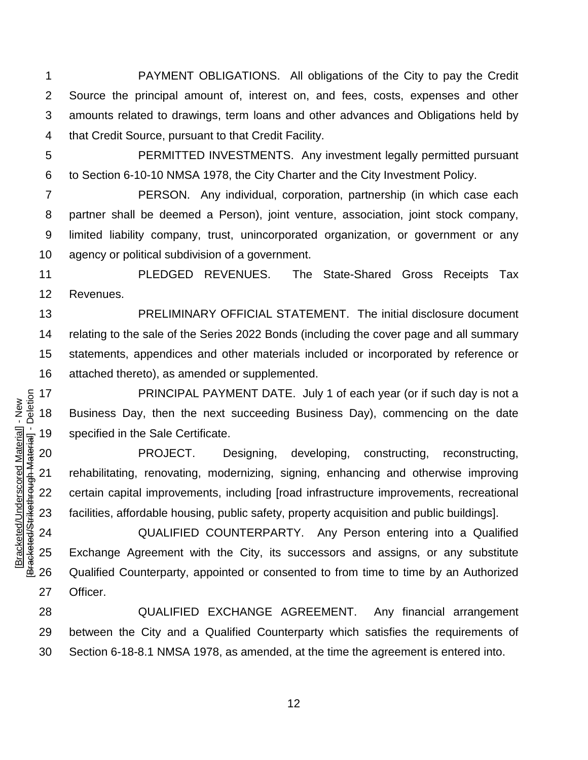PAYMENT OBLIGATIONS. All obligations of the City to pay the Credit Source the principal amount of, interest on, and fees, costs, expenses and other amounts related to drawings, term loans and other advances and Obligations held by that Credit Source, pursuant to that Credit Facility.

[Bracketed/Underscored Material] - New [Bracketed/Strikethrough Material] - Deletion

Bracketed/Strikethrough Material] - Deletion Bracketed/Underscored Material] - New

 PERMITTED INVESTMENTS. Any investment legally permitted pursuant to Section 6-10-10 NMSA 1978, the City Charter and the City Investment Policy.

 PERSON. Any individual, corporation, partnership (in which case each partner shall be deemed a Person), joint venture, association, joint stock company, limited liability company, trust, unincorporated organization, or government or any agency or political subdivision of a government.

 PLEDGED REVENUES. The State-Shared Gross Receipts Tax Revenues.

 PRELIMINARY OFFICIAL STATEMENT. The initial disclosure document relating to the sale of the Series 2022 Bonds (including the cover page and all summary statements, appendices and other materials included or incorporated by reference or attached thereto), as amended or supplemented.

**PRINCIPAL PAYMENT DATE.** July 1 of each year (or if such day is not a Business Day, then the next succeeding Business Day), commencing on the date specified in the Sale Certificate.

 PROJECT. Designing, developing, constructing, reconstructing, rehabilitating, renovating, modernizing, signing, enhancing and otherwise improving certain capital improvements, including [road infrastructure improvements, recreational facilities, affordable housing, public safety, property acquisition and public buildings].

 QUALIFIED COUNTERPARTY. Any Person entering into a Qualified Exchange Agreement with the City, its successors and assigns, or any substitute Qualified Counterparty, appointed or consented to from time to time by an Authorized Officer.

 QUALIFIED EXCHANGE AGREEMENT. Any financial arrangement between the City and a Qualified Counterparty which satisfies the requirements of Section 6-18-8.1 NMSA 1978, as amended, at the time the agreement is entered into.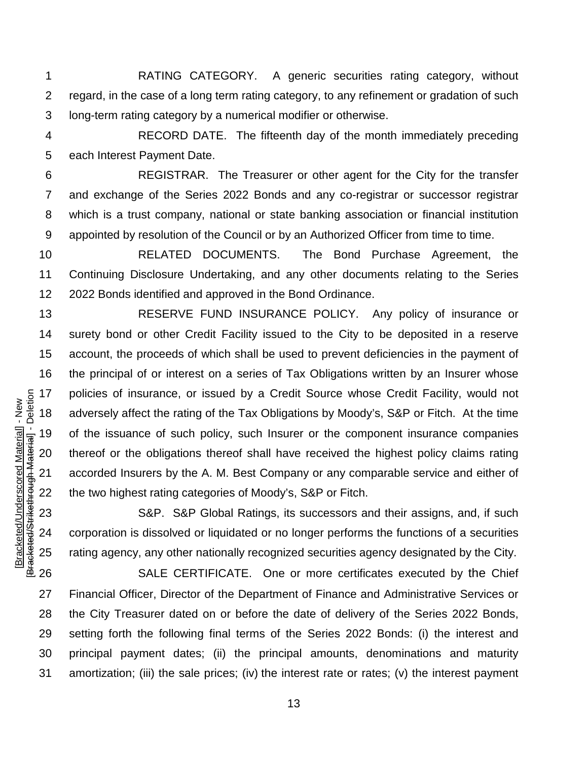RATING CATEGORY. A generic securities rating category, without regard, in the case of a long term rating category, to any refinement or gradation of such long-term rating category by a numerical modifier or otherwise.

 RECORD DATE. The fifteenth day of the month immediately preceding each Interest Payment Date.

 REGISTRAR. The Treasurer or other agent for the City for the transfer and exchange of the Series 2022 Bonds and any co-registrar or successor registrar which is a trust company, national or state banking association or financial institution appointed by resolution of the Council or by an Authorized Officer from time to time.

 RELATED DOCUMENTS. The Bond Purchase Agreement, the Continuing Disclosure Undertaking, and any other documents relating to the Series 2022 Bonds identified and approved in the Bond Ordinance.

 RESERVE FUND INSURANCE POLICY. Any policy of insurance or surety bond or other Credit Facility issued to the City to be deposited in a reserve account, the proceeds of which shall be used to prevent deficiencies in the payment of the principal of or interest on a series of Tax Obligations written by an Insurer whose policies of insurance, or issued by a Credit Source whose Credit Facility, would not adversely affect the rating of the Tax Obligations by Moody's, S&P or Fitch. At the time of the issuance of such policy, such Insurer or the component insurance companies thereof or the obligations thereof shall have received the highest policy claims rating accorded Insurers by the A. M. Best Company or any comparable service and either of the two highest rating categories of Moody's, S&P or Fitch.

 S&P. S&P Global Ratings, its successors and their assigns, and, if such corporation is dissolved or liquidated or no longer performs the functions of a securities rating agency, any other nationally recognized securities agency designated by the City.

 SALE CERTIFICATE. One or more certificates executed by the Chief Financial Officer, Director of the Department of Finance and Administrative Services or the City Treasurer dated on or before the date of delivery of the Series 2022 Bonds, setting forth the following final terms of the Series 2022 Bonds: (i) the interest and principal payment dates; (ii) the principal amounts, denominations and maturity amortization; (iii) the sale prices; (iv) the interest rate or rates; (v) the interest payment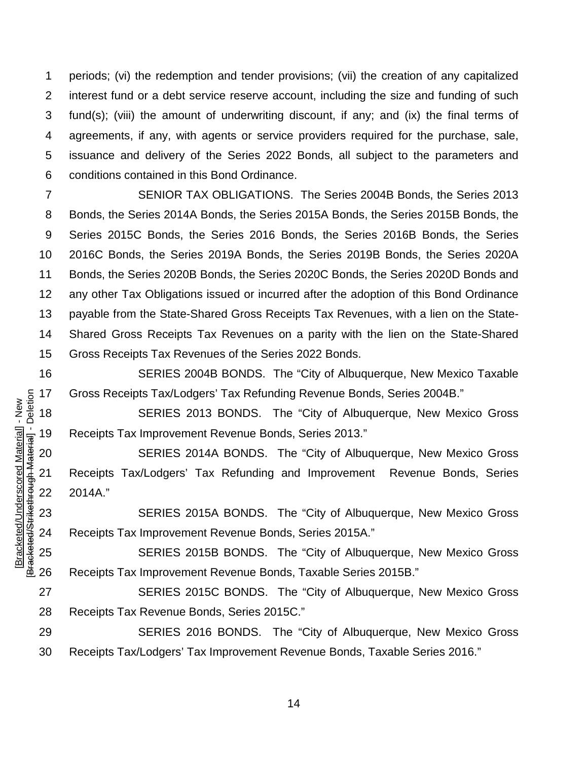periods; (vi) the redemption and tender provisions; (vii) the creation of any capitalized interest fund or a debt service reserve account, including the size and funding of such fund(s); (viii) the amount of underwriting discount, if any; and (ix) the final terms of agreements, if any, with agents or service providers required for the purchase, sale, issuance and delivery of the Series 2022 Bonds, all subject to the parameters and conditions contained in this Bond Ordinance.

 SENIOR TAX OBLIGATIONS. The Series 2004B Bonds, the Series 2013 Bonds, the Series 2014A Bonds, the Series 2015A Bonds, the Series 2015B Bonds, the Series 2015C Bonds, the Series 2016 Bonds, the Series 2016B Bonds, the Series 2016C Bonds, the Series 2019A Bonds, the Series 2019B Bonds, the Series 2020A Bonds, the Series 2020B Bonds, the Series 2020C Bonds, the Series 2020D Bonds and any other Tax Obligations issued or incurred after the adoption of this Bond Ordinance payable from the State-Shared Gross Receipts Tax Revenues, with a lien on the State- Shared Gross Receipts Tax Revenues on a parity with the lien on the State-Shared Gross Receipts Tax Revenues of the Series 2022 Bonds.

 SERIES 2004B BONDS. The "City of Albuquerque, New Mexico Taxable Gross Receipts Tax/Lodgers' Tax Refunding Revenue Bonds, Series 2004B."

 SERIES 2013 BONDS. The "City of Albuquerque, New Mexico Gross Receipts Tax Improvement Revenue Bonds, Series 2013."

 SERIES 2014A BONDS. The "City of Albuquerque, New Mexico Gross Receipts Tax/Lodgers' Tax Refunding and Improvement Revenue Bonds, Series 2014A."

 SERIES 2015A BONDS. The "City of Albuquerque, New Mexico Gross Receipts Tax Improvement Revenue Bonds, Series 2015A."

 SERIES 2015B BONDS. The "City of Albuquerque, New Mexico Gross Receipts Tax Improvement Revenue Bonds, Taxable Series 2015B."

 SERIES 2015C BONDS. The "City of Albuquerque, New Mexico Gross Receipts Tax Revenue Bonds, Series 2015C."

 SERIES 2016 BONDS. The "City of Albuquerque, New Mexico Gross Receipts Tax/Lodgers' Tax Improvement Revenue Bonds, Taxable Series 2016."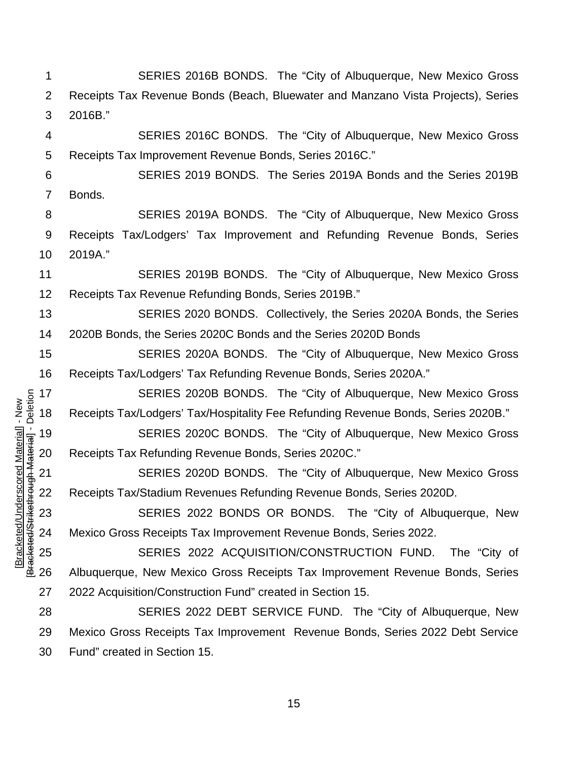SERIES 2016B BONDS. The "City of Albuquerque, New Mexico Gross Receipts Tax Revenue Bonds (Beach, Bluewater and Manzano Vista Projects), Series 2016B."

 SERIES 2016C BONDS. The "City of Albuquerque, New Mexico Gross Receipts Tax Improvement Revenue Bonds, Series 2016C."

 SERIES 2019 BONDS. The Series 2019A Bonds and the Series 2019B Bonds.

 SERIES 2019A BONDS. The "City of Albuquerque, New Mexico Gross Receipts Tax/Lodgers' Tax Improvement and Refunding Revenue Bonds, Series 2019A."

 SERIES 2019B BONDS. The "City of Albuquerque, New Mexico Gross Receipts Tax Revenue Refunding Bonds, Series 2019B."

 SERIES 2020 BONDS. Collectively, the Series 2020A Bonds, the Series 2020B Bonds, the Series 2020C Bonds and the Series 2020D Bonds

 SERIES 2020A BONDS. The "City of Albuquerque, New Mexico Gross Receipts Tax/Lodgers' Tax Refunding Revenue Bonds, Series 2020A."

 SERIES 2020B BONDS. The "City of Albuquerque, New Mexico Gross Receipts Tax/Lodgers' Tax/Hospitality Fee Refunding Revenue Bonds, Series 2020B."

 SERIES 2020C BONDS. The "City of Albuquerque, New Mexico Gross Receipts Tax Refunding Revenue Bonds, Series 2020C."

 SERIES 2020D BONDS. The "City of Albuquerque, New Mexico Gross Receipts Tax/Stadium Revenues Refunding Revenue Bonds, Series 2020D.

[Bracketed/Underscored Material] - New [Bracketed/Strikethrough Material] - Deletion

Bracketed/Strikethrough Material] - Deletion Bracketed/Underscored Material] - New

 SERIES 2022 BONDS OR BONDS. The "City of Albuquerque, New Mexico Gross Receipts Tax Improvement Revenue Bonds, Series 2022.

 SERIES 2022 ACQUISITION/CONSTRUCTION FUND. The "City of Albuquerque, New Mexico Gross Receipts Tax Improvement Revenue Bonds, Series 2022 Acquisition/Construction Fund" created in Section 15.

 SERIES 2022 DEBT SERVICE FUND. The "City of Albuquerque, New Mexico Gross Receipts Tax Improvement Revenue Bonds, Series 2022 Debt Service Fund" created in Section 15.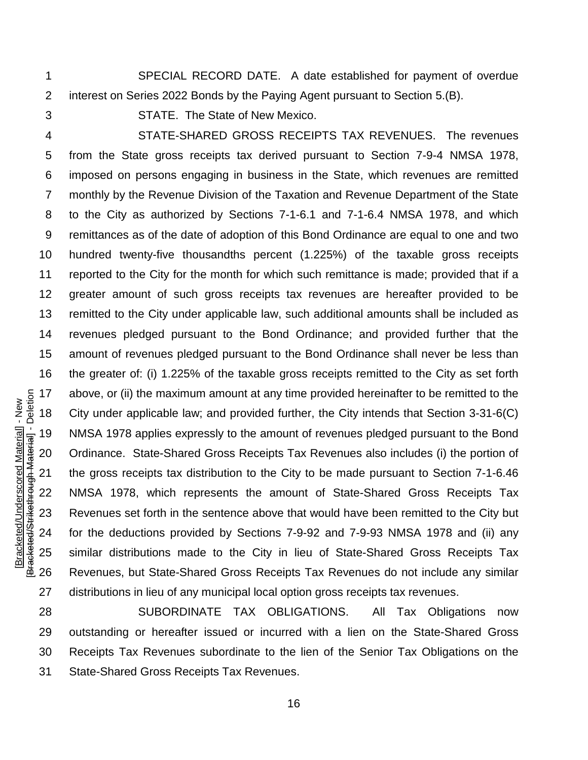SPECIAL RECORD DATE. A date established for payment of overdue interest on Series 2022 Bonds by the Paying Agent pursuant to Section 5.(B).

STATE. The State of New Mexico.

 STATE-SHARED GROSS RECEIPTS TAX REVENUES. The revenues from the State gross receipts tax derived pursuant to Section 7-9-4 NMSA 1978, imposed on persons engaging in business in the State, which revenues are remitted monthly by the Revenue Division of the Taxation and Revenue Department of the State to the City as authorized by Sections 7-1-6.1 and 7-1-6.4 NMSA 1978, and which remittances as of the date of adoption of this Bond Ordinance are equal to one and two hundred twenty-five thousandths percent (1.225%) of the taxable gross receipts reported to the City for the month for which such remittance is made; provided that if a greater amount of such gross receipts tax revenues are hereafter provided to be remitted to the City under applicable law, such additional amounts shall be included as revenues pledged pursuant to the Bond Ordinance; and provided further that the amount of revenues pledged pursuant to the Bond Ordinance shall never be less than the greater of: (i) 1.225% of the taxable gross receipts remitted to the City as set forth above, or (ii) the maximum amount at any time provided hereinafter to be remitted to the City under applicable law; and provided further, the City intends that Section 3-31-6(C) NMSA 1978 applies expressly to the amount of revenues pledged pursuant to the Bond Ordinance. State-Shared Gross Receipts Tax Revenues also includes (i) the portion of the gross receipts tax distribution to the City to be made pursuant to Section 7-1-6.46 NMSA 1978, which represents the amount of State-Shared Gross Receipts Tax Revenues set forth in the sentence above that would have been remitted to the City but for the deductions provided by Sections 7-9-92 and 7-9-93 NMSA 1978 and (ii) any similar distributions made to the City in lieu of State-Shared Gross Receipts Tax Revenues, but State-Shared Gross Receipts Tax Revenues do not include any similar distributions in lieu of any municipal local option gross receipts tax revenues.

 SUBORDINATE TAX OBLIGATIONS. All Tax Obligations now outstanding or hereafter issued or incurred with a lien on the State-Shared Gross Receipts Tax Revenues subordinate to the lien of the Senior Tax Obligations on the State-Shared Gross Receipts Tax Revenues.

Bracketed/Strikethrough Material] - Deletion [Bracketed/Strikethrough Material] - Deletion Bracketed/Underscored Material] - New [Bracketed/Underscored Material] - New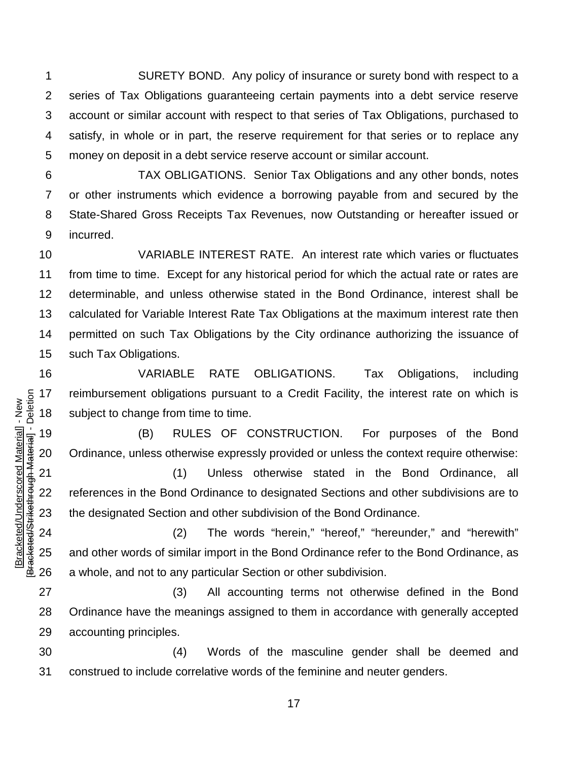SURETY BOND. Any policy of insurance or surety bond with respect to a series of Tax Obligations guaranteeing certain payments into a debt service reserve account or similar account with respect to that series of Tax Obligations, purchased to satisfy, in whole or in part, the reserve requirement for that series or to replace any money on deposit in a debt service reserve account or similar account.

 TAX OBLIGATIONS. Senior Tax Obligations and any other bonds, notes or other instruments which evidence a borrowing payable from and secured by the State-Shared Gross Receipts Tax Revenues, now Outstanding or hereafter issued or incurred.

 VARIABLE INTEREST RATE. An interest rate which varies or fluctuates from time to time. Except for any historical period for which the actual rate or rates are determinable, and unless otherwise stated in the Bond Ordinance, interest shall be calculated for Variable Interest Rate Tax Obligations at the maximum interest rate then permitted on such Tax Obligations by the City ordinance authorizing the issuance of such Tax Obligations.

 VARIABLE RATE OBLIGATIONS. Tax Obligations, including reimbursement obligations pursuant to a Credit Facility, the interest rate on which is subject to change from time to time.

 (B) RULES OF CONSTRUCTION. For purposes of the Bond Ordinance, unless otherwise expressly provided or unless the context require otherwise:

 (1) Unless otherwise stated in the Bond Ordinance, all references in the Bond Ordinance to designated Sections and other subdivisions are to the designated Section and other subdivision of the Bond Ordinance.

[Bracketed/Underscored Material] - New [Bracketed/Strikethrough Material] - Deletion

Bracketed/Strikethrough Material] - Deletion Bracketed/Underscored Material] - New

 (2) The words "herein," "hereof," "hereunder," and "herewith" and other words of similar import in the Bond Ordinance refer to the Bond Ordinance, as a whole, and not to any particular Section or other subdivision.

 (3) All accounting terms not otherwise defined in the Bond Ordinance have the meanings assigned to them in accordance with generally accepted accounting principles.

 (4) Words of the masculine gender shall be deemed and construed to include correlative words of the feminine and neuter genders.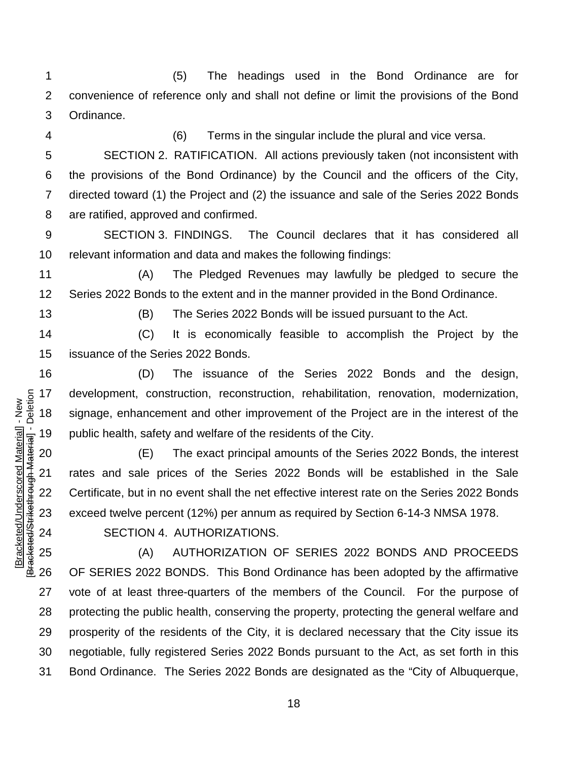(5) The headings used in the Bond Ordinance are for convenience of reference only and shall not define or limit the provisions of the Bond Ordinance.

(6) Terms in the singular include the plural and vice versa.

 SECTION 2. RATIFICATION. All actions previously taken (not inconsistent with the provisions of the Bond Ordinance) by the Council and the officers of the City, directed toward (1) the Project and (2) the issuance and sale of the Series 2022 Bonds are ratified, approved and confirmed.

 SECTION 3. FINDINGS. The Council declares that it has considered all relevant information and data and makes the following findings:

 (A) The Pledged Revenues may lawfully be pledged to secure the Series 2022 Bonds to the extent and in the manner provided in the Bond Ordinance.

[Bracketed/Underscored Material] - New [Bracketed/Strikethrough Material] - Deletion

Bracketed/Strikethrough Material] - Deletion Bracketed/Underscored Material] - New

(B) The Series 2022 Bonds will be issued pursuant to the Act.

 (C) It is economically feasible to accomplish the Project by the issuance of the Series 2022 Bonds.

 (D) The issuance of the Series 2022 Bonds and the design, development, construction, reconstruction, rehabilitation, renovation, modernization, signage, enhancement and other improvement of the Project are in the interest of the public health, safety and welfare of the residents of the City.

 (E) The exact principal amounts of the Series 2022 Bonds, the interest rates and sale prices of the Series 2022 Bonds will be established in the Sale Certificate, but in no event shall the net effective interest rate on the Series 2022 Bonds exceed twelve percent (12%) per annum as required by Section 6-14-3 NMSA 1978.

SECTION 4. AUTHORIZATIONS.

 (A) AUTHORIZATION OF SERIES 2022 BONDS AND PROCEEDS OF SERIES 2022 BONDS. This Bond Ordinance has been adopted by the affirmative vote of at least three-quarters of the members of the Council. For the purpose of protecting the public health, conserving the property, protecting the general welfare and prosperity of the residents of the City, it is declared necessary that the City issue its negotiable, fully registered Series 2022 Bonds pursuant to the Act, as set forth in this Bond Ordinance. The Series 2022 Bonds are designated as the "City of Albuquerque,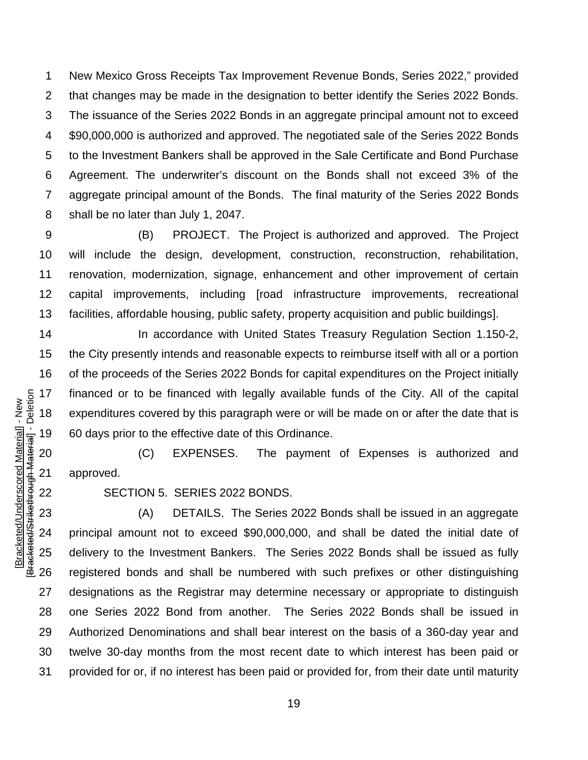New Mexico Gross Receipts Tax Improvement Revenue Bonds, Series 2022," provided that changes may be made in the designation to better identify the Series 2022 Bonds. The issuance of the Series 2022 Bonds in an aggregate principal amount not to exceed \$90,000,000 is authorized and approved. The negotiated sale of the Series 2022 Bonds to the Investment Bankers shall be approved in the Sale Certificate and Bond Purchase Agreement. The underwriter's discount on the Bonds shall not exceed 3% of the aggregate principal amount of the Bonds. The final maturity of the Series 2022 Bonds shall be no later than July 1, 2047.

 (B) PROJECT. The Project is authorized and approved. The Project will include the design, development, construction, reconstruction, rehabilitation, renovation, modernization, signage, enhancement and other improvement of certain capital improvements, including [road infrastructure improvements, recreational facilities, affordable housing, public safety, property acquisition and public buildings].

 In accordance with United States Treasury Regulation Section 1.150-2, the City presently intends and reasonable expects to reimburse itself with all or a portion of the proceeds of the Series 2022 Bonds for capital expenditures on the Project initially financed or to be financed with legally available funds of the City. All of the capital expenditures covered by this paragraph were or will be made on or after the date that is 60 days prior to the effective date of this Ordinance.

 (C) EXPENSES. The payment of Expenses is authorized and approved.

SECTION 5. SERIES 2022 BONDS.

 (A) DETAILS. The Series 2022 Bonds shall be issued in an aggregate principal amount not to exceed \$90,000,000, and shall be dated the initial date of delivery to the Investment Bankers. The Series 2022 Bonds shall be issued as fully registered bonds and shall be numbered with such prefixes or other distinguishing designations as the Registrar may determine necessary or appropriate to distinguish one Series 2022 Bond from another. The Series 2022 Bonds shall be issued in Authorized Denominations and shall bear interest on the basis of a 360-day year and twelve 30-day months from the most recent date to which interest has been paid or provided for or, if no interest has been paid or provided for, from their date until maturity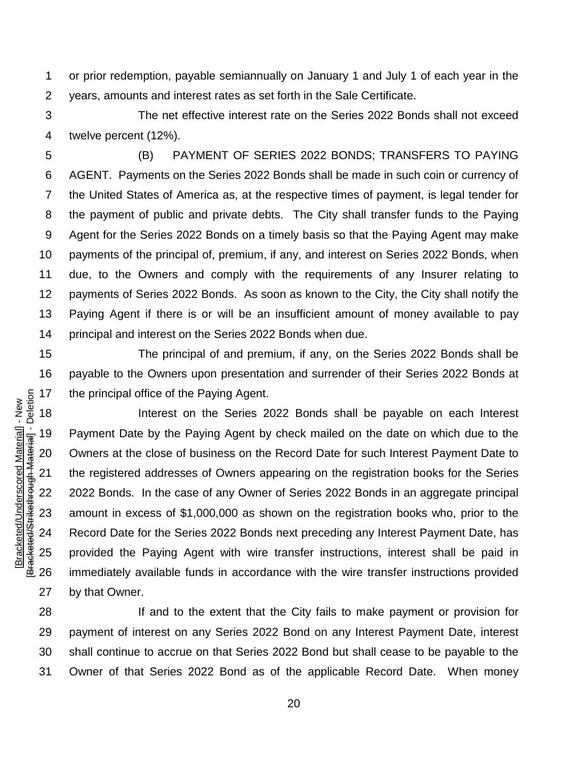or prior redemption, payable semiannually on January 1 and July 1 of each year in the years, amounts and interest rates as set forth in the Sale Certificate.

 The net effective interest rate on the Series 2022 Bonds shall not exceed twelve percent (12%).

 (B) PAYMENT OF SERIES 2022 BONDS; TRANSFERS TO PAYING AGENT. Payments on the Series 2022 Bonds shall be made in such coin or currency of the United States of America as, at the respective times of payment, is legal tender for the payment of public and private debts. The City shall transfer funds to the Paying Agent for the Series 2022 Bonds on a timely basis so that the Paying Agent may make payments of the principal of, premium, if any, and interest on Series 2022 Bonds, when due, to the Owners and comply with the requirements of any Insurer relating to payments of Series 2022 Bonds. As soon as known to the City, the City shall notify the Paying Agent if there is or will be an insufficient amount of money available to pay principal and interest on the Series 2022 Bonds when due.

 The principal of and premium, if any, on the Series 2022 Bonds shall be payable to the Owners upon presentation and surrender of their Series 2022 Bonds at the principal office of the Paying Agent.

 Interest on the Series 2022 Bonds shall be payable on each Interest Payment Date by the Paying Agent by check mailed on the date on which due to the Owners at the close of business on the Record Date for such Interest Payment Date to the registered addresses of Owners appearing on the registration books for the Series 2022 Bonds. In the case of any Owner of Series 2022 Bonds in an aggregate principal amount in excess of \$1,000,000 as shown on the registration books who, prior to the Record Date for the Series 2022 Bonds next preceding any Interest Payment Date, has provided the Paying Agent with wire transfer instructions, interest shall be paid in immediately available funds in accordance with the wire transfer instructions provided by that Owner.

28 If and to the extent that the City fails to make payment or provision for payment of interest on any Series 2022 Bond on any Interest Payment Date, interest shall continue to accrue on that Series 2022 Bond but shall cease to be payable to the Owner of that Series 2022 Bond as of the applicable Record Date. When money

Bracketed/Strikethrough Material] - Deletion [Bracketed/Strikethrough Material] - Deletion Bracketed/Underscored Material] - New [Bracketed/Underscored Material] - New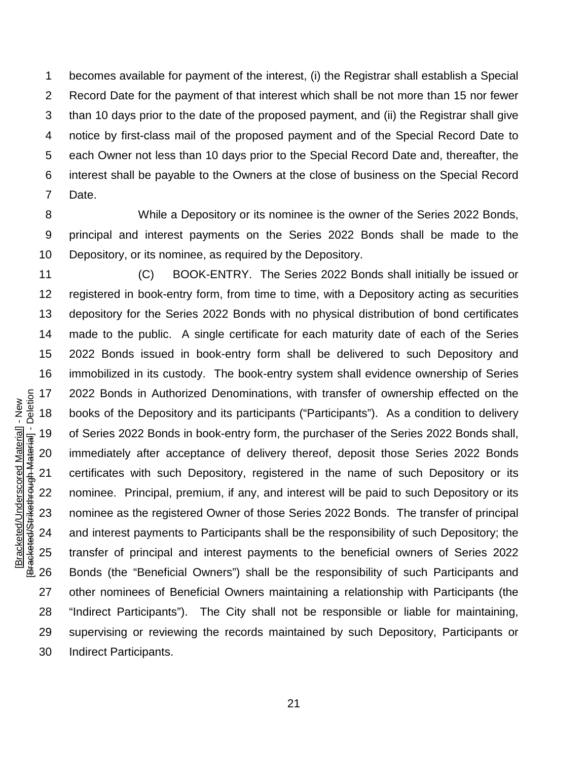becomes available for payment of the interest, (i) the Registrar shall establish a Special Record Date for the payment of that interest which shall be not more than 15 nor fewer than 10 days prior to the date of the proposed payment, and (ii) the Registrar shall give notice by first-class mail of the proposed payment and of the Special Record Date to each Owner not less than 10 days prior to the Special Record Date and, thereafter, the interest shall be payable to the Owners at the close of business on the Special Record Date.

 While a Depository or its nominee is the owner of the Series 2022 Bonds, principal and interest payments on the Series 2022 Bonds shall be made to the Depository, or its nominee, as required by the Depository.

 (C) BOOK-ENTRY. The Series 2022 Bonds shall initially be issued or registered in book-entry form, from time to time, with a Depository acting as securities depository for the Series 2022 Bonds with no physical distribution of bond certificates made to the public. A single certificate for each maturity date of each of the Series 2022 Bonds issued in book-entry form shall be delivered to such Depository and immobilized in its custody. The book-entry system shall evidence ownership of Series 2022 Bonds in Authorized Denominations, with transfer of ownership effected on the books of the Depository and its participants ("Participants"). As a condition to delivery of Series 2022 Bonds in book-entry form, the purchaser of the Series 2022 Bonds shall, immediately after acceptance of delivery thereof, deposit those Series 2022 Bonds certificates with such Depository, registered in the name of such Depository or its nominee. Principal, premium, if any, and interest will be paid to such Depository or its nominee as the registered Owner of those Series 2022 Bonds. The transfer of principal and interest payments to Participants shall be the responsibility of such Depository; the transfer of principal and interest payments to the beneficial owners of Series 2022 Bonds (the "Beneficial Owners") shall be the responsibility of such Participants and other nominees of Beneficial Owners maintaining a relationship with Participants (the "Indirect Participants"). The City shall not be responsible or liable for maintaining, supervising or reviewing the records maintained by such Depository, Participants or Indirect Participants.

Bracketed/Strikethrough Material] - Deletion [Bracketed/Strikethrough Material] - Deletion Bracketed/Underscored Material] - New [Bracketed/Underscored Material] - New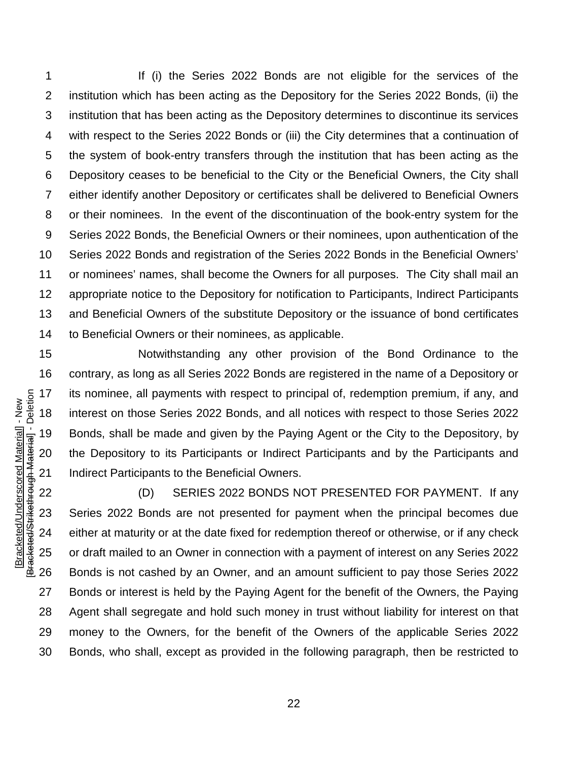If (i) the Series 2022 Bonds are not eligible for the services of the institution which has been acting as the Depository for the Series 2022 Bonds, (ii) the institution that has been acting as the Depository determines to discontinue its services with respect to the Series 2022 Bonds or (iii) the City determines that a continuation of the system of book-entry transfers through the institution that has been acting as the Depository ceases to be beneficial to the City or the Beneficial Owners, the City shall either identify another Depository or certificates shall be delivered to Beneficial Owners or their nominees. In the event of the discontinuation of the book-entry system for the Series 2022 Bonds, the Beneficial Owners or their nominees, upon authentication of the Series 2022 Bonds and registration of the Series 2022 Bonds in the Beneficial Owners' or nominees' names, shall become the Owners for all purposes. The City shall mail an appropriate notice to the Depository for notification to Participants, Indirect Participants and Beneficial Owners of the substitute Depository or the issuance of bond certificates to Beneficial Owners or their nominees, as applicable.

 Notwithstanding any other provision of the Bond Ordinance to the contrary, as long as all Series 2022 Bonds are registered in the name of a Depository or its nominee, all payments with respect to principal of, redemption premium, if any, and interest on those Series 2022 Bonds, and all notices with respect to those Series 2022 Bonds, shall be made and given by the Paying Agent or the City to the Depository, by the Depository to its Participants or Indirect Participants and by the Participants and Indirect Participants to the Beneficial Owners.

 (D) SERIES 2022 BONDS NOT PRESENTED FOR PAYMENT. If any Series 2022 Bonds are not presented for payment when the principal becomes due either at maturity or at the date fixed for redemption thereof or otherwise, or if any check or draft mailed to an Owner in connection with a payment of interest on any Series 2022 Bonds is not cashed by an Owner, and an amount sufficient to pay those Series 2022 Bonds or interest is held by the Paying Agent for the benefit of the Owners, the Paying Agent shall segregate and hold such money in trust without liability for interest on that money to the Owners, for the benefit of the Owners of the applicable Series 2022 Bonds, who shall, except as provided in the following paragraph, then be restricted to

Bracketed/Strikethrough Material] - Deletion [Bracketed/Strikethrough Material] - Deletion Bracketed/Underscored Material] - New [Bracketed/Underscored Material] - New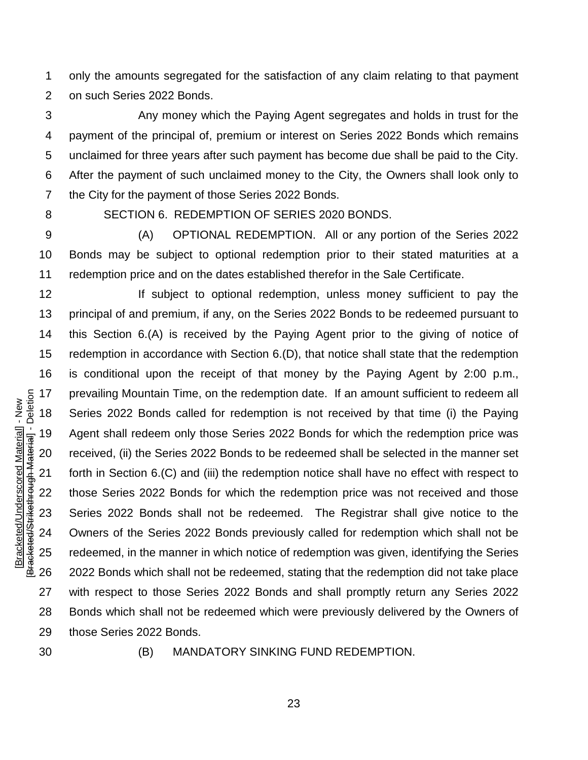only the amounts segregated for the satisfaction of any claim relating to that payment on such Series 2022 Bonds.

 Any money which the Paying Agent segregates and holds in trust for the payment of the principal of, premium or interest on Series 2022 Bonds which remains unclaimed for three years after such payment has become due shall be paid to the City. After the payment of such unclaimed money to the City, the Owners shall look only to the City for the payment of those Series 2022 Bonds.

#### SECTION 6. REDEMPTION OF SERIES 2020 BONDS.

 (A) OPTIONAL REDEMPTION. All or any portion of the Series 2022 Bonds may be subject to optional redemption prior to their stated maturities at a redemption price and on the dates established therefor in the Sale Certificate.

- [Bracketed/Strikethrough Material] Deletion **If subject to optional redemption, unless money sufficient to pay the**  principal of and premium, if any, on the Series 2022 Bonds to be redeemed pursuant to this Section 6.(A) is received by the Paying Agent prior to the giving of notice of redemption in accordance with Section 6.(D), that notice shall state that the redemption is conditional upon the receipt of that money by the Paying Agent by 2:00 p.m., prevailing Mountain Time, on the redemption date. If an amount sufficient to redeem all Series 2022 Bonds called for redemption is not received by that time (i) the Paying Agent shall redeem only those Series 2022 Bonds for which the redemption price was received, (ii) the Series 2022 Bonds to be redeemed shall be selected in the manner set forth in Section 6.(C) and (iii) the redemption notice shall have no effect with respect to those Series 2022 Bonds for which the redemption price was not received and those Series 2022 Bonds shall not be redeemed. The Registrar shall give notice to the Owners of the Series 2022 Bonds previously called for redemption which shall not be redeemed, in the manner in which notice of redemption was given, identifying the Series 2022 Bonds which shall not be redeemed, stating that the redemption did not take place with respect to those Series 2022 Bonds and shall promptly return any Series 2022 Bonds which shall not be redeemed which were previously delivered by the Owners of those Series 2022 Bonds.
- 

[Bracketed/Underscored Material] - New

Bracketed/Strikethrough Material] - Deletion Bracketed/Underscored Material] - New

(B) MANDATORY SINKING FUND REDEMPTION.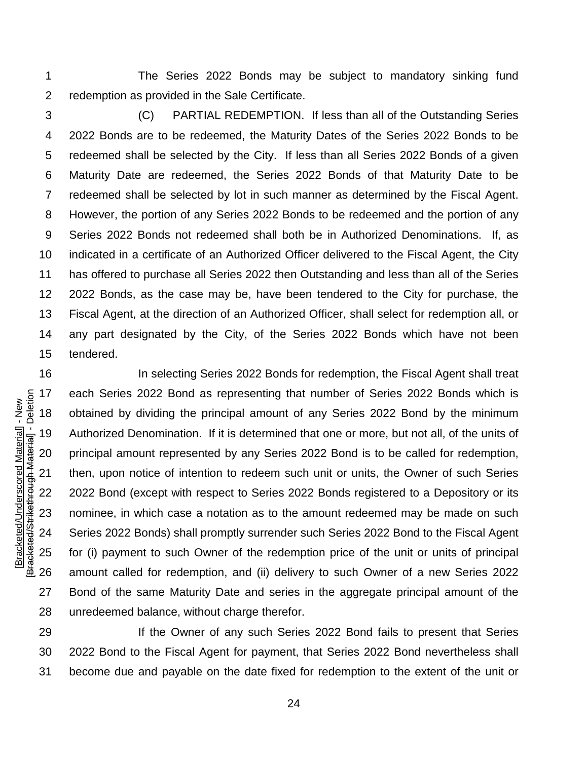The Series 2022 Bonds may be subject to mandatory sinking fund redemption as provided in the Sale Certificate.

 (C) PARTIAL REDEMPTION. If less than all of the Outstanding Series 2022 Bonds are to be redeemed, the Maturity Dates of the Series 2022 Bonds to be redeemed shall be selected by the City. If less than all Series 2022 Bonds of a given Maturity Date are redeemed, the Series 2022 Bonds of that Maturity Date to be redeemed shall be selected by lot in such manner as determined by the Fiscal Agent. However, the portion of any Series 2022 Bonds to be redeemed and the portion of any Series 2022 Bonds not redeemed shall both be in Authorized Denominations. If, as indicated in a certificate of an Authorized Officer delivered to the Fiscal Agent, the City has offered to purchase all Series 2022 then Outstanding and less than all of the Series 2022 Bonds, as the case may be, have been tendered to the City for purchase, the Fiscal Agent, at the direction of an Authorized Officer, shall select for redemption all, or any part designated by the City, of the Series 2022 Bonds which have not been tendered.

**In selecting Series 2022 Bonds for redemption, the Fiscal Agent shall treat**  each Series 2022 Bond as representing that number of Series 2022 Bonds which is obtained by dividing the principal amount of any Series 2022 Bond by the minimum Authorized Denomination. If it is determined that one or more, but not all, of the units of principal amount represented by any Series 2022 Bond is to be called for redemption, then, upon notice of intention to redeem such unit or units, the Owner of such Series 22 2022 Bond (except with respect to Series 2022 Bonds registered to a Depository or its nominee, in which case a notation as to the amount redeemed may be made on such Series 2022 Bonds) shall promptly surrender such Series 2022 Bond to the Fiscal Agent for (i) payment to such Owner of the redemption price of the unit or units of principal amount called for redemption, and (ii) delivery to such Owner of a new Series 2022 Bond of the same Maturity Date and series in the aggregate principal amount of the unredeemed balance, without charge therefor.

**If the Owner of any such Series 2022 Bond fails to present that Series**  2022 Bond to the Fiscal Agent for payment, that Series 2022 Bond nevertheless shall become due and payable on the date fixed for redemption to the extent of the unit or

Bracketed/Strikethrough Material] - Deletion [Bracketed/Strikethrough Material] - Deletion Bracketed/Underscored Material] - New [Bracketed/Underscored Material] - New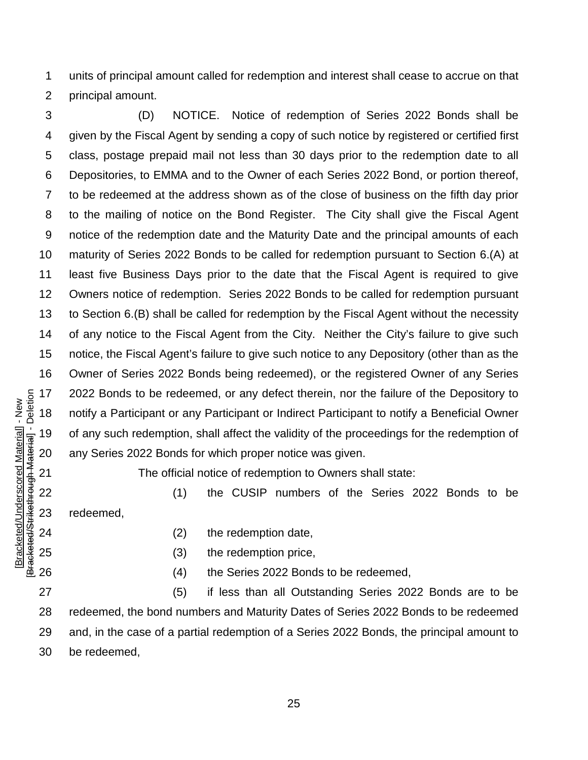units of principal amount called for redemption and interest shall cease to accrue on that principal amount.

 (D) NOTICE. Notice of redemption of Series 2022 Bonds shall be given by the Fiscal Agent by sending a copy of such notice by registered or certified first class, postage prepaid mail not less than 30 days prior to the redemption date to all Depositories, to EMMA and to the Owner of each Series 2022 Bond, or portion thereof, to be redeemed at the address shown as of the close of business on the fifth day prior to the mailing of notice on the Bond Register. The City shall give the Fiscal Agent notice of the redemption date and the Maturity Date and the principal amounts of each maturity of Series 2022 Bonds to be called for redemption pursuant to Section 6.(A) at least five Business Days prior to the date that the Fiscal Agent is required to give Owners notice of redemption. Series 2022 Bonds to be called for redemption pursuant to Section 6.(B) shall be called for redemption by the Fiscal Agent without the necessity of any notice to the Fiscal Agent from the City. Neither the City's failure to give such notice, the Fiscal Agent's failure to give such notice to any Depository (other than as the Owner of Series 2022 Bonds being redeemed), or the registered Owner of any Series 2022 Bonds to be redeemed, or any defect therein, nor the failure of the Depository to notify a Participant or any Participant or Indirect Participant to notify a Beneficial Owner of any such redemption, shall affect the validity of the proceedings for the redemption of any Series 2022 Bonds for which proper notice was given.

The official notice of redemption to Owners shall state:

22 (1) the CUSIP numbers of the Series 2022 Bonds to be redeemed,

(2) the redemption date,

[Bracketed/Underscored Material] - New [Bracketed/Strikethrough Material] - Deletion

Bracketed/Strikethrough Material] - Deletion Bracketed/Underscored Material] - New

(3) the redemption price,

(4) the Series 2022 Bonds to be redeemed,

 (5) if less than all Outstanding Series 2022 Bonds are to be redeemed, the bond numbers and Maturity Dates of Series 2022 Bonds to be redeemed and, in the case of a partial redemption of a Series 2022 Bonds, the principal amount to be redeemed,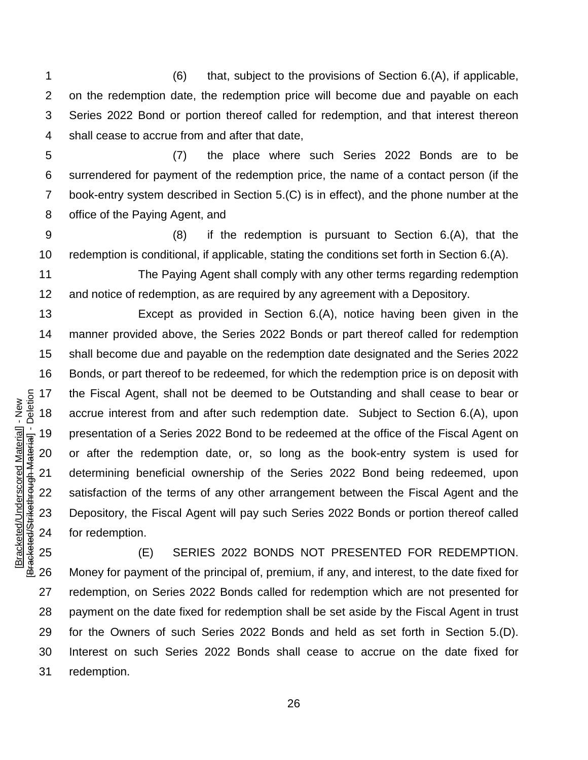(6) that, subject to the provisions of Section 6.(A), if applicable, on the redemption date, the redemption price will become due and payable on each Series 2022 Bond or portion thereof called for redemption, and that interest thereon shall cease to accrue from and after that date,

 (7) the place where such Series 2022 Bonds are to be surrendered for payment of the redemption price, the name of a contact person (if the book-entry system described in Section 5.(C) is in effect), and the phone number at the office of the Paying Agent, and

 (8) if the redemption is pursuant to Section 6.(A), that the redemption is conditional, if applicable, stating the conditions set forth in Section 6.(A).

11 The Paying Agent shall comply with any other terms regarding redemption and notice of redemption, as are required by any agreement with a Depository.

 Except as provided in Section 6.(A), notice having been given in the manner provided above, the Series 2022 Bonds or part thereof called for redemption shall become due and payable on the redemption date designated and the Series 2022 Bonds, or part thereof to be redeemed, for which the redemption price is on deposit with the Fiscal Agent, shall not be deemed to be Outstanding and shall cease to bear or accrue interest from and after such redemption date. Subject to Section 6.(A), upon presentation of a Series 2022 Bond to be redeemed at the office of the Fiscal Agent on or after the redemption date, or, so long as the book-entry system is used for determining beneficial ownership of the Series 2022 Bond being redeemed, upon satisfaction of the terms of any other arrangement between the Fiscal Agent and the Depository, the Fiscal Agent will pay such Series 2022 Bonds or portion thereof called for redemption.

 (E) SERIES 2022 BONDS NOT PRESENTED FOR REDEMPTION. Money for payment of the principal of, premium, if any, and interest, to the date fixed for redemption, on Series 2022 Bonds called for redemption which are not presented for payment on the date fixed for redemption shall be set aside by the Fiscal Agent in trust for the Owners of such Series 2022 Bonds and held as set forth in Section 5.(D). Interest on such Series 2022 Bonds shall cease to accrue on the date fixed for redemption.

Bracketed/Strikethrough Material] - Deletion [Bracketed/Strikethrough Material] - Deletion Bracketed/Underscored Material] - New [Bracketed/Underscored Material] - New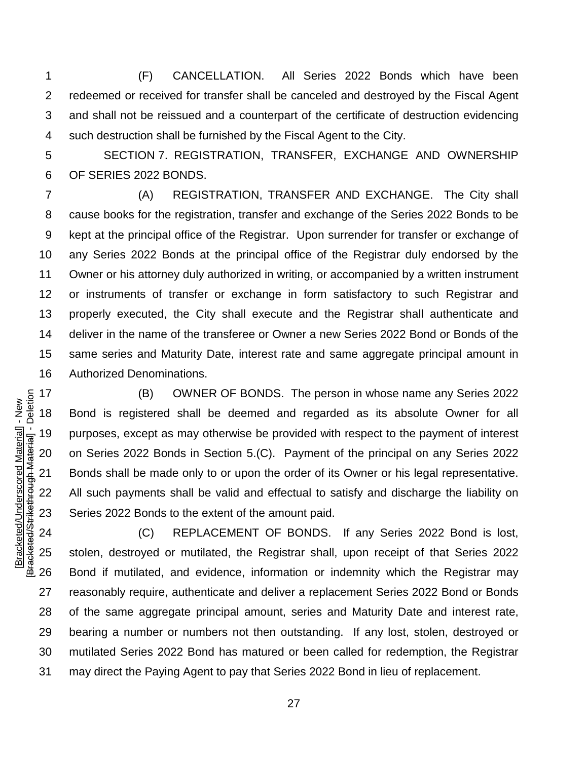(F) CANCELLATION. All Series 2022 Bonds which have been redeemed or received for transfer shall be canceled and destroyed by the Fiscal Agent and shall not be reissued and a counterpart of the certificate of destruction evidencing such destruction shall be furnished by the Fiscal Agent to the City.

 SECTION 7. REGISTRATION, TRANSFER, EXCHANGE AND OWNERSHIP OF SERIES 2022 BONDS.

 (A) REGISTRATION, TRANSFER AND EXCHANGE. The City shall cause books for the registration, transfer and exchange of the Series 2022 Bonds to be kept at the principal office of the Registrar. Upon surrender for transfer or exchange of any Series 2022 Bonds at the principal office of the Registrar duly endorsed by the Owner or his attorney duly authorized in writing, or accompanied by a written instrument or instruments of transfer or exchange in form satisfactory to such Registrar and properly executed, the City shall execute and the Registrar shall authenticate and deliver in the name of the transferee or Owner a new Series 2022 Bond or Bonds of the same series and Maturity Date, interest rate and same aggregate principal amount in Authorized Denominations.

 (B) OWNER OF BONDS. The person in whose name any Series 2022 Bond is registered shall be deemed and regarded as its absolute Owner for all purposes, except as may otherwise be provided with respect to the payment of interest on Series 2022 Bonds in Section 5.(C). Payment of the principal on any Series 2022 Bonds shall be made only to or upon the order of its Owner or his legal representative. All such payments shall be valid and effectual to satisfy and discharge the liability on Series 2022 Bonds to the extent of the amount paid.

[Bracketed/Underscored Material] - New [Bracketed/Strikethrough Material] - Deletion

Bracketed/Strikethrough Material] - Deletion Bracketed/Underscored Material] - New

 (C) REPLACEMENT OF BONDS. If any Series 2022 Bond is lost, stolen, destroyed or mutilated, the Registrar shall, upon receipt of that Series 2022 Bond if mutilated, and evidence, information or indemnity which the Registrar may reasonably require, authenticate and deliver a replacement Series 2022 Bond or Bonds of the same aggregate principal amount, series and Maturity Date and interest rate, bearing a number or numbers not then outstanding. If any lost, stolen, destroyed or mutilated Series 2022 Bond has matured or been called for redemption, the Registrar may direct the Paying Agent to pay that Series 2022 Bond in lieu of replacement.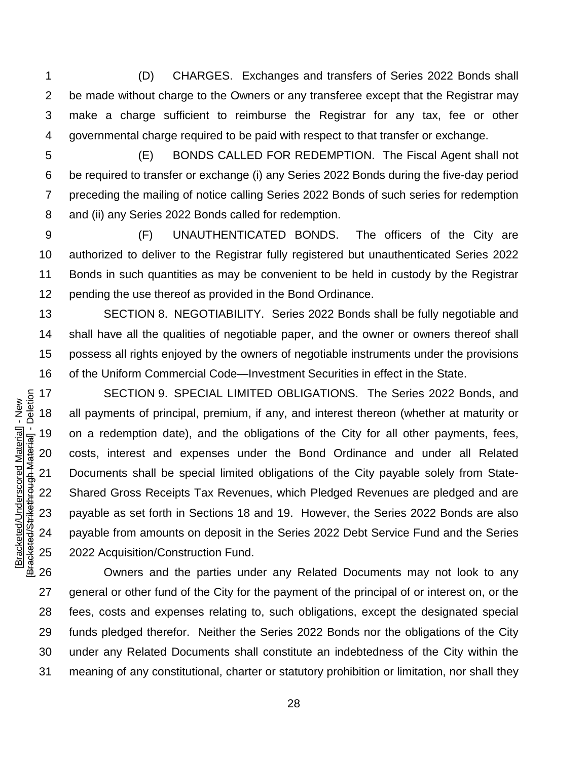(D) CHARGES. Exchanges and transfers of Series 2022 Bonds shall be made without charge to the Owners or any transferee except that the Registrar may make a charge sufficient to reimburse the Registrar for any tax, fee or other governmental charge required to be paid with respect to that transfer or exchange.

 (E) BONDS CALLED FOR REDEMPTION. The Fiscal Agent shall not be required to transfer or exchange (i) any Series 2022 Bonds during the five-day period preceding the mailing of notice calling Series 2022 Bonds of such series for redemption and (ii) any Series 2022 Bonds called for redemption.

 (F) UNAUTHENTICATED BONDS. The officers of the City are authorized to deliver to the Registrar fully registered but unauthenticated Series 2022 Bonds in such quantities as may be convenient to be held in custody by the Registrar 12 pending the use thereof as provided in the Bond Ordinance.

 SECTION 8. NEGOTIABILITY. Series 2022 Bonds shall be fully negotiable and shall have all the qualities of negotiable paper, and the owner or owners thereof shall possess all rights enjoyed by the owners of negotiable instruments under the provisions of the Uniform Commercial Code—Investment Securities in effect in the State.

 SECTION 9. SPECIAL LIMITED OBLIGATIONS. The Series 2022 Bonds, and all payments of principal, premium, if any, and interest thereon (whether at maturity or on a redemption date), and the obligations of the City for all other payments, fees, costs, interest and expenses under the Bond Ordinance and under all Related Documents shall be special limited obligations of the City payable solely from State- Shared Gross Receipts Tax Revenues, which Pledged Revenues are pledged and are payable as set forth in Sections 18 and 19. However, the Series 2022 Bonds are also payable from amounts on deposit in the Series 2022 Debt Service Fund and the Series 2022 Acquisition/Construction Fund.

 Owners and the parties under any Related Documents may not look to any 27 general or other fund of the City for the payment of the principal of or interest on, or the fees, costs and expenses relating to, such obligations, except the designated special funds pledged therefor. Neither the Series 2022 Bonds nor the obligations of the City under any Related Documents shall constitute an indebtedness of the City within the meaning of any constitutional, charter or statutory prohibition or limitation, nor shall they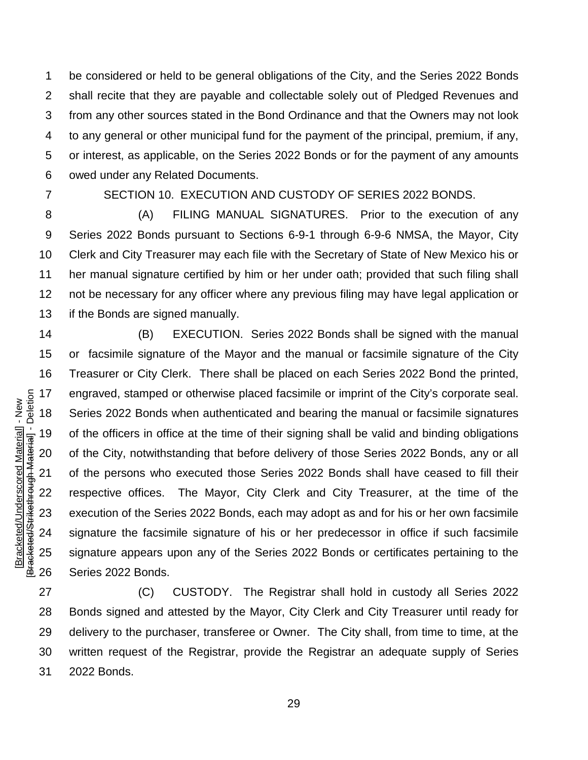be considered or held to be general obligations of the City, and the Series 2022 Bonds shall recite that they are payable and collectable solely out of Pledged Revenues and from any other sources stated in the Bond Ordinance and that the Owners may not look to any general or other municipal fund for the payment of the principal, premium, if any, or interest, as applicable, on the Series 2022 Bonds or for the payment of any amounts owed under any Related Documents.

[Bracketed/Underscored Material] - New [Bracketed/Strikethrough Material] - Deletion

Bracketed/Strikethrough Material] - Deletion Bracketed/Underscored Material] - New

### SECTION 10. EXECUTION AND CUSTODY OF SERIES 2022 BONDS.

 (A) FILING MANUAL SIGNATURES. Prior to the execution of any Series 2022 Bonds pursuant to Sections 6-9-1 through 6-9-6 NMSA, the Mayor, City Clerk and City Treasurer may each file with the Secretary of State of New Mexico his or her manual signature certified by him or her under oath; provided that such filing shall not be necessary for any officer where any previous filing may have legal application or if the Bonds are signed manually.

 (B) EXECUTION. Series 2022 Bonds shall be signed with the manual or facsimile signature of the Mayor and the manual or facsimile signature of the City Treasurer or City Clerk. There shall be placed on each Series 2022 Bond the printed, engraved, stamped or otherwise placed facsimile or imprint of the City's corporate seal. Series 2022 Bonds when authenticated and bearing the manual or facsimile signatures of the officers in office at the time of their signing shall be valid and binding obligations of the City, notwithstanding that before delivery of those Series 2022 Bonds, any or all of the persons who executed those Series 2022 Bonds shall have ceased to fill their respective offices. The Mayor, City Clerk and City Treasurer, at the time of the execution of the Series 2022 Bonds, each may adopt as and for his or her own facsimile signature the facsimile signature of his or her predecessor in office if such facsimile signature appears upon any of the Series 2022 Bonds or certificates pertaining to the Series 2022 Bonds.

 (C) CUSTODY. The Registrar shall hold in custody all Series 2022 Bonds signed and attested by the Mayor, City Clerk and City Treasurer until ready for delivery to the purchaser, transferee or Owner. The City shall, from time to time, at the written request of the Registrar, provide the Registrar an adequate supply of Series 2022 Bonds.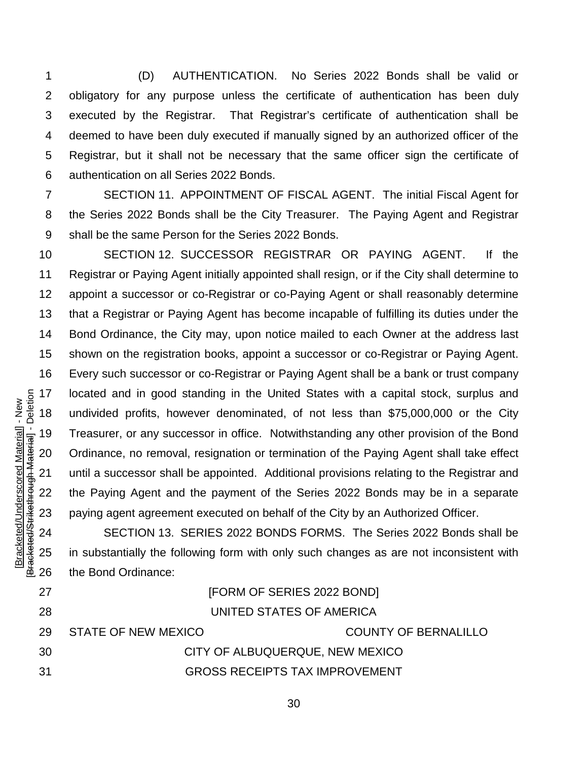(D) AUTHENTICATION. No Series 2022 Bonds shall be valid or obligatory for any purpose unless the certificate of authentication has been duly executed by the Registrar. That Registrar's certificate of authentication shall be deemed to have been duly executed if manually signed by an authorized officer of the Registrar, but it shall not be necessary that the same officer sign the certificate of authentication on all Series 2022 Bonds.

 SECTION 11. APPOINTMENT OF FISCAL AGENT. The initial Fiscal Agent for the Series 2022 Bonds shall be the City Treasurer. The Paying Agent and Registrar shall be the same Person for the Series 2022 Bonds.

 SECTION 12. SUCCESSOR REGISTRAR OR PAYING AGENT. If the Registrar or Paying Agent initially appointed shall resign, or if the City shall determine to appoint a successor or co-Registrar or co-Paying Agent or shall reasonably determine that a Registrar or Paying Agent has become incapable of fulfilling its duties under the Bond Ordinance, the City may, upon notice mailed to each Owner at the address last shown on the registration books, appoint a successor or co-Registrar or Paying Agent. Every such successor or co-Registrar or Paying Agent shall be a bank or trust company 17 located and in good standing in the United States with a capital stock, surplus and<br>  $\frac{1}{2}$  and undivided profits, however denominated, of not less than \$75,000,000 or the City<br>  $\frac{1}{2}$  Treasurer, or any successor undivided profits, however denominated, of not less than \$75,000,000 or the City Treasurer, or any successor in office. Notwithstanding any other provision of the Bond Ordinance, no removal, resignation or termination of the Paying Agent shall take effect until a successor shall be appointed. Additional provisions relating to the Registrar and the Paying Agent and the payment of the Series 2022 Bonds may be in a separate paying agent agreement executed on behalf of the City by an Authorized Officer.

SECTION 13. SERIES 2022 BONDS FORMS. The Series 2022 Bonds shall be in substantially the following form with only such changes as are not inconsistent with the Bond Ordinance:

| -27 |                     | [FORM OF SERIES 2022 BOND]            |
|-----|---------------------|---------------------------------------|
| -28 |                     | UNITED STATES OF AMERICA              |
| -29 | STATE OF NEW MEXICO | <b>COUNTY OF BERNALILLO</b>           |
| 30  |                     | CITY OF ALBUQUERQUE, NEW MEXICO       |
| -31 |                     | <b>GROSS RECEIPTS TAX IMPROVEMENT</b> |

[Bracketed/Underscored Material] - New [Bracketed/Strikethrough Material] - Deletion

Bracketed/Underscored Material] - New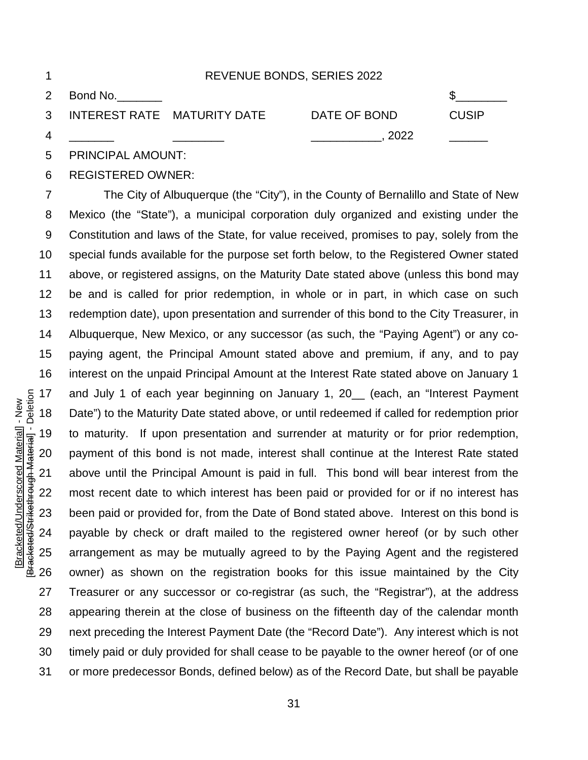| -1 |                           |                               | REVENUE BONDS, SERIES 2022 |              |  |
|----|---------------------------|-------------------------------|----------------------------|--------------|--|
|    | 2 Bond No.                |                               |                            |              |  |
|    |                           | 3 INTEREST RATE MATURITY DATE | DATE OF BOND               | <b>CUSIP</b> |  |
| 4  |                           |                               | 2022                       |              |  |
|    | <b>BBILLOIBAL ALIALIT</b> |                               |                            |              |  |

PRINCIPAL AMOUNT:

## REGISTERED OWNER:

 The City of Albuquerque (the "City"), in the County of Bernalillo and State of New Mexico (the "State"), a municipal corporation duly organized and existing under the Constitution and laws of the State, for value received, promises to pay, solely from the special funds available for the purpose set forth below, to the Registered Owner stated above, or registered assigns, on the Maturity Date stated above (unless this bond may be and is called for prior redemption, in whole or in part, in which case on such redemption date), upon presentation and surrender of this bond to the City Treasurer, in Albuquerque, New Mexico, or any successor (as such, the "Paying Agent") or any co- paying agent, the Principal Amount stated above and premium, if any, and to pay interest on the unpaid Principal Amount at the Interest Rate stated above on January 1 and July 1 of each year beginning on January 1, 20\_\_ (each, an "Interest Payment Date") to the Maturity Date stated above, or until redeemed if called for redemption prior to maturity. If upon presentation and surrender at maturity or for prior redemption, payment of this bond is not made, interest shall continue at the Interest Rate stated above until the Principal Amount is paid in full. This bond will bear interest from the most recent date to which interest has been paid or provided for or if no interest has been paid or provided for, from the Date of Bond stated above. Interest on this bond is payable by check or draft mailed to the registered owner hereof (or by such other arrangement as may be mutually agreed to by the Paying Agent and the registered owner) as shown on the registration books for this issue maintained by the City Treasurer or any successor or co-registrar (as such, the "Registrar"), at the address appearing therein at the close of business on the fifteenth day of the calendar month next preceding the Interest Payment Date (the "Record Date"). Any interest which is not timely paid or duly provided for shall cease to be payable to the owner hereof (or of one or more predecessor Bonds, defined below) as of the Record Date, but shall be payable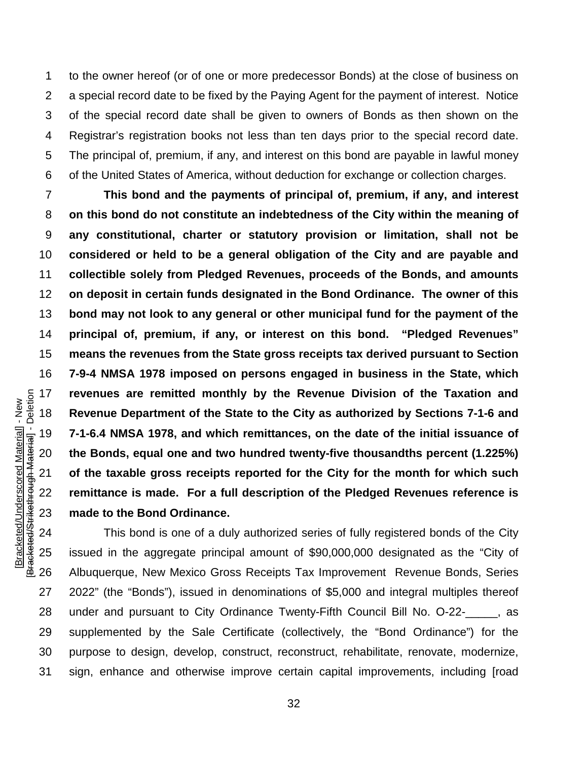to the owner hereof (or of one or more predecessor Bonds) at the close of business on a special record date to be fixed by the Paying Agent for the payment of interest. Notice of the special record date shall be given to owners of Bonds as then shown on the Registrar's registration books not less than ten days prior to the special record date. The principal of, premium, if any, and interest on this bond are payable in lawful money of the United States of America, without deduction for exchange or collection charges.

 **This bond and the payments of principal of, premium, if any, and interest on this bond do not constitute an indebtedness of the City within the meaning of any constitutional, charter or statutory provision or limitation, shall not be considered or held to be a general obligation of the City and are payable and collectible solely from Pledged Revenues, proceeds of the Bonds, and amounts on deposit in certain funds designated in the Bond Ordinance. The owner of this bond may not look to any general or other municipal fund for the payment of the principal of, premium, if any, or interest on this bond. "Pledged Revenues" means the revenues from the State gross receipts tax derived pursuant to Section 7-9-4 NMSA 1978 imposed on persons engaged in business in the State, which revenues are remitted monthly by the Revenue Division of the Taxation and Revenue Department of the State to the City as authorized by Sections 7-1-6 and 7-1-6.4 NMSA 1978, and which remittances, on the date of the initial issuance of the Bonds, equal one and two hundred twenty-five thousandths percent (1.225%) of the taxable gross receipts reported for the City for the month for which such remittance is made. For a full description of the Pledged Revenues reference is made to the Bond Ordinance.**

 This bond is one of a duly authorized series of fully registered bonds of the City issued in the aggregate principal amount of \$90,000,000 designated as the "City of Albuquerque, New Mexico Gross Receipts Tax Improvement Revenue Bonds, Series 2022" (the "Bonds"), issued in denominations of \$5,000 and integral multiples thereof under and pursuant to City Ordinance Twenty-Fifth Council Bill No. O-22-\_\_\_\_\_, as supplemented by the Sale Certificate (collectively, the "Bond Ordinance") for the purpose to design, develop, construct, reconstruct, rehabilitate, renovate, modernize, sign, enhance and otherwise improve certain capital improvements, including [road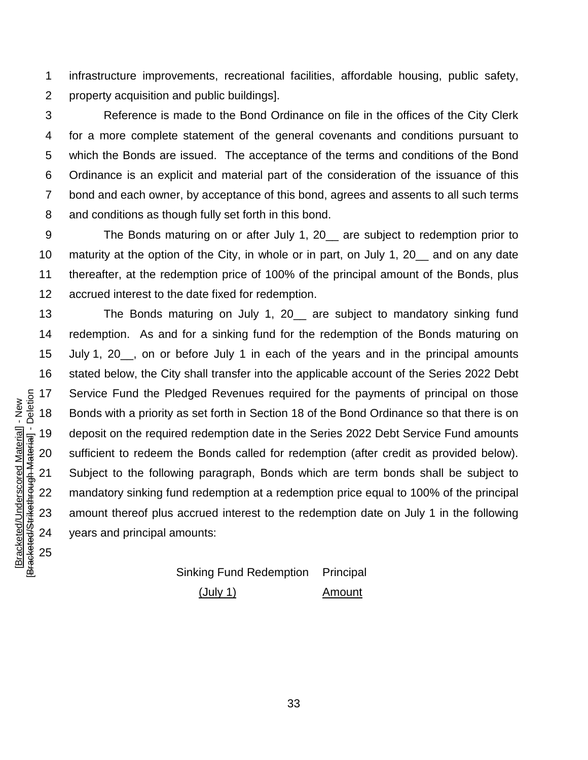infrastructure improvements, recreational facilities, affordable housing, public safety, property acquisition and public buildings].

 Reference is made to the Bond Ordinance on file in the offices of the City Clerk for a more complete statement of the general covenants and conditions pursuant to which the Bonds are issued. The acceptance of the terms and conditions of the Bond Ordinance is an explicit and material part of the consideration of the issuance of this bond and each owner, by acceptance of this bond, agrees and assents to all such terms and conditions as though fully set forth in this bond.

 The Bonds maturing on or after July 1, 20\_\_ are subject to redemption prior to maturity at the option of the City, in whole or in part, on July 1, 20\_\_ and on any date thereafter, at the redemption price of 100% of the principal amount of the Bonds, plus accrued interest to the date fixed for redemption.

 The Bonds maturing on July 1, 20\_\_ are subject to mandatory sinking fund redemption. As and for a sinking fund for the redemption of the Bonds maturing on 15 July 1, 20, on or before July 1 in each of the years and in the principal amounts stated below, the City shall transfer into the applicable account of the Series 2022 Debt Service Fund the Pledged Revenues required for the payments of principal on those Bonds with a priority as set forth in Section 18 of the Bond Ordinance so that there is on deposit on the required redemption date in the Series 2022 Debt Service Fund amounts sufficient to redeem the Bonds called for redemption (after credit as provided below). Subject to the following paragraph, Bonds which are term bonds shall be subject to mandatory sinking fund redemption at a redemption price equal to 100% of the principal amount thereof plus accrued interest to the redemption date on July 1 in the following years and principal amounts:

> Sinking Fund Redemption (July 1) Principal Amount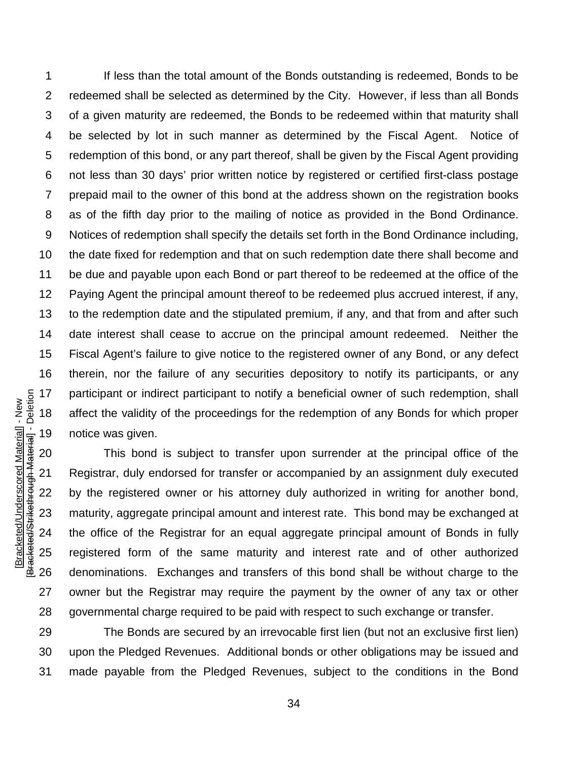If less than the total amount of the Bonds outstanding is redeemed, Bonds to be redeemed shall be selected as determined by the City. However, if less than all Bonds of a given maturity are redeemed, the Bonds to be redeemed within that maturity shall be selected by lot in such manner as determined by the Fiscal Agent. Notice of redemption of this bond, or any part thereof, shall be given by the Fiscal Agent providing not less than 30 days' prior written notice by registered or certified first-class postage prepaid mail to the owner of this bond at the address shown on the registration books as of the fifth day prior to the mailing of notice as provided in the Bond Ordinance. Notices of redemption shall specify the details set forth in the Bond Ordinance including, the date fixed for redemption and that on such redemption date there shall become and be due and payable upon each Bond or part thereof to be redeemed at the office of the Paying Agent the principal amount thereof to be redeemed plus accrued interest, if any, to the redemption date and the stipulated premium, if any, and that from and after such date interest shall cease to accrue on the principal amount redeemed. Neither the Fiscal Agent's failure to give notice to the registered owner of any Bond, or any defect therein, nor the failure of any securities depository to notify its participants, or any participant or indirect participant to notify a beneficial owner of such redemption, shall affect the validity of the proceedings for the redemption of any Bonds for which proper notice was given.

 This bond is subject to transfer upon surrender at the principal office of the Registrar, duly endorsed for transfer or accompanied by an assignment duly executed by the registered owner or his attorney duly authorized in writing for another bond, maturity, aggregate principal amount and interest rate. This bond may be exchanged at the office of the Registrar for an equal aggregate principal amount of Bonds in fully registered form of the same maturity and interest rate and of other authorized denominations. Exchanges and transfers of this bond shall be without charge to the owner but the Registrar may require the payment by the owner of any tax or other governmental charge required to be paid with respect to such exchange or transfer.

 The Bonds are secured by an irrevocable first lien (but not an exclusive first lien) upon the Pledged Revenues. Additional bonds or other obligations may be issued and made payable from the Pledged Revenues, subject to the conditions in the Bond

Bracketed/Strikethrough Material] - Deletion [Bracketed/Strikethrough Material] - Deletion Bracketed/Underscored Material] - New [Bracketed/Underscored Material] - New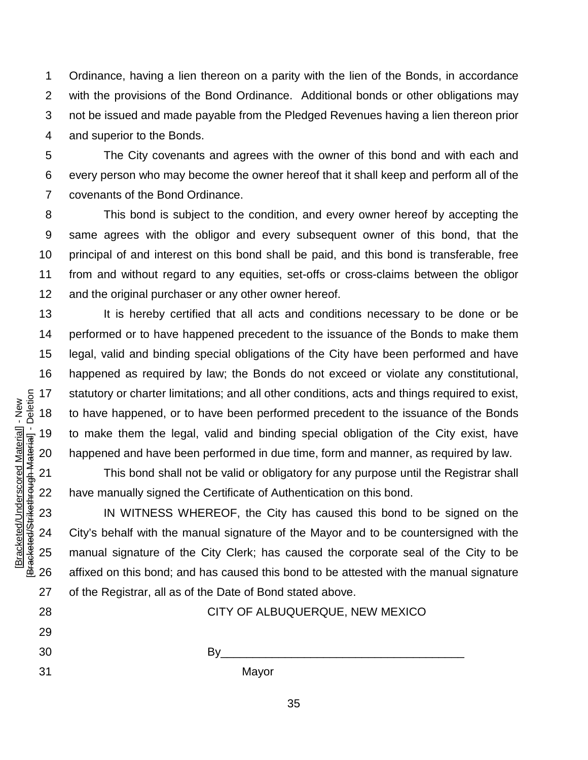Ordinance, having a lien thereon on a parity with the lien of the Bonds, in accordance with the provisions of the Bond Ordinance. Additional bonds or other obligations may not be issued and made payable from the Pledged Revenues having a lien thereon prior and superior to the Bonds.

 The City covenants and agrees with the owner of this bond and with each and every person who may become the owner hereof that it shall keep and perform all of the covenants of the Bond Ordinance.

 This bond is subject to the condition, and every owner hereof by accepting the same agrees with the obligor and every subsequent owner of this bond, that the principal of and interest on this bond shall be paid, and this bond is transferable, free from and without regard to any equities, set-offs or cross-claims between the obligor 12 and the original purchaser or any other owner hereof.

13 It is hereby certified that all acts and conditions necessary to be done or be performed or to have happened precedent to the issuance of the Bonds to make them legal, valid and binding special obligations of the City have been performed and have happened as required by law; the Bonds do not exceed or violate any constitutional, statutory or charter limitations; and all other conditions, acts and things required to exist, to have happened, or to have been performed precedent to the issuance of the Bonds to make them the legal, valid and binding special obligation of the City exist, have happened and have been performed in due time, form and manner, as required by law.

 This bond shall not be valid or obligatory for any purpose until the Registrar shall have manually signed the Certificate of Authentication on this bond.

 IN WITNESS WHEREOF, the City has caused this bond to be signed on the City's behalf with the manual signature of the Mayor and to be countersigned with the manual signature of the City Clerk; has caused the corporate seal of the City to be affixed on this bond; and has caused this bond to be attested with the manual signature of the Registrar, all as of the Date of Bond stated above.

By\_\_\_\_\_\_\_\_\_\_\_\_\_\_\_\_\_\_\_\_\_\_\_\_\_\_\_\_\_\_\_\_\_\_\_\_\_\_

28 CITY OF ALBUQUERQUE, NEW MEXICO

[Bracketed/Underscored Material] - New [Bracketed/Strikethrough Material] - Deletion

Bracketed/Strikethrough Material] - Deletion Bracketed/Underscored Material] - New

Mayor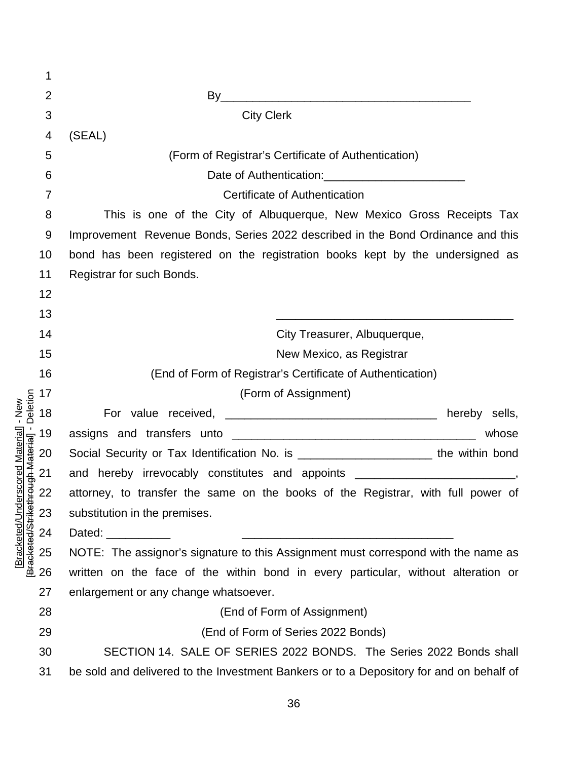|                                                        | 1              |                                                                                        |  |  |
|--------------------------------------------------------|----------------|----------------------------------------------------------------------------------------|--|--|
|                                                        | $\overline{2}$ | By                                                                                     |  |  |
|                                                        | 3              | <b>City Clerk</b>                                                                      |  |  |
|                                                        | 4              | (SEAL)                                                                                 |  |  |
|                                                        | 5              | (Form of Registrar's Certificate of Authentication)                                    |  |  |
|                                                        | 6              |                                                                                        |  |  |
|                                                        | $\overline{7}$ | Certificate of Authentication                                                          |  |  |
|                                                        | 8              | This is one of the City of Albuquerque, New Mexico Gross Receipts Tax                  |  |  |
|                                                        | 9              | Improvement Revenue Bonds, Series 2022 described in the Bond Ordinance and this        |  |  |
|                                                        | 10             | bond has been registered on the registration books kept by the undersigned as          |  |  |
|                                                        | 11             | Registrar for such Bonds.                                                              |  |  |
|                                                        | 12             |                                                                                        |  |  |
|                                                        | 13             |                                                                                        |  |  |
|                                                        | 14             | City Treasurer, Albuquerque,                                                           |  |  |
|                                                        | 15             | New Mexico, as Registrar                                                               |  |  |
|                                                        | 16             | (End of Form of Registrar's Certificate of Authentication)                             |  |  |
|                                                        | 17             | (Form of Assignment)                                                                   |  |  |
| Deletion<br>$-$ New                                    | 18             | hereby sells,                                                                          |  |  |
|                                                        |                | whose                                                                                  |  |  |
|                                                        | 19             |                                                                                        |  |  |
|                                                        | 20             | Social Security or Tax Identification No. is _________________________ the within bond |  |  |
|                                                        | 21             | and hereby irrevocably constitutes and appoints ________________________________,      |  |  |
| <b>Hough Material</b>                                  | 22             | attorney, to transfer the same on the books of the Registrar, with full power of       |  |  |
|                                                        | 23             | substitution in the premises.                                                          |  |  |
|                                                        | 24             | Dated:                                                                                 |  |  |
|                                                        | 25             | NOTE: The assignor's signature to this Assignment must correspond with the name as     |  |  |
| [Bracketed/Underscored Material]<br>Bracketed/Striketh | 26             | written on the face of the within bond in every particular, without alteration or      |  |  |
|                                                        | 27             | enlargement or any change whatsoever.                                                  |  |  |
|                                                        | 28             | (End of Form of Assignment)                                                            |  |  |
|                                                        | 29             | (End of Form of Series 2022 Bonds)                                                     |  |  |
|                                                        | 30             | SECTION 14. SALE OF SERIES 2022 BONDS. The Series 2022 Bonds shall                     |  |  |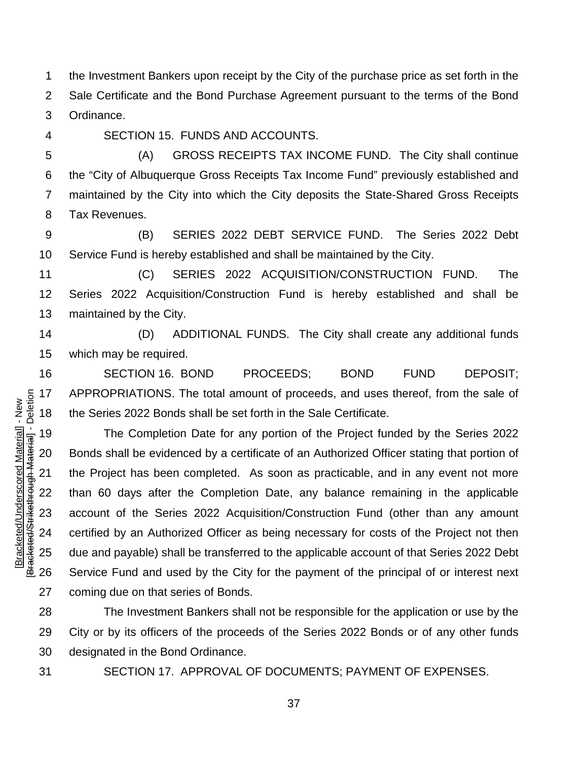the Investment Bankers upon receipt by the City of the purchase price as set forth in the Sale Certificate and the Bond Purchase Agreement pursuant to the terms of the Bond Ordinance.

SECTION 15. FUNDS AND ACCOUNTS.

 (A) GROSS RECEIPTS TAX INCOME FUND. The City shall continue the "City of Albuquerque Gross Receipts Tax Income Fund" previously established and maintained by the City into which the City deposits the State-Shared Gross Receipts

Tax Revenues.

 (B) SERIES 2022 DEBT SERVICE FUND. The Series 2022 Debt Service Fund is hereby established and shall be maintained by the City.

 (C) SERIES 2022 ACQUISITION/CONSTRUCTION FUND. The Series 2022 Acquisition/Construction Fund is hereby established and shall be maintained by the City.

 (D) ADDITIONAL FUNDS. The City shall create any additional funds which may be required.

 SECTION 16. BOND PROCEEDS; BOND FUND DEPOSIT; APPROPRIATIONS. The total amount of proceeds, and uses thereof, from the sale of the Series 2022 Bonds shall be set forth in the Sale Certificate.

 The Completion Date for any portion of the Project funded by the Series 2022 Bonds shall be evidenced by a certificate of an Authorized Officer stating that portion of the Project has been completed. As soon as practicable, and in any event not more than 60 days after the Completion Date, any balance remaining in the applicable account of the Series 2022 Acquisition/Construction Fund (other than any amount certified by an Authorized Officer as being necessary for costs of the Project not then due and payable) shall be transferred to the applicable account of that Series 2022 Debt Service Fund and used by the City for the payment of the principal of or interest next coming due on that series of Bonds.

 The Investment Bankers shall not be responsible for the application or use by the City or by its officers of the proceeds of the Series 2022 Bonds or of any other funds designated in the Bond Ordinance.

SECTION 17. APPROVAL OF DOCUMENTS; PAYMENT OF EXPENSES.

Bracketed/Strikethrough Material] - Deletion [Bracketed/Strikethrough Material] - Deletion Bracketed/Underscored Material] - New [Bracketed/Underscored Material] - New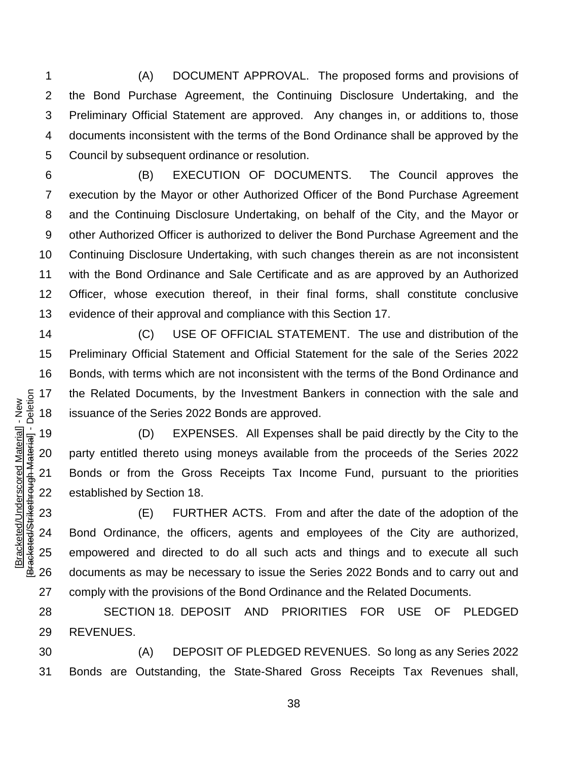(A) DOCUMENT APPROVAL. The proposed forms and provisions of the Bond Purchase Agreement, the Continuing Disclosure Undertaking, and the Preliminary Official Statement are approved. Any changes in, or additions to, those documents inconsistent with the terms of the Bond Ordinance shall be approved by the Council by subsequent ordinance or resolution.

 (B) EXECUTION OF DOCUMENTS. The Council approves the execution by the Mayor or other Authorized Officer of the Bond Purchase Agreement and the Continuing Disclosure Undertaking, on behalf of the City, and the Mayor or other Authorized Officer is authorized to deliver the Bond Purchase Agreement and the Continuing Disclosure Undertaking, with such changes therein as are not inconsistent with the Bond Ordinance and Sale Certificate and as are approved by an Authorized Officer, whose execution thereof, in their final forms, shall constitute conclusive evidence of their approval and compliance with this Section 17.

 (C) USE OF OFFICIAL STATEMENT. The use and distribution of the Preliminary Official Statement and Official Statement for the sale of the Series 2022 Bonds, with terms which are not inconsistent with the terms of the Bond Ordinance and the Related Documents, by the Investment Bankers in connection with the sale and issuance of the Series 2022 Bonds are approved.

 (D) EXPENSES. All Expenses shall be paid directly by the City to the party entitled thereto using moneys available from the proceeds of the Series 2022 Bonds or from the Gross Receipts Tax Income Fund, pursuant to the priorities established by Section 18.

 (E) FURTHER ACTS. From and after the date of the adoption of the Bond Ordinance, the officers, agents and employees of the City are authorized, empowered and directed to do all such acts and things and to execute all such documents as may be necessary to issue the Series 2022 Bonds and to carry out and comply with the provisions of the Bond Ordinance and the Related Documents.

 SECTION 18. DEPOSIT AND PRIORITIES FOR USE OF PLEDGED REVENUES.

 (A) DEPOSIT OF PLEDGED REVENUES. So long as any Series 2022 Bonds are Outstanding, the State-Shared Gross Receipts Tax Revenues shall,

[Bracketed/Underscored Material] - New [Bracketed/Strikethrough Material] - Deletion

Bracketed/Strikethrough Material] - Deletion Bracketed/Underscored Material] - New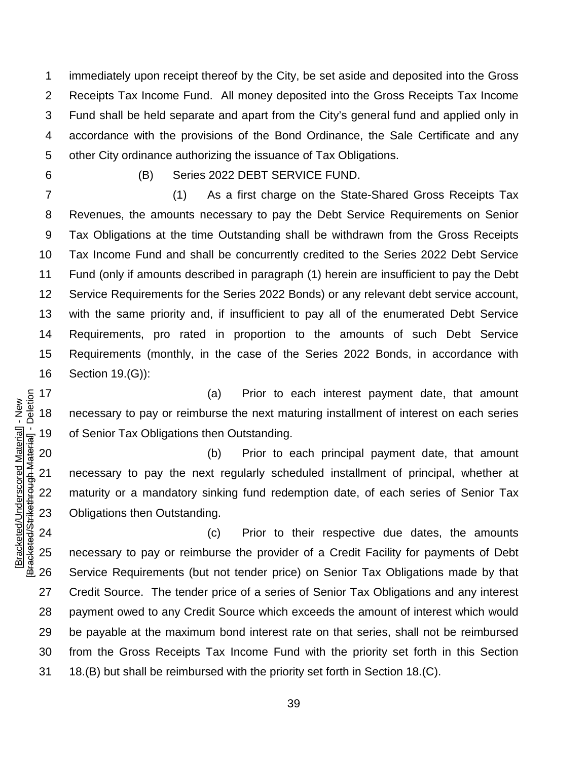immediately upon receipt thereof by the City, be set aside and deposited into the Gross Receipts Tax Income Fund. All money deposited into the Gross Receipts Tax Income Fund shall be held separate and apart from the City's general fund and applied only in accordance with the provisions of the Bond Ordinance, the Sale Certificate and any other City ordinance authorizing the issuance of Tax Obligations.

(B) Series 2022 DEBT SERVICE FUND.

 (1) As a first charge on the State-Shared Gross Receipts Tax Revenues, the amounts necessary to pay the Debt Service Requirements on Senior Tax Obligations at the time Outstanding shall be withdrawn from the Gross Receipts Tax Income Fund and shall be concurrently credited to the Series 2022 Debt Service Fund (only if amounts described in paragraph (1) herein are insufficient to pay the Debt Service Requirements for the Series 2022 Bonds) or any relevant debt service account, with the same priority and, if insufficient to pay all of the enumerated Debt Service Requirements, pro rated in proportion to the amounts of such Debt Service Requirements (monthly, in the case of the Series 2022 Bonds, in accordance with Section 19.(G)):

17 (a) Prior to each interest payment date, that amount necessary to pay or reimburse the next maturing installment of interest on each series of Senior Tax Obligations then Outstanding.

 (b) Prior to each principal payment date, that amount necessary to pay the next regularly scheduled installment of principal, whether at maturity or a mandatory sinking fund redemption date, of each series of Senior Tax Obligations then Outstanding.

 (c) Prior to their respective due dates, the amounts necessary to pay or reimburse the provider of a Credit Facility for payments of Debt Service Requirements (but not tender price) on Senior Tax Obligations made by that Credit Source. The tender price of a series of Senior Tax Obligations and any interest payment owed to any Credit Source which exceeds the amount of interest which would be payable at the maximum bond interest rate on that series, shall not be reimbursed from the Gross Receipts Tax Income Fund with the priority set forth in this Section 18.(B) but shall be reimbursed with the priority set forth in Section 18.(C).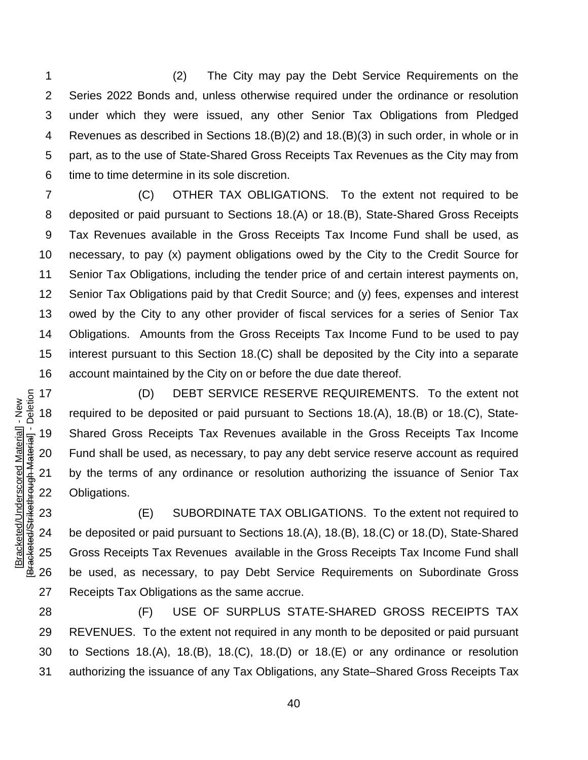(2) The City may pay the Debt Service Requirements on the Series 2022 Bonds and, unless otherwise required under the ordinance or resolution under which they were issued, any other Senior Tax Obligations from Pledged Revenues as described in Sections 18.(B)(2) and 18.(B)(3) in such order, in whole or in part, as to the use of State-Shared Gross Receipts Tax Revenues as the City may from time to time determine in its sole discretion.

 (C) OTHER TAX OBLIGATIONS. To the extent not required to be deposited or paid pursuant to Sections 18.(A) or 18.(B), State-Shared Gross Receipts Tax Revenues available in the Gross Receipts Tax Income Fund shall be used, as necessary, to pay (x) payment obligations owed by the City to the Credit Source for Senior Tax Obligations, including the tender price of and certain interest payments on, Senior Tax Obligations paid by that Credit Source; and (y) fees, expenses and interest owed by the City to any other provider of fiscal services for a series of Senior Tax Obligations. Amounts from the Gross Receipts Tax Income Fund to be used to pay interest pursuant to this Section 18.(C) shall be deposited by the City into a separate account maintained by the City on or before the due date thereof.

 (D) DEBT SERVICE RESERVE REQUIREMENTS. To the extent not required to be deposited or paid pursuant to Sections 18.(A), 18.(B) or 18.(C), State- Shared Gross Receipts Tax Revenues available in the Gross Receipts Tax Income Fund shall be used, as necessary, to pay any debt service reserve account as required by the terms of any ordinance or resolution authorizing the issuance of Senior Tax Obligations.

 (E) SUBORDINATE TAX OBLIGATIONS. To the extent not required to be deposited or paid pursuant to Sections 18.(A), 18.(B), 18.(C) or 18.(D), State-Shared Gross Receipts Tax Revenues available in the Gross Receipts Tax Income Fund shall be used, as necessary, to pay Debt Service Requirements on Subordinate Gross Receipts Tax Obligations as the same accrue.

 (F) USE OF SURPLUS STATE-SHARED GROSS RECEIPTS TAX REVENUES. To the extent not required in any month to be deposited or paid pursuant to Sections 18.(A), 18.(B), 18.(C), 18.(D) or 18.(E) or any ordinance or resolution authorizing the issuance of any Tax Obligations, any State–Shared Gross Receipts Tax

Bracketed/Strikethrough Material] - Deletion [Bracketed/Strikethrough Material] - Deletion Bracketed/Underscored Material] - New [Bracketed/Underscored Material] - New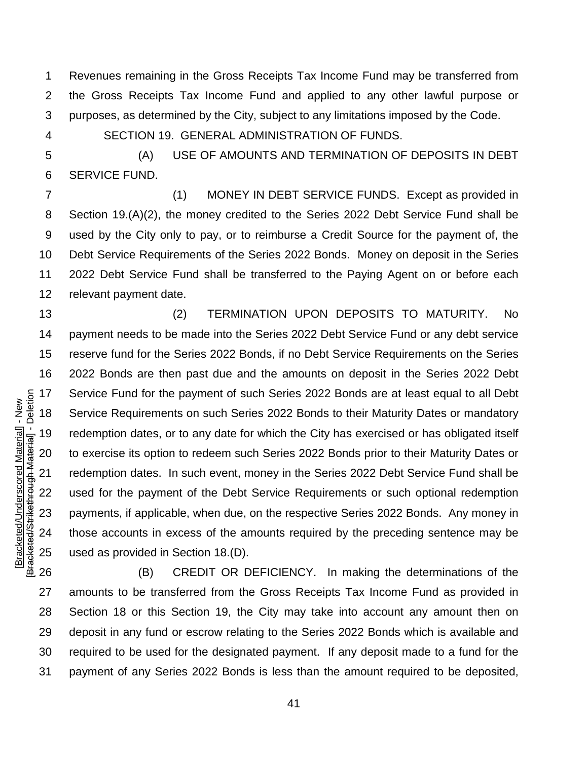Revenues remaining in the Gross Receipts Tax Income Fund may be transferred from the Gross Receipts Tax Income Fund and applied to any other lawful purpose or purposes, as determined by the City, subject to any limitations imposed by the Code.

[Bracketed/Underscored Material] - New [Bracketed/Strikethrough Material] - Deletion

Bracketed/Strikethrough Material] - Deletion Bracketed/Underscored Material] - New

SECTION 19. GENERAL ADMINISTRATION OF FUNDS.

 (A) USE OF AMOUNTS AND TERMINATION OF DEPOSITS IN DEBT SERVICE FUND.

 (1) MONEY IN DEBT SERVICE FUNDS. Except as provided in Section 19.(A)(2), the money credited to the Series 2022 Debt Service Fund shall be used by the City only to pay, or to reimburse a Credit Source for the payment of, the Debt Service Requirements of the Series 2022 Bonds. Money on deposit in the Series 2022 Debt Service Fund shall be transferred to the Paying Agent on or before each relevant payment date.

 (2) TERMINATION UPON DEPOSITS TO MATURITY. No payment needs to be made into the Series 2022 Debt Service Fund or any debt service reserve fund for the Series 2022 Bonds, if no Debt Service Requirements on the Series 2022 Bonds are then past due and the amounts on deposit in the Series 2022 Debt Service Fund for the payment of such Series 2022 Bonds are at least equal to all Debt Service Requirements on such Series 2022 Bonds to their Maturity Dates or mandatory redemption dates, or to any date for which the City has exercised or has obligated itself to exercise its option to redeem such Series 2022 Bonds prior to their Maturity Dates or redemption dates. In such event, money in the Series 2022 Debt Service Fund shall be used for the payment of the Debt Service Requirements or such optional redemption payments, if applicable, when due, on the respective Series 2022 Bonds. Any money in those accounts in excess of the amounts required by the preceding sentence may be used as provided in Section 18.(D).

 (B) CREDIT OR DEFICIENCY. In making the determinations of the amounts to be transferred from the Gross Receipts Tax Income Fund as provided in Section 18 or this Section 19, the City may take into account any amount then on deposit in any fund or escrow relating to the Series 2022 Bonds which is available and required to be used for the designated payment. If any deposit made to a fund for the payment of any Series 2022 Bonds is less than the amount required to be deposited,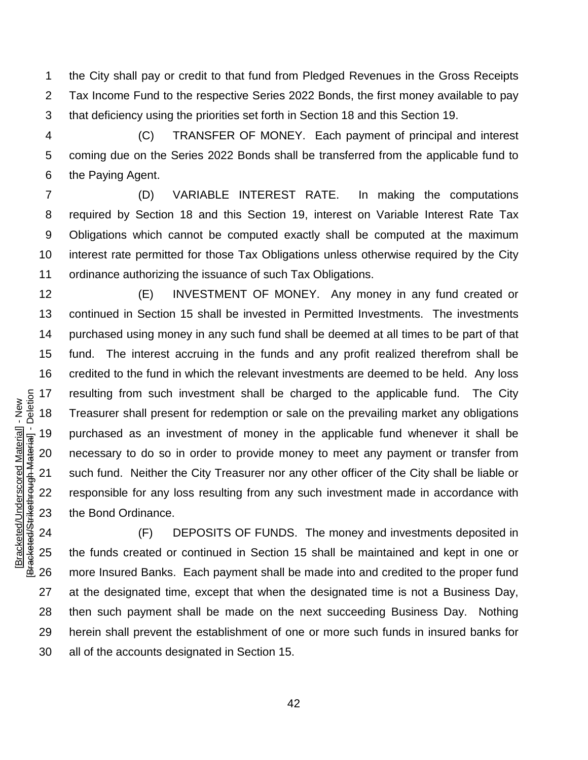the City shall pay or credit to that fund from Pledged Revenues in the Gross Receipts Tax Income Fund to the respective Series 2022 Bonds, the first money available to pay that deficiency using the priorities set forth in Section 18 and this Section 19.

 (C) TRANSFER OF MONEY. Each payment of principal and interest coming due on the Series 2022 Bonds shall be transferred from the applicable fund to the Paying Agent.

 (D) VARIABLE INTEREST RATE. In making the computations required by Section 18 and this Section 19, interest on Variable Interest Rate Tax Obligations which cannot be computed exactly shall be computed at the maximum interest rate permitted for those Tax Obligations unless otherwise required by the City ordinance authorizing the issuance of such Tax Obligations.

 (E) INVESTMENT OF MONEY. Any money in any fund created or continued in Section 15 shall be invested in Permitted Investments. The investments purchased using money in any such fund shall be deemed at all times to be part of that fund. The interest accruing in the funds and any profit realized therefrom shall be credited to the fund in which the relevant investments are deemed to be held. Any loss resulting from such investment shall be charged to the applicable fund. The City Treasurer shall present for redemption or sale on the prevailing market any obligations purchased as an investment of money in the applicable fund whenever it shall be necessary to do so in order to provide money to meet any payment or transfer from such fund. Neither the City Treasurer nor any other officer of the City shall be liable or responsible for any loss resulting from any such investment made in accordance with the Bond Ordinance.

[Bracketed/Underscored Material] - New [Bracketed/Strikethrough Material] - Deletion

Bracketed/Strikethrough Material] - Deletion Bracketed/Underscored Material] - New

 (F) DEPOSITS OF FUNDS. The money and investments deposited in the funds created or continued in Section 15 shall be maintained and kept in one or more Insured Banks. Each payment shall be made into and credited to the proper fund at the designated time, except that when the designated time is not a Business Day, then such payment shall be made on the next succeeding Business Day. Nothing herein shall prevent the establishment of one or more such funds in insured banks for all of the accounts designated in Section 15.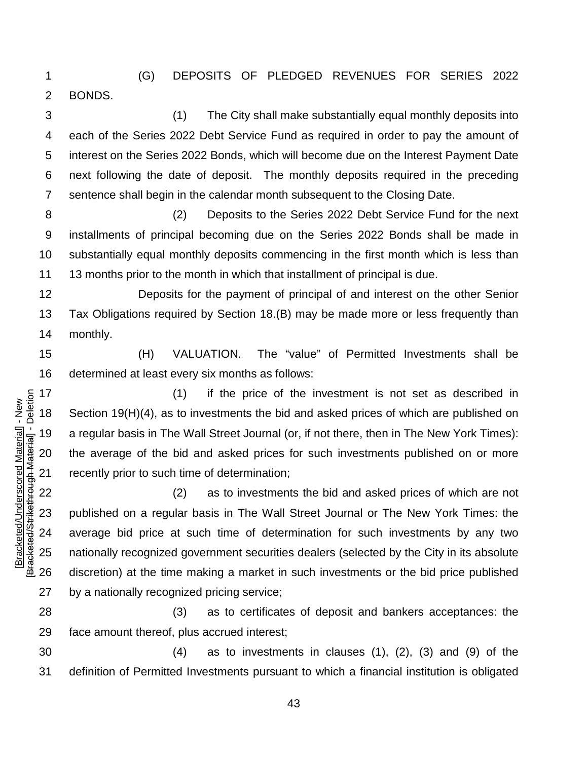(G) DEPOSITS OF PLEDGED REVENUES FOR SERIES 2022 BONDS.

 (1) The City shall make substantially equal monthly deposits into each of the Series 2022 Debt Service Fund as required in order to pay the amount of interest on the Series 2022 Bonds, which will become due on the Interest Payment Date next following the date of deposit. The monthly deposits required in the preceding sentence shall begin in the calendar month subsequent to the Closing Date.

 (2) Deposits to the Series 2022 Debt Service Fund for the next installments of principal becoming due on the Series 2022 Bonds shall be made in substantially equal monthly deposits commencing in the first month which is less than 13 months prior to the month in which that installment of principal is due.

 Deposits for the payment of principal of and interest on the other Senior Tax Obligations required by Section 18.(B) may be made more or less frequently than monthly.

 (H) VALUATION. The "value" of Permitted Investments shall be determined at least every six months as follows:

 (1) if the price of the investment is not set as described in Section 19(H)(4), as to investments the bid and asked prices of which are published on a regular basis in The Wall Street Journal (or, if not there, then in The New York Times): the average of the bid and asked prices for such investments published on or more recently prior to such time of determination;

 (2) as to investments the bid and asked prices of which are not published on a regular basis in The Wall Street Journal or The New York Times: the average bid price at such time of determination for such investments by any two nationally recognized government securities dealers (selected by the City in its absolute discretion) at the time making a market in such investments or the bid price published by a nationally recognized pricing service;

 (3) as to certificates of deposit and bankers acceptances: the face amount thereof, plus accrued interest;

 (4) as to investments in clauses (1), (2), (3) and (9) of the definition of Permitted Investments pursuant to which a financial institution is obligated

Bracketed/Strikethrough Material] - Deletion [Bracketed/Strikethrough Material] - Deletion Bracketed/Underscored Material] - New [Bracketed/Underscored Material] - New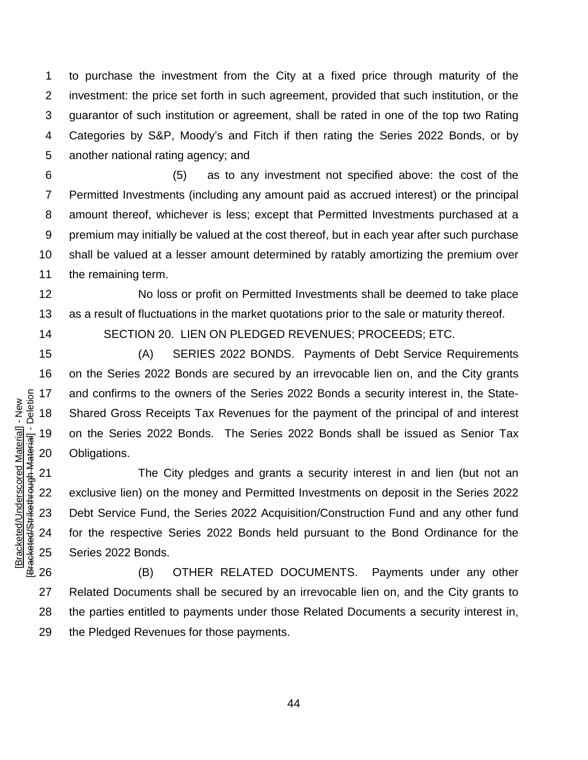to purchase the investment from the City at a fixed price through maturity of the investment: the price set forth in such agreement, provided that such institution, or the guarantor of such institution or agreement, shall be rated in one of the top two Rating Categories by S&P, Moody's and Fitch if then rating the Series 2022 Bonds, or by another national rating agency; and

 (5) as to any investment not specified above: the cost of the Permitted Investments (including any amount paid as accrued interest) or the principal amount thereof, whichever is less; except that Permitted Investments purchased at a premium may initially be valued at the cost thereof, but in each year after such purchase shall be valued at a lesser amount determined by ratably amortizing the premium over the remaining term.

 No loss or profit on Permitted Investments shall be deemed to take place as a result of fluctuations in the market quotations prior to the sale or maturity thereof.

[Bracketed/Underscored Material] - New [Bracketed/Strikethrough Material] - Deletion

Bracketed/Strikethrough Material] - Deletion Bracketed/Underscored Material] - New

SECTION 20. LIEN ON PLEDGED REVENUES; PROCEEDS; ETC.

 (A) SERIES 2022 BONDS. Payments of Debt Service Requirements on the Series 2022 Bonds are secured by an irrevocable lien on, and the City grants and confirms to the owners of the Series 2022 Bonds a security interest in, the State- Shared Gross Receipts Tax Revenues for the payment of the principal of and interest on the Series 2022 Bonds. The Series 2022 Bonds shall be issued as Senior Tax Obligations.

 The City pledges and grants a security interest in and lien (but not an exclusive lien) on the money and Permitted Investments on deposit in the Series 2022 Debt Service Fund, the Series 2022 Acquisition/Construction Fund and any other fund for the respective Series 2022 Bonds held pursuant to the Bond Ordinance for the Series 2022 Bonds.

 (B) OTHER RELATED DOCUMENTS. Payments under any other Related Documents shall be secured by an irrevocable lien on, and the City grants to the parties entitled to payments under those Related Documents a security interest in, the Pledged Revenues for those payments.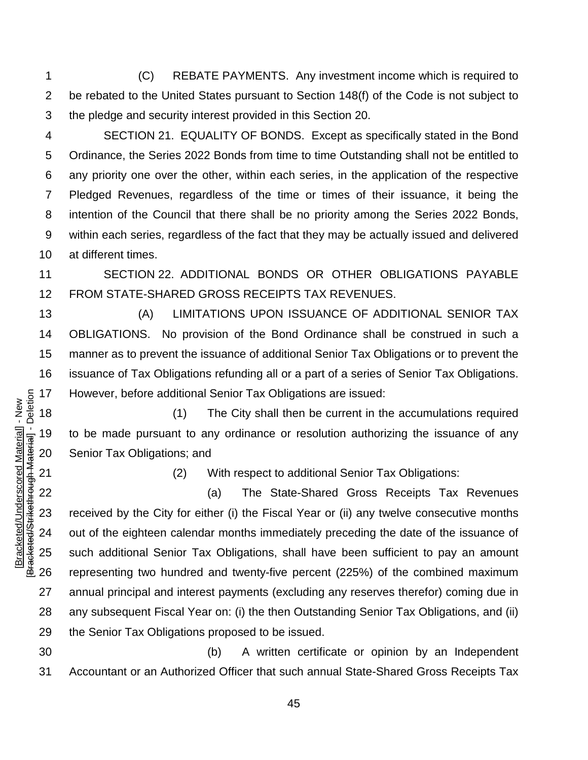(C) REBATE PAYMENTS. Any investment income which is required to be rebated to the United States pursuant to Section 148(f) of the Code is not subject to the pledge and security interest provided in this Section 20.

 SECTION 21. EQUALITY OF BONDS. Except as specifically stated in the Bond Ordinance, the Series 2022 Bonds from time to time Outstanding shall not be entitled to any priority one over the other, within each series, in the application of the respective Pledged Revenues, regardless of the time or times of their issuance, it being the intention of the Council that there shall be no priority among the Series 2022 Bonds, within each series, regardless of the fact that they may be actually issued and delivered at different times.

 SECTION 22. ADDITIONAL BONDS OR OTHER OBLIGATIONS PAYABLE FROM STATE-SHARED GROSS RECEIPTS TAX REVENUES.

 (A) LIMITATIONS UPON ISSUANCE OF ADDITIONAL SENIOR TAX OBLIGATIONS. No provision of the Bond Ordinance shall be construed in such a manner as to prevent the issuance of additional Senior Tax Obligations or to prevent the issuance of Tax Obligations refunding all or a part of a series of Senior Tax Obligations. However, before additional Senior Tax Obligations are issued:

 (1) The City shall then be current in the accumulations required to be made pursuant to any ordinance or resolution authorizing the issuance of any Senior Tax Obligations; and

(2) With respect to additional Senior Tax Obligations:

 (a) The State-Shared Gross Receipts Tax Revenues received by the City for either (i) the Fiscal Year or (ii) any twelve consecutive months out of the eighteen calendar months immediately preceding the date of the issuance of such additional Senior Tax Obligations, shall have been sufficient to pay an amount representing two hundred and twenty-five percent (225%) of the combined maximum annual principal and interest payments (excluding any reserves therefor) coming due in any subsequent Fiscal Year on: (i) the then Outstanding Senior Tax Obligations, and (ii) the Senior Tax Obligations proposed to be issued.

 (b) A written certificate or opinion by an Independent Accountant or an Authorized Officer that such annual State-Shared Gross Receipts Tax

Bracketed/Strikethrough Material] - Deletion [Bracketed/Strikethrough Material] - Deletion Bracketed/Underscored Material] - New [Bracketed/Underscored Material] - New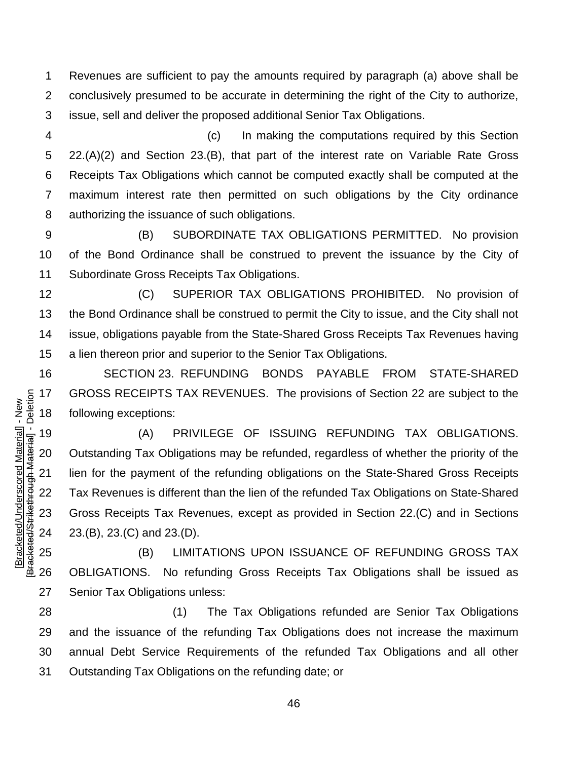Revenues are sufficient to pay the amounts required by paragraph (a) above shall be conclusively presumed to be accurate in determining the right of the City to authorize, issue, sell and deliver the proposed additional Senior Tax Obligations.

 (c) In making the computations required by this Section 22.(A)(2) and Section 23.(B), that part of the interest rate on Variable Rate Gross Receipts Tax Obligations which cannot be computed exactly shall be computed at the maximum interest rate then permitted on such obligations by the City ordinance authorizing the issuance of such obligations.

 (B) SUBORDINATE TAX OBLIGATIONS PERMITTED. No provision of the Bond Ordinance shall be construed to prevent the issuance by the City of Subordinate Gross Receipts Tax Obligations.

 (C) SUPERIOR TAX OBLIGATIONS PROHIBITED. No provision of the Bond Ordinance shall be construed to permit the City to issue, and the City shall not issue, obligations payable from the State-Shared Gross Receipts Tax Revenues having a lien thereon prior and superior to the Senior Tax Obligations.

 SECTION 23. REFUNDING BONDS PAYABLE FROM STATE-SHARED GROSS RECEIPTS TAX REVENUES. The provisions of Section 22 are subject to the following exceptions:

 (A) PRIVILEGE OF ISSUING REFUNDING TAX OBLIGATIONS. Outstanding Tax Obligations may be refunded, regardless of whether the priority of the lien for the payment of the refunding obligations on the State-Shared Gross Receipts Tax Revenues is different than the lien of the refunded Tax Obligations on State-Shared Gross Receipts Tax Revenues, except as provided in Section 22.(C) and in Sections 23.(B), 23.(C) and 23.(D).

[Bracketed/Underscored Material] - New [Bracketed/Strikethrough Material] - Deletion

B<del>racketed/Strikethrough Material</del>] - Deletion Bracketed/Underscored Material] - New

 (B) LIMITATIONS UPON ISSUANCE OF REFUNDING GROSS TAX OBLIGATIONS. No refunding Gross Receipts Tax Obligations shall be issued as Senior Tax Obligations unless:

 (1) The Tax Obligations refunded are Senior Tax Obligations and the issuance of the refunding Tax Obligations does not increase the maximum annual Debt Service Requirements of the refunded Tax Obligations and all other Outstanding Tax Obligations on the refunding date; or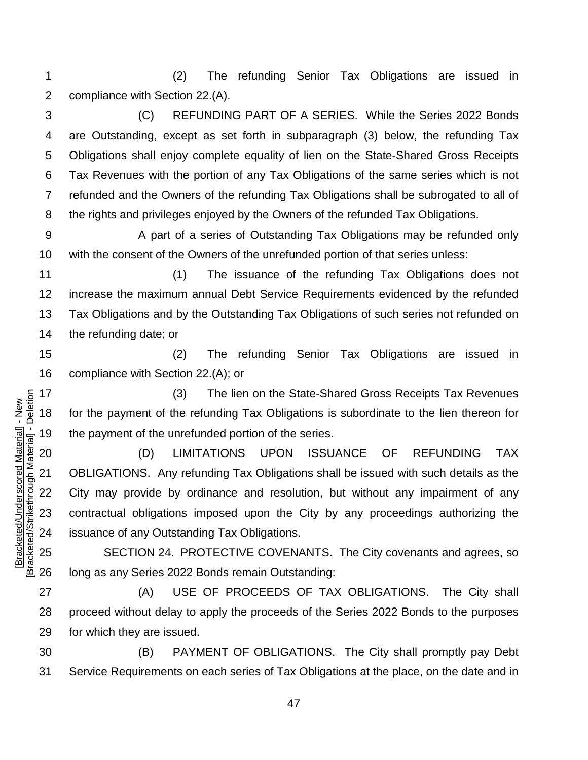(2) The refunding Senior Tax Obligations are issued in compliance with Section 22.(A).

 (C) REFUNDING PART OF A SERIES. While the Series 2022 Bonds are Outstanding, except as set forth in subparagraph (3) below, the refunding Tax Obligations shall enjoy complete equality of lien on the State-Shared Gross Receipts Tax Revenues with the portion of any Tax Obligations of the same series which is not refunded and the Owners of the refunding Tax Obligations shall be subrogated to all of the rights and privileges enjoyed by the Owners of the refunded Tax Obligations.

 A part of a series of Outstanding Tax Obligations may be refunded only with the consent of the Owners of the unrefunded portion of that series unless:

 (1) The issuance of the refunding Tax Obligations does not increase the maximum annual Debt Service Requirements evidenced by the refunded Tax Obligations and by the Outstanding Tax Obligations of such series not refunded on the refunding date; or

 (2) The refunding Senior Tax Obligations are issued in compliance with Section 22.(A); or

 (3) The lien on the State-Shared Gross Receipts Tax Revenues for the payment of the refunding Tax Obligations is subordinate to the lien thereon for 19 the payment of the unrefunded portion of the series.

 (D) LIMITATIONS UPON ISSUANCE OF REFUNDING TAX OBLIGATIONS. Any refunding Tax Obligations shall be issued with such details as the City may provide by ordinance and resolution, but without any impairment of any contractual obligations imposed upon the City by any proceedings authorizing the issuance of any Outstanding Tax Obligations.

 SECTION 24. PROTECTIVE COVENANTS. The City covenants and agrees, so long as any Series 2022 Bonds remain Outstanding:

 (A) USE OF PROCEEDS OF TAX OBLIGATIONS. The City shall proceed without delay to apply the proceeds of the Series 2022 Bonds to the purposes for which they are issued.

 (B) PAYMENT OF OBLIGATIONS. The City shall promptly pay Debt Service Requirements on each series of Tax Obligations at the place, on the date and in

Bracketed/Strikethrough Material] - Deletion [Bracketed/Strikethrough Material] - Deletion Bracketed/Underscored Material] - New [Bracketed/Underscored Material] - New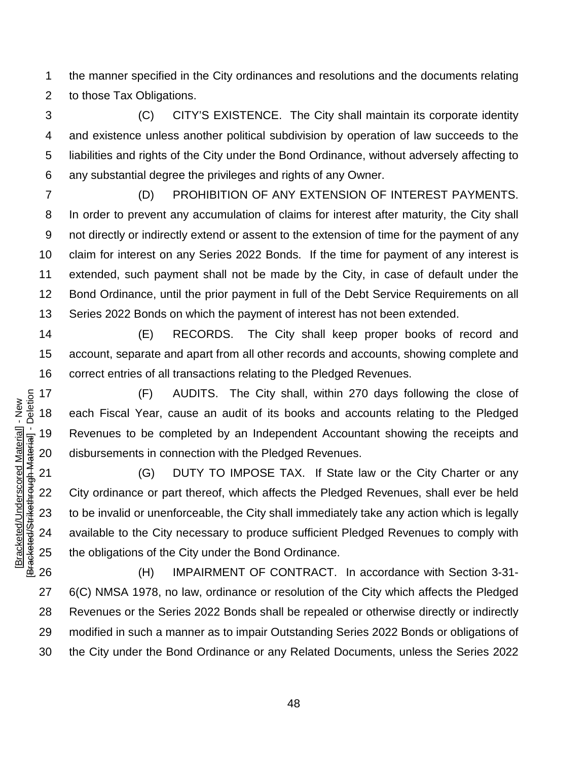the manner specified in the City ordinances and resolutions and the documents relating to those Tax Obligations.

 (C) CITY'S EXISTENCE. The City shall maintain its corporate identity and existence unless another political subdivision by operation of law succeeds to the liabilities and rights of the City under the Bond Ordinance, without adversely affecting to any substantial degree the privileges and rights of any Owner.

 (D) PROHIBITION OF ANY EXTENSION OF INTEREST PAYMENTS. In order to prevent any accumulation of claims for interest after maturity, the City shall not directly or indirectly extend or assent to the extension of time for the payment of any claim for interest on any Series 2022 Bonds. If the time for payment of any interest is extended, such payment shall not be made by the City, in case of default under the Bond Ordinance, until the prior payment in full of the Debt Service Requirements on all Series 2022 Bonds on which the payment of interest has not been extended.

 (E) RECORDS. The City shall keep proper books of record and account, separate and apart from all other records and accounts, showing complete and correct entries of all transactions relating to the Pledged Revenues.

 (F) AUDITS. The City shall, within 270 days following the close of each Fiscal Year, cause an audit of its books and accounts relating to the Pledged Revenues to be completed by an Independent Accountant showing the receipts and disbursements in connection with the Pledged Revenues.

 (G) DUTY TO IMPOSE TAX. If State law or the City Charter or any City ordinance or part thereof, which affects the Pledged Revenues, shall ever be held to be invalid or unenforceable, the City shall immediately take any action which is legally available to the City necessary to produce sufficient Pledged Revenues to comply with the obligations of the City under the Bond Ordinance.

 (H) IMPAIRMENT OF CONTRACT. In accordance with Section 3-31- 6(C) NMSA 1978, no law, ordinance or resolution of the City which affects the Pledged Revenues or the Series 2022 Bonds shall be repealed or otherwise directly or indirectly modified in such a manner as to impair Outstanding Series 2022 Bonds or obligations of the City under the Bond Ordinance or any Related Documents, unless the Series 2022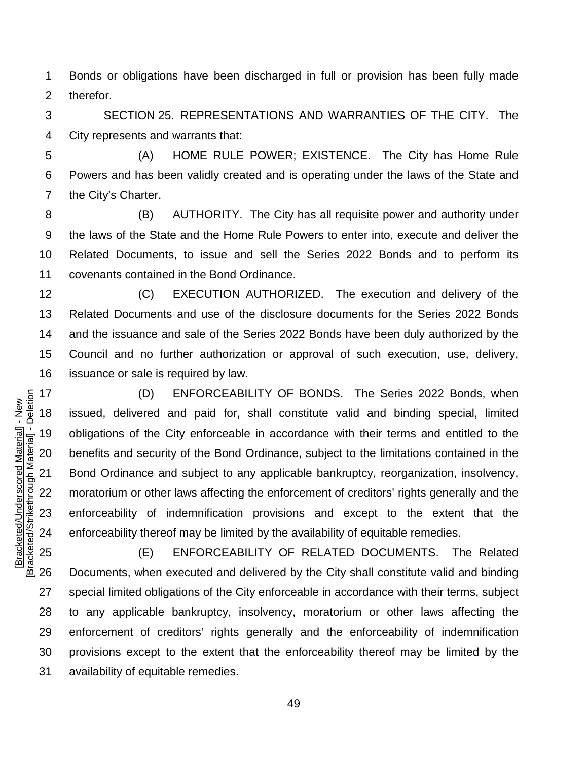Bonds or obligations have been discharged in full or provision has been fully made therefor.

 SECTION 25. REPRESENTATIONS AND WARRANTIES OF THE CITY. The City represents and warrants that:

 (A) HOME RULE POWER; EXISTENCE. The City has Home Rule Powers and has been validly created and is operating under the laws of the State and the City's Charter.

 (B) AUTHORITY. The City has all requisite power and authority under the laws of the State and the Home Rule Powers to enter into, execute and deliver the Related Documents, to issue and sell the Series 2022 Bonds and to perform its covenants contained in the Bond Ordinance.

 (C) EXECUTION AUTHORIZED. The execution and delivery of the Related Documents and use of the disclosure documents for the Series 2022 Bonds and the issuance and sale of the Series 2022 Bonds have been duly authorized by the Council and no further authorization or approval of such execution, use, delivery, issuance or sale is required by law.

 (D) ENFORCEABILITY OF BONDS. The Series 2022 Bonds, when issued, delivered and paid for, shall constitute valid and binding special, limited obligations of the City enforceable in accordance with their terms and entitled to the benefits and security of the Bond Ordinance, subject to the limitations contained in the Bond Ordinance and subject to any applicable bankruptcy, reorganization, insolvency, moratorium or other laws affecting the enforcement of creditors' rights generally and the enforceability of indemnification provisions and except to the extent that the enforceability thereof may be limited by the availability of equitable remedies.

 (E) ENFORCEABILITY OF RELATED DOCUMENTS. The Related Documents, when executed and delivered by the City shall constitute valid and binding special limited obligations of the City enforceable in accordance with their terms, subject to any applicable bankruptcy, insolvency, moratorium or other laws affecting the enforcement of creditors' rights generally and the enforceability of indemnification provisions except to the extent that the enforceability thereof may be limited by the availability of equitable remedies.

Bracketed/Strikethrough Material] - Deletion [Bracketed/Strikethrough Material] - Deletion Bracketed/Underscored Material] - New [Bracketed/Underscored Material] - New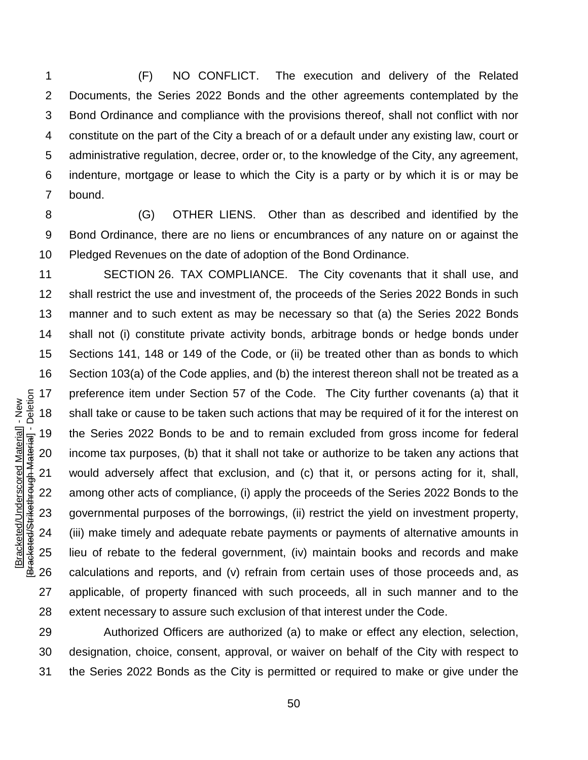(F) NO CONFLICT. The execution and delivery of the Related Documents, the Series 2022 Bonds and the other agreements contemplated by the Bond Ordinance and compliance with the provisions thereof, shall not conflict with nor constitute on the part of the City a breach of or a default under any existing law, court or administrative regulation, decree, order or, to the knowledge of the City, any agreement, indenture, mortgage or lease to which the City is a party or by which it is or may be bound.

 (G) OTHER LIENS. Other than as described and identified by the Bond Ordinance, there are no liens or encumbrances of any nature on or against the Pledged Revenues on the date of adoption of the Bond Ordinance.

 SECTION 26. TAX COMPLIANCE. The City covenants that it shall use, and shall restrict the use and investment of, the proceeds of the Series 2022 Bonds in such manner and to such extent as may be necessary so that (a) the Series 2022 Bonds shall not (i) constitute private activity bonds, arbitrage bonds or hedge bonds under Sections 141, 148 or 149 of the Code, or (ii) be treated other than as bonds to which Section 103(a) of the Code applies, and (b) the interest thereon shall not be treated as a preference item under Section 57 of the Code. The City further covenants (a) that it shall take or cause to be taken such actions that may be required of it for the interest on the Series 2022 Bonds to be and to remain excluded from gross income for federal income tax purposes, (b) that it shall not take or authorize to be taken any actions that would adversely affect that exclusion, and (c) that it, or persons acting for it, shall, among other acts of compliance, (i) apply the proceeds of the Series 2022 Bonds to the governmental purposes of the borrowings, (ii) restrict the yield on investment property, (iii) make timely and adequate rebate payments or payments of alternative amounts in lieu of rebate to the federal government, (iv) maintain books and records and make calculations and reports, and (v) refrain from certain uses of those proceeds and, as applicable, of property financed with such proceeds, all in such manner and to the extent necessary to assure such exclusion of that interest under the Code.

 Authorized Officers are authorized (a) to make or effect any election, selection, designation, choice, consent, approval, or waiver on behalf of the City with respect to the Series 2022 Bonds as the City is permitted or required to make or give under the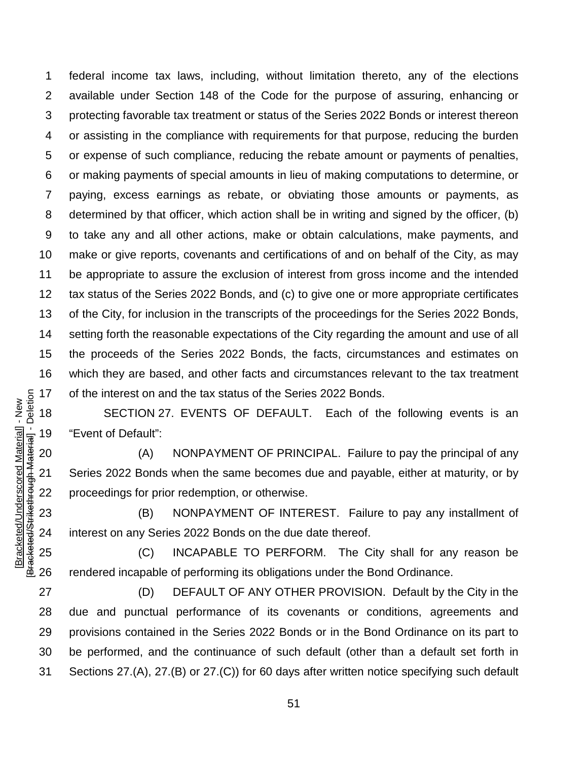federal income tax laws, including, without limitation thereto, any of the elections available under Section 148 of the Code for the purpose of assuring, enhancing or protecting favorable tax treatment or status of the Series 2022 Bonds or interest thereon or assisting in the compliance with requirements for that purpose, reducing the burden or expense of such compliance, reducing the rebate amount or payments of penalties, or making payments of special amounts in lieu of making computations to determine, or paying, excess earnings as rebate, or obviating those amounts or payments, as determined by that officer, which action shall be in writing and signed by the officer, (b) to take any and all other actions, make or obtain calculations, make payments, and make or give reports, covenants and certifications of and on behalf of the City, as may be appropriate to assure the exclusion of interest from gross income and the intended tax status of the Series 2022 Bonds, and (c) to give one or more appropriate certificates of the City, for inclusion in the transcripts of the proceedings for the Series 2022 Bonds, setting forth the reasonable expectations of the City regarding the amount and use of all the proceeds of the Series 2022 Bonds, the facts, circumstances and estimates on which they are based, and other facts and circumstances relevant to the tax treatment of the interest on and the tax status of the Series 2022 Bonds.

 SECTION 27. EVENTS OF DEFAULT. Each of the following events is an "Event of Default":

 (A) NONPAYMENT OF PRINCIPAL. Failure to pay the principal of any Series 2022 Bonds when the same becomes due and payable, either at maturity, or by proceedings for prior redemption, or otherwise.

 (B) NONPAYMENT OF INTEREST. Failure to pay any installment of interest on any Series 2022 Bonds on the due date thereof.

 (C) INCAPABLE TO PERFORM. The City shall for any reason be rendered incapable of performing its obligations under the Bond Ordinance.

 (D) DEFAULT OF ANY OTHER PROVISION. Default by the City in the due and punctual performance of its covenants or conditions, agreements and provisions contained in the Series 2022 Bonds or in the Bond Ordinance on its part to be performed, and the continuance of such default (other than a default set forth in Sections 27.(A), 27.(B) or 27.(C)) for 60 days after written notice specifying such default

Bracketed/Strikethrough Material] - Deletion [Bracketed/Strikethrough Material] - Deletion Bracketed/Underscored Material] - New [Bracketed/Underscored Material] - New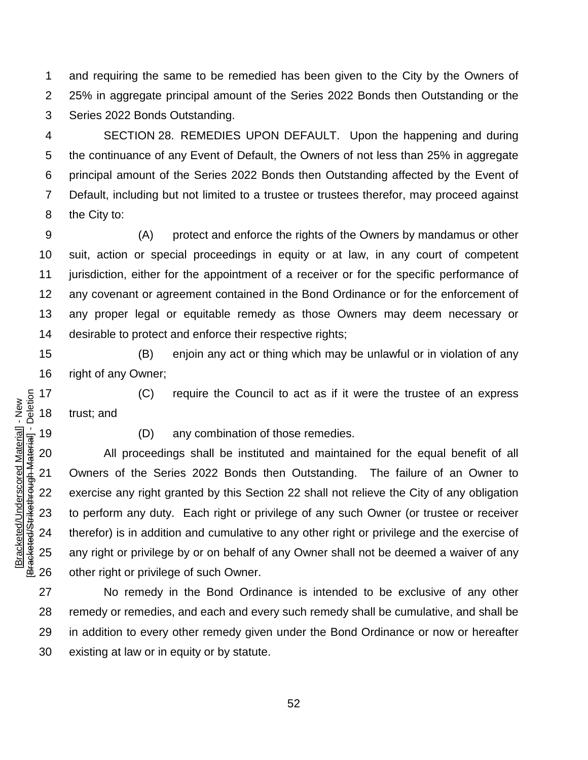and requiring the same to be remedied has been given to the City by the Owners of 25% in aggregate principal amount of the Series 2022 Bonds then Outstanding or the Series 2022 Bonds Outstanding.

 SECTION 28. REMEDIES UPON DEFAULT. Upon the happening and during the continuance of any Event of Default, the Owners of not less than 25% in aggregate principal amount of the Series 2022 Bonds then Outstanding affected by the Event of Default, including but not limited to a trustee or trustees therefor, may proceed against the City to:

 (A) protect and enforce the rights of the Owners by mandamus or other suit, action or special proceedings in equity or at law, in any court of competent jurisdiction, either for the appointment of a receiver or for the specific performance of any covenant or agreement contained in the Bond Ordinance or for the enforcement of any proper legal or equitable remedy as those Owners may deem necessary or desirable to protect and enforce their respective rights;

 (B) enjoin any act or thing which may be unlawful or in violation of any right of any Owner;

 (C) require the Council to act as if it were the trustee of an express trust; and

[Bracketed/Underscored Material] - New [Bracketed/Strikethrough Material] - Deletion

Bracketed/Strikethrough Material] - Deletion Bracketed/Underscored Material] - New

(D) any combination of those remedies.

 All proceedings shall be instituted and maintained for the equal benefit of all Owners of the Series 2022 Bonds then Outstanding. The failure of an Owner to exercise any right granted by this Section 22 shall not relieve the City of any obligation to perform any duty. Each right or privilege of any such Owner (or trustee or receiver therefor) is in addition and cumulative to any other right or privilege and the exercise of any right or privilege by or on behalf of any Owner shall not be deemed a waiver of any other right or privilege of such Owner.

 No remedy in the Bond Ordinance is intended to be exclusive of any other remedy or remedies, and each and every such remedy shall be cumulative, and shall be in addition to every other remedy given under the Bond Ordinance or now or hereafter existing at law or in equity or by statute.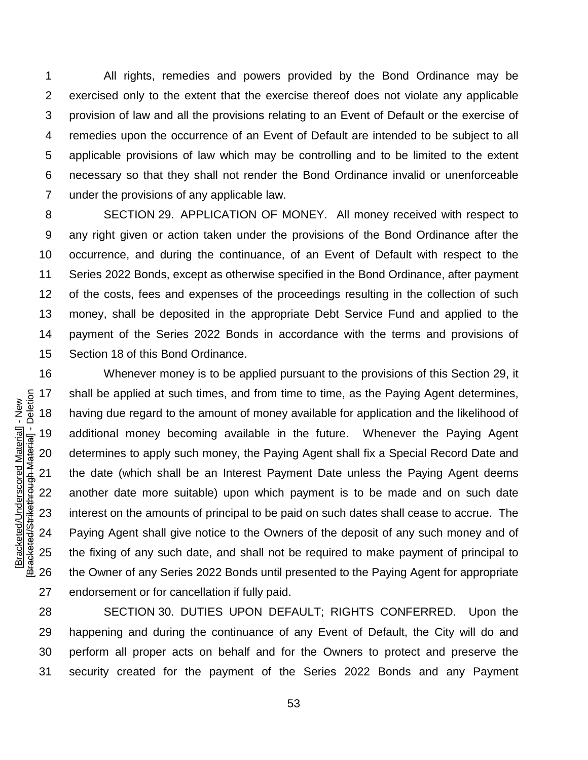All rights, remedies and powers provided by the Bond Ordinance may be exercised only to the extent that the exercise thereof does not violate any applicable provision of law and all the provisions relating to an Event of Default or the exercise of remedies upon the occurrence of an Event of Default are intended to be subject to all applicable provisions of law which may be controlling and to be limited to the extent necessary so that they shall not render the Bond Ordinance invalid or unenforceable under the provisions of any applicable law.

 SECTION 29. APPLICATION OF MONEY. All money received with respect to any right given or action taken under the provisions of the Bond Ordinance after the occurrence, and during the continuance, of an Event of Default with respect to the Series 2022 Bonds, except as otherwise specified in the Bond Ordinance, after payment of the costs, fees and expenses of the proceedings resulting in the collection of such money, shall be deposited in the appropriate Debt Service Fund and applied to the payment of the Series 2022 Bonds in accordance with the terms and provisions of Section 18 of this Bond Ordinance.

 Whenever money is to be applied pursuant to the provisions of this Section 29, it shall be applied at such times, and from time to time, as the Paying Agent determines, having due regard to the amount of money available for application and the likelihood of additional money becoming available in the future. Whenever the Paying Agent determines to apply such money, the Paying Agent shall fix a Special Record Date and the date (which shall be an Interest Payment Date unless the Paying Agent deems another date more suitable) upon which payment is to be made and on such date interest on the amounts of principal to be paid on such dates shall cease to accrue. The Paying Agent shall give notice to the Owners of the deposit of any such money and of the fixing of any such date, and shall not be required to make payment of principal to the Owner of any Series 2022 Bonds until presented to the Paying Agent for appropriate endorsement or for cancellation if fully paid.

 SECTION 30. DUTIES UPON DEFAULT; RIGHTS CONFERRED. Upon the happening and during the continuance of any Event of Default, the City will do and perform all proper acts on behalf and for the Owners to protect and preserve the security created for the payment of the Series 2022 Bonds and any Payment

Bracketed/Strikethrough Material] - Deletion [Bracketed/Strikethrough Material] - Deletion Bracketed/Underscored Material] - New [Bracketed/Underscored Material] - New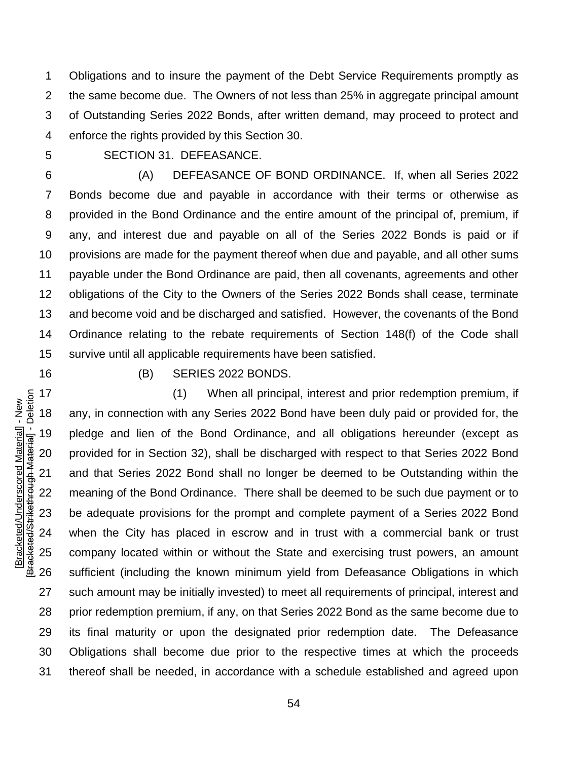Obligations and to insure the payment of the Debt Service Requirements promptly as the same become due. The Owners of not less than 25% in aggregate principal amount of Outstanding Series 2022 Bonds, after written demand, may proceed to protect and enforce the rights provided by this Section 30.

SECTION 31. DEFEASANCE.

 (A) DEFEASANCE OF BOND ORDINANCE. If, when all Series 2022 Bonds become due and payable in accordance with their terms or otherwise as provided in the Bond Ordinance and the entire amount of the principal of, premium, if any, and interest due and payable on all of the Series 2022 Bonds is paid or if provisions are made for the payment thereof when due and payable, and all other sums payable under the Bond Ordinance are paid, then all covenants, agreements and other obligations of the City to the Owners of the Series 2022 Bonds shall cease, terminate and become void and be discharged and satisfied. However, the covenants of the Bond Ordinance relating to the rebate requirements of Section 148(f) of the Code shall survive until all applicable requirements have been satisfied.

#### (B) SERIES 2022 BONDS.

 (1) When all principal, interest and prior redemption premium, if any, in connection with any Series 2022 Bond have been duly paid or provided for, the pledge and lien of the Bond Ordinance, and all obligations hereunder (except as provided for in Section 32), shall be discharged with respect to that Series 2022 Bond and that Series 2022 Bond shall no longer be deemed to be Outstanding within the meaning of the Bond Ordinance. There shall be deemed to be such due payment or to be adequate provisions for the prompt and complete payment of a Series 2022 Bond when the City has placed in escrow and in trust with a commercial bank or trust company located within or without the State and exercising trust powers, an amount sufficient (including the known minimum yield from Defeasance Obligations in which such amount may be initially invested) to meet all requirements of principal, interest and prior redemption premium, if any, on that Series 2022 Bond as the same become due to its final maturity or upon the designated prior redemption date. The Defeasance Obligations shall become due prior to the respective times at which the proceeds thereof shall be needed, in accordance with a schedule established and agreed upon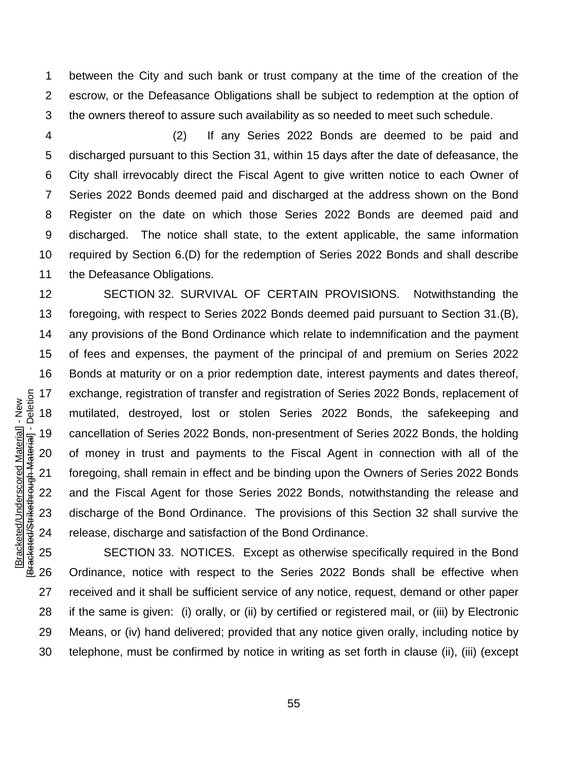between the City and such bank or trust company at the time of the creation of the escrow, or the Defeasance Obligations shall be subject to redemption at the option of the owners thereof to assure such availability as so needed to meet such schedule.

 (2) If any Series 2022 Bonds are deemed to be paid and discharged pursuant to this Section 31, within 15 days after the date of defeasance, the City shall irrevocably direct the Fiscal Agent to give written notice to each Owner of Series 2022 Bonds deemed paid and discharged at the address shown on the Bond Register on the date on which those Series 2022 Bonds are deemed paid and discharged. The notice shall state, to the extent applicable, the same information required by Section 6.(D) for the redemption of Series 2022 Bonds and shall describe 11 the Defeasance Obligations.

 SECTION 32. SURVIVAL OF CERTAIN PROVISIONS. Notwithstanding the foregoing, with respect to Series 2022 Bonds deemed paid pursuant to Section 31.(B), any provisions of the Bond Ordinance which relate to indemnification and the payment of fees and expenses, the payment of the principal of and premium on Series 2022 Bonds at maturity or on a prior redemption date, interest payments and dates thereof, exchange, registration of transfer and registration of Series 2022 Bonds, replacement of mutilated, destroyed, lost or stolen Series 2022 Bonds, the safekeeping and cancellation of Series 2022 Bonds, non-presentment of Series 2022 Bonds, the holding of money in trust and payments to the Fiscal Agent in connection with all of the foregoing, shall remain in effect and be binding upon the Owners of Series 2022 Bonds and the Fiscal Agent for those Series 2022 Bonds, notwithstanding the release and discharge of the Bond Ordinance. The provisions of this Section 32 shall survive the release, discharge and satisfaction of the Bond Ordinance.

[Bracketed/Underscored Material] - New [Bracketed/Strikethrough Material] - Deletion

Bracketed/Strikethrough Material] - Deletion Bracketed/Underscored Material] - New

 SECTION 33. NOTICES. Except as otherwise specifically required in the Bond Ordinance, notice with respect to the Series 2022 Bonds shall be effective when received and it shall be sufficient service of any notice, request, demand or other paper if the same is given: (i) orally, or (ii) by certified or registered mail, or (iii) by Electronic Means, or (iv) hand delivered; provided that any notice given orally, including notice by telephone, must be confirmed by notice in writing as set forth in clause (ii), (iii) (except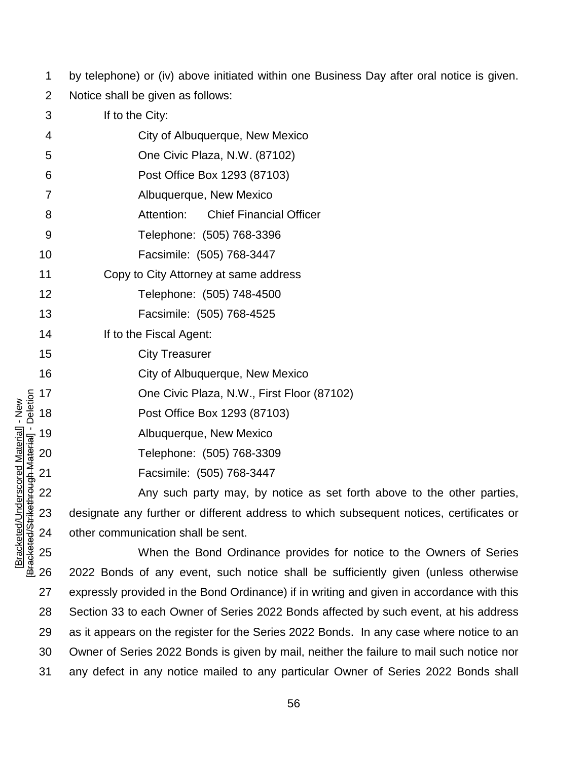by telephone) or (iv) above initiated within one Business Day after oral notice is given.

Notice shall be given as follows:

| 3    | If to the City:                                                        |
|------|------------------------------------------------------------------------|
| 4    | City of Albuquerque, New Mexico                                        |
| 5    | One Civic Plaza, N.W. (87102)                                          |
| 6    | Post Office Box 1293 (87103)                                           |
| 7    | Albuquerque, New Mexico                                                |
| 8    | Attention:<br><b>Chief Financial Officer</b>                           |
| 9    | Telephone: (505) 768-3396                                              |
| 10   | Facsimile: (505) 768-3447                                              |
| 11   | Copy to City Attorney at same address                                  |
| 12   | Telephone: (505) 748-4500                                              |
| 13   | Facsimile: (505) 768-4525                                              |
| 14   | If to the Fiscal Agent:                                                |
| 15   | <b>City Treasurer</b>                                                  |
| 16   | City of Albuquerque, New Mexico                                        |
| 17   | One Civic Plaza, N.W., First Floor (87102)                             |
| 18   | Post Office Box 1293 (87103)                                           |
| . 19 | Albuquerque, New Mexico                                                |
| 20   | Telephone: (505) 768-3309                                              |
| 21   | Facsimile: (505) 768-3447                                              |
| 22   | Any such party may, by notice as set forth above to the other parties, |

 designate any further or different address to which subsequent notices, certificates or other communication shall be sent.

 When the Bond Ordinance provides for notice to the Owners of Series 2022 Bonds of any event, such notice shall be sufficiently given (unless otherwise expressly provided in the Bond Ordinance) if in writing and given in accordance with this Section 33 to each Owner of Series 2022 Bonds affected by such event, at his address as it appears on the register for the Series 2022 Bonds. In any case where notice to an Owner of Series 2022 Bonds is given by mail, neither the failure to mail such notice nor any defect in any notice mailed to any particular Owner of Series 2022 Bonds shall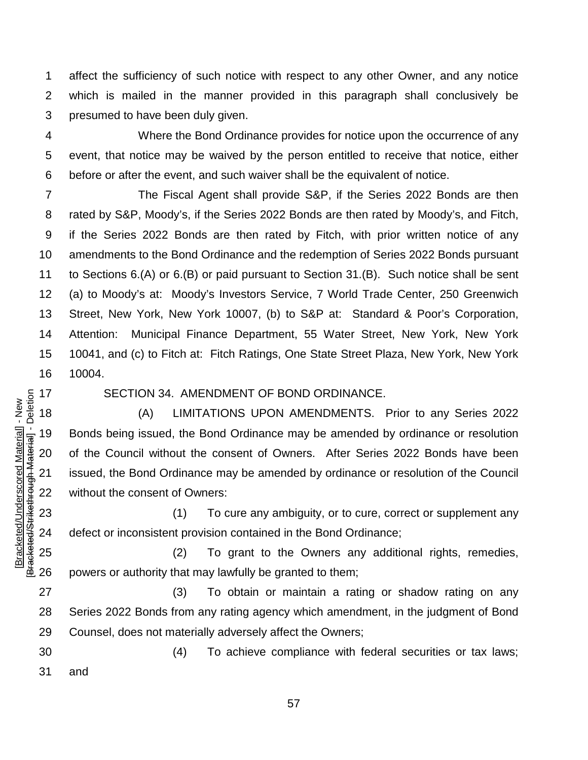affect the sufficiency of such notice with respect to any other Owner, and any notice which is mailed in the manner provided in this paragraph shall conclusively be presumed to have been duly given.

 Where the Bond Ordinance provides for notice upon the occurrence of any event, that notice may be waived by the person entitled to receive that notice, either before or after the event, and such waiver shall be the equivalent of notice.

 The Fiscal Agent shall provide S&P, if the Series 2022 Bonds are then rated by S&P, Moody's, if the Series 2022 Bonds are then rated by Moody's, and Fitch, if the Series 2022 Bonds are then rated by Fitch, with prior written notice of any amendments to the Bond Ordinance and the redemption of Series 2022 Bonds pursuant to Sections 6.(A) or 6.(B) or paid pursuant to Section 31.(B). Such notice shall be sent (a) to Moody's at: Moody's Investors Service, 7 World Trade Center, 250 Greenwich Street, New York, New York 10007, (b) to S&P at: Standard & Poor's Corporation, Attention: Municipal Finance Department, 55 Water Street, New York, New York 10041, and (c) to Fitch at: Fitch Ratings, One State Street Plaza, New York, New York 10004.

Bracketed/Strikethrough Material] - Deletion [Bracketed/Strikethrough Material] - Deletion Bracketed/Underscored Material] - New [Bracketed/Underscored Material] - New

SECTION 34. AMENDMENT OF BOND ORDINANCE.

 (A) LIMITATIONS UPON AMENDMENTS. Prior to any Series 2022 Bonds being issued, the Bond Ordinance may be amended by ordinance or resolution of the Council without the consent of Owners. After Series 2022 Bonds have been issued, the Bond Ordinance may be amended by ordinance or resolution of the Council without the consent of Owners:

23 (1) To cure any ambiguity, or to cure, correct or supplement any defect or inconsistent provision contained in the Bond Ordinance;

 (2) To grant to the Owners any additional rights, remedies, powers or authority that may lawfully be granted to them;

 (3) To obtain or maintain a rating or shadow rating on any Series 2022 Bonds from any rating agency which amendment, in the judgment of Bond Counsel, does not materially adversely affect the Owners;

 (4) To achieve compliance with federal securities or tax laws; and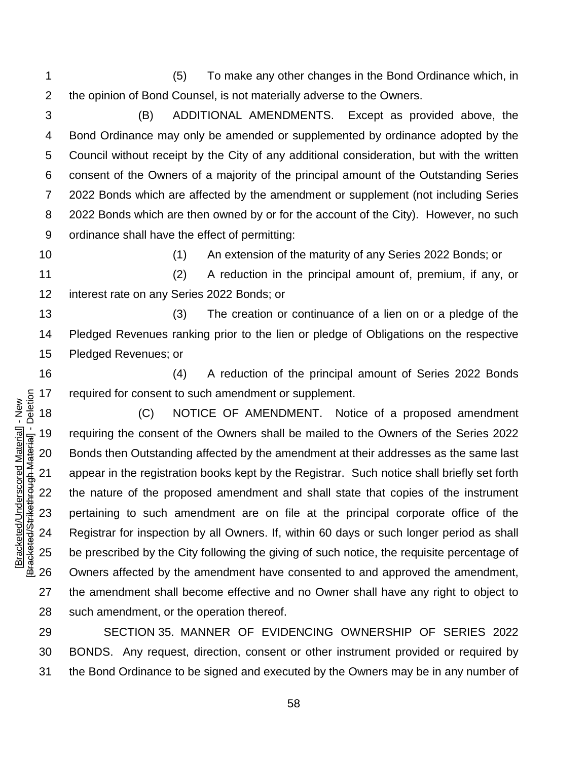(5) To make any other changes in the Bond Ordinance which, in the opinion of Bond Counsel, is not materially adverse to the Owners.

 (B) ADDITIONAL AMENDMENTS. Except as provided above, the Bond Ordinance may only be amended or supplemented by ordinance adopted by the Council without receipt by the City of any additional consideration, but with the written consent of the Owners of a majority of the principal amount of the Outstanding Series 2022 Bonds which are affected by the amendment or supplement (not including Series 2022 Bonds which are then owned by or for the account of the City). However, no such ordinance shall have the effect of permitting:

(1) An extension of the maturity of any Series 2022 Bonds; or

 (2) A reduction in the principal amount of, premium, if any, or interest rate on any Series 2022 Bonds; or

 (3) The creation or continuance of a lien on or a pledge of the Pledged Revenues ranking prior to the lien or pledge of Obligations on the respective Pledged Revenues; or

 (4) A reduction of the principal amount of Series 2022 Bonds required for consent to such amendment or supplement.

 (C) NOTICE OF AMENDMENT. Notice of a proposed amendment requiring the consent of the Owners shall be mailed to the Owners of the Series 2022 Bonds then Outstanding affected by the amendment at their addresses as the same last appear in the registration books kept by the Registrar. Such notice shall briefly set forth the nature of the proposed amendment and shall state that copies of the instrument pertaining to such amendment are on file at the principal corporate office of the Registrar for inspection by all Owners. If, within 60 days or such longer period as shall 25 be prescribed by the City following the giving of such notice, the requisite percentage of Owners affected by the amendment have consented to and approved the amendment, the amendment shall become effective and no Owner shall have any right to object to such amendment, or the operation thereof.

 SECTION 35. MANNER OF EVIDENCING OWNERSHIP OF SERIES 2022 BONDS. Any request, direction, consent or other instrument provided or required by the Bond Ordinance to be signed and executed by the Owners may be in any number of

Bracketed/Strikethrough Material] - Deletion [Bracketed/Strikethrough Material] - Deletion Bracketed/Underscored Material] - New [Bracketed/Underscored Material] - New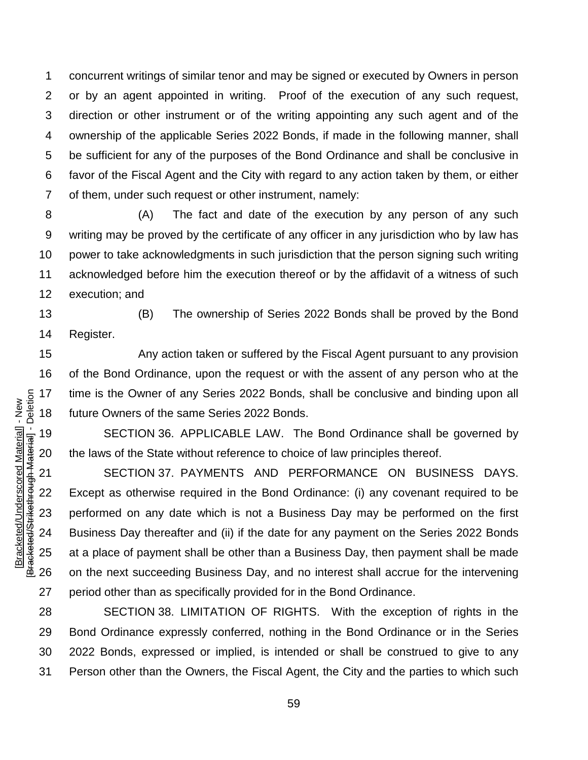concurrent writings of similar tenor and may be signed or executed by Owners in person or by an agent appointed in writing. Proof of the execution of any such request, direction or other instrument or of the writing appointing any such agent and of the ownership of the applicable Series 2022 Bonds, if made in the following manner, shall be sufficient for any of the purposes of the Bond Ordinance and shall be conclusive in favor of the Fiscal Agent and the City with regard to any action taken by them, or either of them, under such request or other instrument, namely:

 (A) The fact and date of the execution by any person of any such writing may be proved by the certificate of any officer in any jurisdiction who by law has power to take acknowledgments in such jurisdiction that the person signing such writing acknowledged before him the execution thereof or by the affidavit of a witness of such execution; and

 (B) The ownership of Series 2022 Bonds shall be proved by the Bond Register.

 Any action taken or suffered by the Fiscal Agent pursuant to any provision of the Bond Ordinance, upon the request or with the assent of any person who at the time is the Owner of any Series 2022 Bonds, shall be conclusive and binding upon all future Owners of the same Series 2022 Bonds.

 SECTION 36. APPLICABLE LAW. The Bond Ordinance shall be governed by the laws of the State without reference to choice of law principles thereof.

 SECTION 37. PAYMENTS AND PERFORMANCE ON BUSINESS DAYS. Except as otherwise required in the Bond Ordinance: (i) any covenant required to be performed on any date which is not a Business Day may be performed on the first Business Day thereafter and (ii) if the date for any payment on the Series 2022 Bonds at a place of payment shall be other than a Business Day, then payment shall be made on the next succeeding Business Day, and no interest shall accrue for the intervening period other than as specifically provided for in the Bond Ordinance.

 SECTION 38. LIMITATION OF RIGHTS. With the exception of rights in the Bond Ordinance expressly conferred, nothing in the Bond Ordinance or in the Series 2022 Bonds, expressed or implied, is intended or shall be construed to give to any Person other than the Owners, the Fiscal Agent, the City and the parties to which such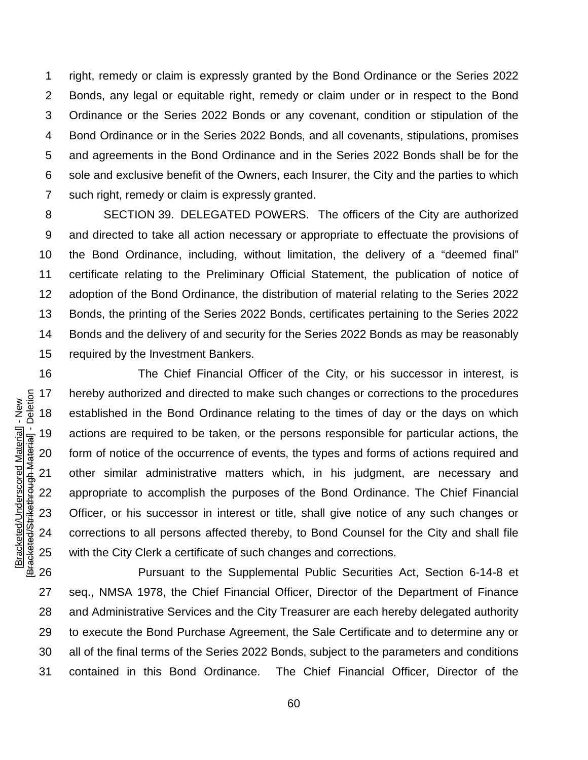right, remedy or claim is expressly granted by the Bond Ordinance or the Series 2022 Bonds, any legal or equitable right, remedy or claim under or in respect to the Bond Ordinance or the Series 2022 Bonds or any covenant, condition or stipulation of the Bond Ordinance or in the Series 2022 Bonds, and all covenants, stipulations, promises and agreements in the Bond Ordinance and in the Series 2022 Bonds shall be for the sole and exclusive benefit of the Owners, each Insurer, the City and the parties to which such right, remedy or claim is expressly granted.

 SECTION 39. DELEGATED POWERS. The officers of the City are authorized and directed to take all action necessary or appropriate to effectuate the provisions of the Bond Ordinance, including, without limitation, the delivery of a "deemed final" certificate relating to the Preliminary Official Statement, the publication of notice of adoption of the Bond Ordinance, the distribution of material relating to the Series 2022 Bonds, the printing of the Series 2022 Bonds, certificates pertaining to the Series 2022 Bonds and the delivery of and security for the Series 2022 Bonds as may be reasonably required by the Investment Bankers.

 The Chief Financial Officer of the City, or his successor in interest, is hereby authorized and directed to make such changes or corrections to the procedures established in the Bond Ordinance relating to the times of day or the days on which actions are required to be taken, or the persons responsible for particular actions, the form of notice of the occurrence of events, the types and forms of actions required and other similar administrative matters which, in his judgment, are necessary and appropriate to accomplish the purposes of the Bond Ordinance. The Chief Financial Officer, or his successor in interest or title, shall give notice of any such changes or corrections to all persons affected thereby, to Bond Counsel for the City and shall file with the City Clerk a certificate of such changes and corrections.

 Pursuant to the Supplemental Public Securities Act, Section 6-14-8 et seq., NMSA 1978, the Chief Financial Officer, Director of the Department of Finance and Administrative Services and the City Treasurer are each hereby delegated authority to execute the Bond Purchase Agreement, the Sale Certificate and to determine any or all of the final terms of the Series 2022 Bonds, subject to the parameters and conditions contained in this Bond Ordinance. The Chief Financial Officer, Director of the

Bracketed/Strikethrough Material] - Deletion [Bracketed/Strikethrough Material] - Deletion Bracketed/Underscored Material] - New [Bracketed/Underscored Material] - New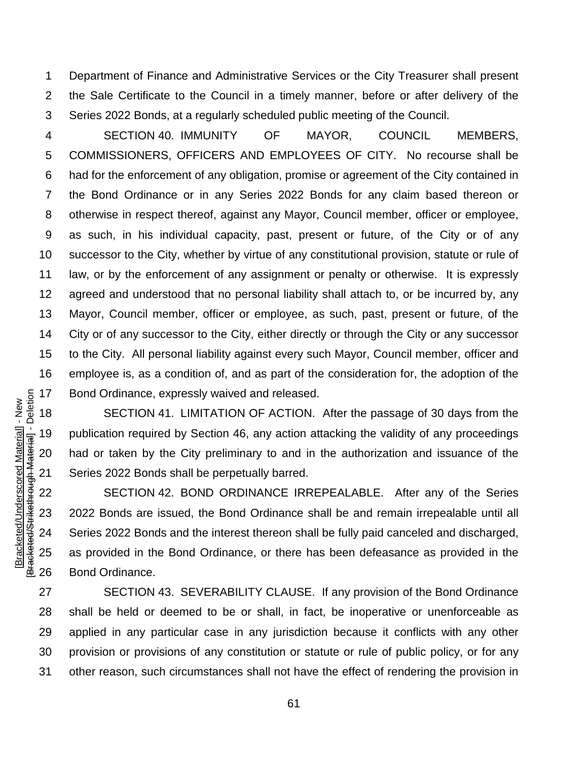Department of Finance and Administrative Services or the City Treasurer shall present the Sale Certificate to the Council in a timely manner, before or after delivery of the Series 2022 Bonds, at a regularly scheduled public meeting of the Council.

 SECTION 40. IMMUNITY OF MAYOR, COUNCIL MEMBERS, COMMISSIONERS, OFFICERS AND EMPLOYEES OF CITY. No recourse shall be had for the enforcement of any obligation, promise or agreement of the City contained in the Bond Ordinance or in any Series 2022 Bonds for any claim based thereon or otherwise in respect thereof, against any Mayor, Council member, officer or employee, as such, in his individual capacity, past, present or future, of the City or of any successor to the City, whether by virtue of any constitutional provision, statute or rule of law, or by the enforcement of any assignment or penalty or otherwise. It is expressly agreed and understood that no personal liability shall attach to, or be incurred by, any Mayor, Council member, officer or employee, as such, past, present or future, of the City or of any successor to the City, either directly or through the City or any successor to the City. All personal liability against every such Mayor, Council member, officer and employee is, as a condition of, and as part of the consideration for, the adoption of the Bond Ordinance, expressly waived and released.

 SECTION 41. LIMITATION OF ACTION. After the passage of 30 days from the publication required by Section 46, any action attacking the validity of any proceedings had or taken by the City preliminary to and in the authorization and issuance of the Series 2022 Bonds shall be perpetually barred.

 SECTION 42. BOND ORDINANCE IRREPEALABLE. After any of the Series 2022 Bonds are issued, the Bond Ordinance shall be and remain irrepealable until all Series 2022 Bonds and the interest thereon shall be fully paid canceled and discharged, as provided in the Bond Ordinance, or there has been defeasance as provided in the Bond Ordinance.

 SECTION 43. SEVERABILITY CLAUSE. If any provision of the Bond Ordinance shall be held or deemed to be or shall, in fact, be inoperative or unenforceable as applied in any particular case in any jurisdiction because it conflicts with any other provision or provisions of any constitution or statute or rule of public policy, or for any other reason, such circumstances shall not have the effect of rendering the provision in

Bracketed/Strikethrough Material] - Deletion [Bracketed/Strikethrough Material] - Deletion Bracketed/Underscored Material] - New [Bracketed/Underscored Material] - New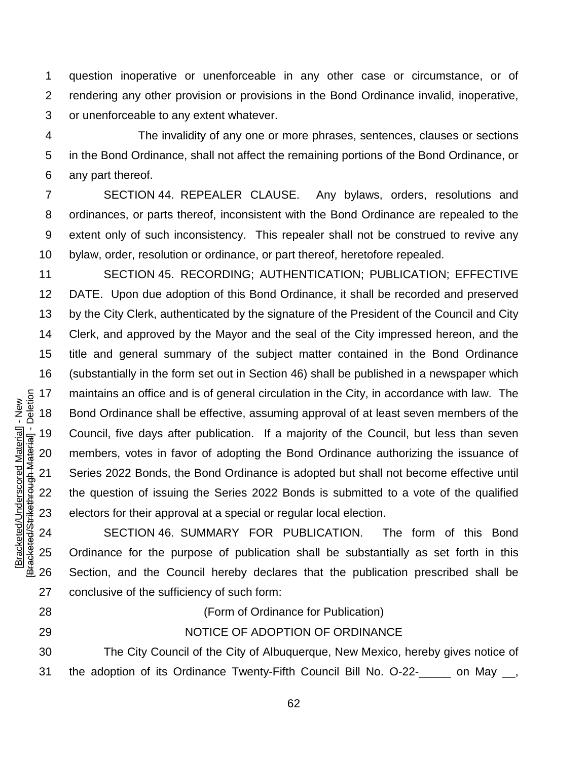question inoperative or unenforceable in any other case or circumstance, or of rendering any other provision or provisions in the Bond Ordinance invalid, inoperative, or unenforceable to any extent whatever.

 The invalidity of any one or more phrases, sentences, clauses or sections in the Bond Ordinance, shall not affect the remaining portions of the Bond Ordinance, or any part thereof.

 SECTION 44. REPEALER CLAUSE. Any bylaws, orders, resolutions and ordinances, or parts thereof, inconsistent with the Bond Ordinance are repealed to the extent only of such inconsistency. This repealer shall not be construed to revive any bylaw, order, resolution or ordinance, or part thereof, heretofore repealed.

 SECTION 45. RECORDING; AUTHENTICATION; PUBLICATION; EFFECTIVE DATE. Upon due adoption of this Bond Ordinance, it shall be recorded and preserved by the City Clerk, authenticated by the signature of the President of the Council and City Clerk, and approved by the Mayor and the seal of the City impressed hereon, and the title and general summary of the subject matter contained in the Bond Ordinance (substantially in the form set out in Section 46) shall be published in a newspaper which maintains an office and is of general circulation in the City, in accordance with law. The Bond Ordinance shall be effective, assuming approval of at least seven members of the Council, five days after publication. If a majority of the Council, but less than seven members, votes in favor of adopting the Bond Ordinance authorizing the issuance of Series 2022 Bonds, the Bond Ordinance is adopted but shall not become effective until the question of issuing the Series 2022 Bonds is submitted to a vote of the qualified electors for their approval at a special or regular local election.

 SECTION 46. SUMMARY FOR PUBLICATION. The form of this Bond Ordinance for the purpose of publication shall be substantially as set forth in this Section, and the Council hereby declares that the publication prescribed shall be conclusive of the sufficiency of such form:

[Bracketed/Underscored Material] - New [Bracketed/Strikethrough Material] - Deletion

Bracketed/Strikethrough Material] - Deletion Bracketed/Underscored Material] - New

(Form of Ordinance for Publication)

NOTICE OF ADOPTION OF ORDINANCE

 The City Council of the City of Albuquerque, New Mexico, hereby gives notice of the adoption of its Ordinance Twenty-Fifth Council Bill No. O-22-\_\_\_\_\_ on May \_\_,